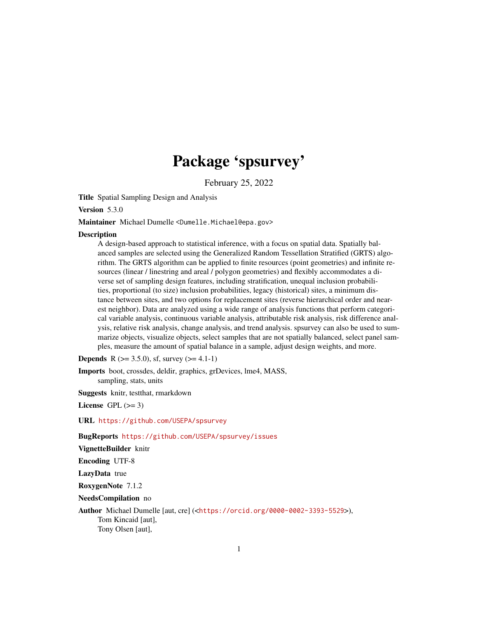# Package 'spsurvey'

February 25, 2022

Title Spatial Sampling Design and Analysis

Version 5.3.0

Maintainer Michael Dumelle <Dumelle.Michael@epa.gov>

## **Description**

A design-based approach to statistical inference, with a focus on spatial data. Spatially balanced samples are selected using the Generalized Random Tessellation Stratified (GRTS) algorithm. The GRTS algorithm can be applied to finite resources (point geometries) and infinite resources (linear / linestring and areal / polygon geometries) and flexibly accommodates a diverse set of sampling design features, including stratification, unequal inclusion probabilities, proportional (to size) inclusion probabilities, legacy (historical) sites, a minimum distance between sites, and two options for replacement sites (reverse hierarchical order and nearest neighbor). Data are analyzed using a wide range of analysis functions that perform categorical variable analysis, continuous variable analysis, attributable risk analysis, risk difference analysis, relative risk analysis, change analysis, and trend analysis. spsurvey can also be used to summarize objects, visualize objects, select samples that are not spatially balanced, select panel samples, measure the amount of spatial balance in a sample, adjust design weights, and more.

**Depends** R ( $>= 3.5.0$ ), sf, survey ( $>= 4.1-1$ )

Imports boot, crossdes, deldir, graphics, grDevices, lme4, MASS, sampling, stats, units

Suggests knitr, testthat, rmarkdown

License GPL  $(>= 3)$ 

URL <https://github.com/USEPA/spsurvey>

BugReports <https://github.com/USEPA/spsurvey/issues>

VignetteBuilder knitr

Encoding UTF-8

LazyData true

RoxygenNote 7.1.2

NeedsCompilation no

Author Michael Dumelle [aut, cre] (<<https://orcid.org/0000-0002-3393-5529>>), Tom Kincaid [aut], Tony Olsen [aut],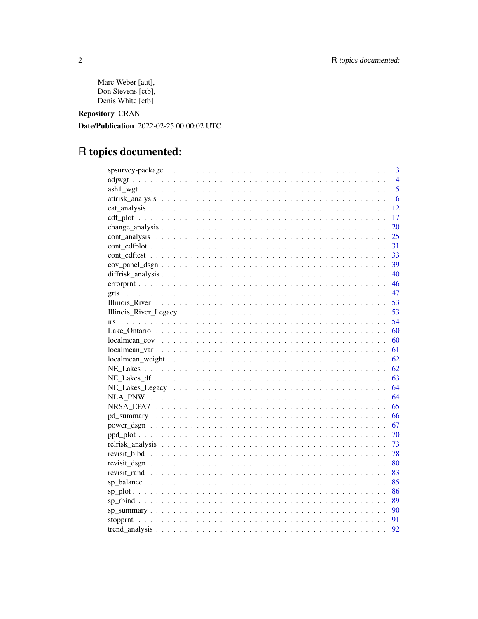```
Marc Weber [aut],
Don Stevens [ctb],
Denis White [ctb]
```
Repository CRAN

Date/Publication 2022-02-25 00:00:02 UTC

# R topics documented:

|            | 3              |
|------------|----------------|
|            | $\overline{4}$ |
|            | 5              |
|            | 6              |
| 12         |                |
| 17         |                |
| 20         |                |
| 25         |                |
| 31         |                |
| 33         |                |
| 39         |                |
| 40         |                |
| 46         |                |
| 47<br>grts |                |
| 53         |                |
| 53         |                |
| 54         |                |
| 60         |                |
| 60         |                |
| 61         |                |
| 62         |                |
| 62         |                |
| 63         |                |
| 64         |                |
| 64         |                |
| 65         |                |
| 66         |                |
| 67         |                |
| 70         |                |
| 73         |                |
| 78         |                |
| 80         |                |
|            |                |
|            |                |
| 86         |                |
| 89         |                |
| 90         |                |
| 91         |                |
| 92         |                |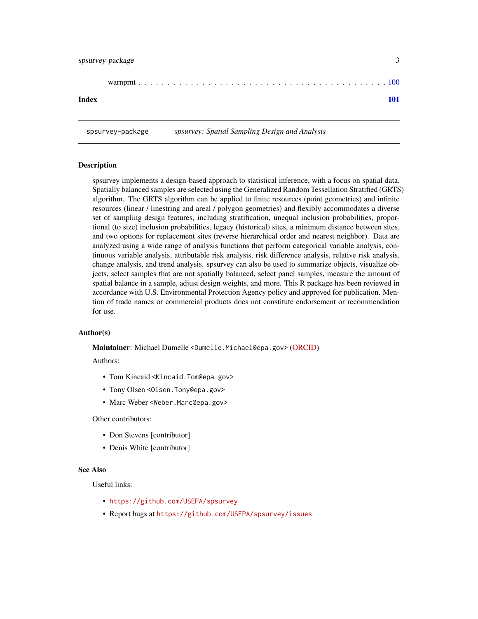<span id="page-2-0"></span>

| Index |  |
|-------|--|

spsurvey-package *spsurvey: Spatial Sampling Design and Analysis*

#### **Description**

spsurvey implements a design-based approach to statistical inference, with a focus on spatial data. Spatially balanced samples are selected using the Generalized Random Tessellation Stratified (GRTS) algorithm. The GRTS algorithm can be applied to finite resources (point geometries) and infinite resources (linear / linestring and areal / polygon geometries) and flexibly accommodates a diverse set of sampling design features, including stratification, unequal inclusion probabilities, proportional (to size) inclusion probabilities, legacy (historical) sites, a minimum distance between sites, and two options for replacement sites (reverse hierarchical order and nearest neighbor). Data are analyzed using a wide range of analysis functions that perform categorical variable analysis, continuous variable analysis, attributable risk analysis, risk difference analysis, relative risk analysis, change analysis, and trend analysis. spsurvey can also be used to summarize objects, visualize objects, select samples that are not spatially balanced, select panel samples, measure the amount of spatial balance in a sample, adjust design weights, and more. This R package has been reviewed in accordance with U.S. Environmental Protection Agency policy and approved for publication. Mention of trade names or commercial products does not constitute endorsement or recommendation for use.

## Author(s)

Maintainer: Michael Dumelle <Dumelle.Michael@epa.gov> [\(ORCID\)](https://orcid.org/0000-0002-3393-5529)

Authors:

- Tom Kincaid <Kincaid.Tom@epa.gov>
- Tony Olsen < Olsen. Tony @epa.gov>
- Marc Weber < Weber. Marc@epa.gov>

Other contributors:

- Don Stevens [contributor]
- Denis White [contributor]

#### See Also

Useful links:

- <https://github.com/USEPA/spsurvey>
- Report bugs at <https://github.com/USEPA/spsurvey/issues>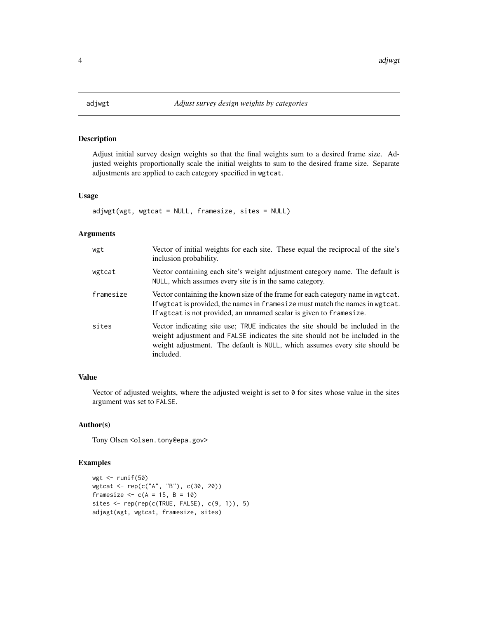<span id="page-3-0"></span>

## Description

Adjust initial survey design weights so that the final weights sum to a desired frame size. Adjusted weights proportionally scale the initial weights to sum to the desired frame size. Separate adjustments are applied to each category specified in wgtcat.

#### Usage

```
adjwgt(wgt, wgtcat = NULL, framesize, sites = NULL)
```
## Arguments

| wgt       | Vector of initial weights for each site. These equal the reciprocal of the site's<br>inclusion probability.                                                                                                                                              |
|-----------|----------------------------------------------------------------------------------------------------------------------------------------------------------------------------------------------------------------------------------------------------------|
| wgtcat    | Vector containing each site's weight adjustment category name. The default is<br>NULL, which assumes every site is in the same category.                                                                                                                 |
| framesize | Vector containing the known size of the frame for each category name in wgtcat.<br>If wgtcat is provided, the names in framesize must match the names in wgtcat.<br>If wgtcat is not provided, an unnamed scalar is given to framesize.                  |
| sites     | Vector indicating site use; TRUE indicates the site should be included in the<br>weight adjustment and FALSE indicates the site should not be included in the<br>weight adjustment. The default is NULL, which assumes every site should be<br>included. |

## Value

Vector of adjusted weights, where the adjusted weight is set to 0 for sites whose value in the sites argument was set to FALSE.

## Author(s)

Tony Olsen <olsen.tony@epa.gov>

# Examples

```
wgt \leftarrow runif(50)
wgtcat <- rep(c("A", "B"), c(30, 20))
framesize <-c(A = 15, B = 10)sites <- rep(rep(c(TRUE, FALSE), c(9, 1)), 5)
adjwgt(wgt, wgtcat, framesize, sites)
```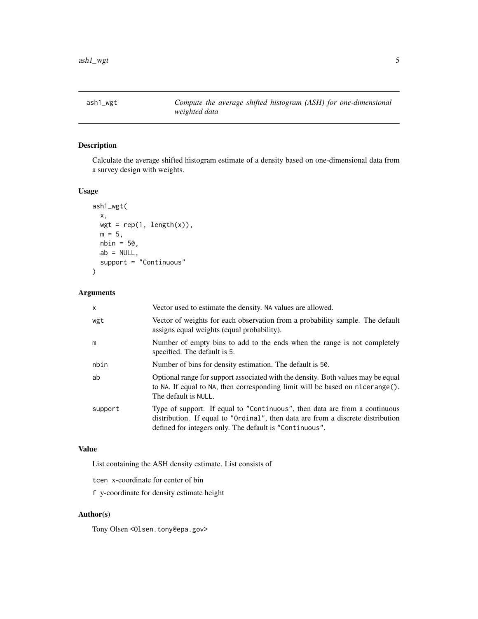<span id="page-4-0"></span>

## Description

Calculate the average shifted histogram estimate of a density based on one-dimensional data from a survey design with weights.

## Usage

```
ash1_wgt(
  x,
  wgt = rep(1, length(x)),m = 5,
  nbin = 50,
  ab = NULL,support = "Continuous"
\mathcal{L}
```
## Arguments

| x       | Vector used to estimate the density. NA values are allowed.                                                                                                                                                              |
|---------|--------------------------------------------------------------------------------------------------------------------------------------------------------------------------------------------------------------------------|
| wgt     | Vector of weights for each observation from a probability sample. The default<br>assigns equal weights (equal probability).                                                                                              |
| m       | Number of empty bins to add to the ends when the range is not completely<br>specified. The default is 5.                                                                                                                 |
| nbin    | Number of bins for density estimation. The default is 50.                                                                                                                                                                |
| ab      | Optional range for support associated with the density. Both values may be equal<br>to NA. If equal to NA, then corresponding limit will be based on nicerange().<br>The default is NULL.                                |
| support | Type of support. If equal to "Continuous", then data are from a continuous<br>distribution. If equal to "Ordinal", then data are from a discrete distribution<br>defined for integers only. The default is "Continuous". |

## Value

List containing the ASH density estimate. List consists of

tcen x-coordinate for center of bin

f y-coordinate for density estimate height

## Author(s)

Tony Olsen < Olsen.tony@epa.gov>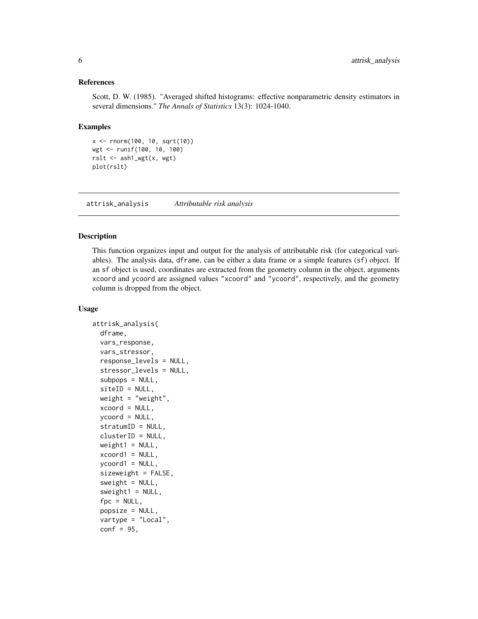## <span id="page-5-0"></span>References

Scott, D. W. (1985). "Averaged shifted histograms: effective nonparametric density estimators in several dimensions." *The Annals of Statistics* 13(3): 1024-1040.

### Examples

```
x <- rnorm(100, 10, sqrt(10))
wgt <- runif(100, 10, 100)
rslt <- ash1_wgt(x, wgt)
plot(rslt)
```
attrisk\_analysis *Attributable risk analysis*

## Description

This function organizes input and output for the analysis of attributable risk (for categorical variables). The analysis data, dframe, can be either a data frame or a simple features (sf) object. If an sf object is used, coordinates are extracted from the geometry column in the object, arguments xcoord and ycoord are assigned values "xcoord" and "ycoord", respectively, and the geometry column is dropped from the object.

#### Usage

```
attrisk_analysis(
  dframe,
  vars_response,
  vars_stressor,
  response_levels = NULL,
  stressor_levels = NULL,
  subpops = NULL,
  siteID = NULL,
 weight = "weight",
  xcoord = NULL,ycoord = NULL,
  stratumID = NULL,
 clusterID = NULL,
  weight1 = NULL,xcoord1 = NULL,ycoord1 = NULL,sizeweight = FALSE,
  sweight = NULL,
  sweight1 = NULL,fpc = NULL,
  popsize = NULL,
  vartype = "Local",
  conf = 95,
```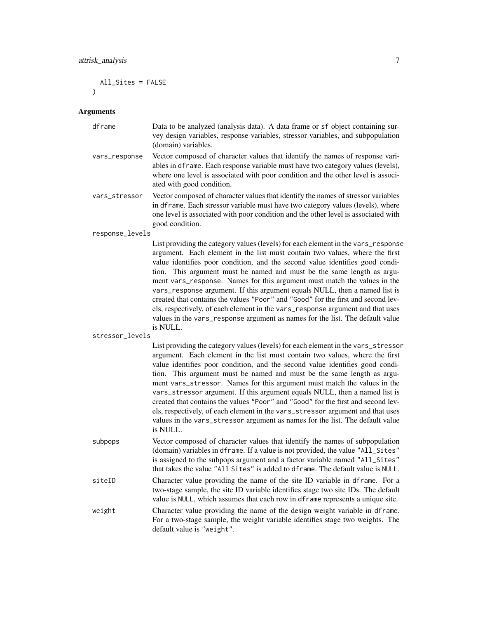All\_Sites = FALSE  $\lambda$ 

#### Arguments

| dframe | Data to be analyzed (analysis data). A data frame or sf object containing sur-  |
|--------|---------------------------------------------------------------------------------|
|        | vey design variables, response variables, stressor variables, and subpopulation |
|        | (domain) variables.                                                             |

- vars\_response Vector composed of character values that identify the names of response variables in dframe. Each response variable must have two category values (levels), where one level is associated with poor condition and the other level is associated with good condition.
- vars\_stressor Vector composed of character values that identify the names of stressor variables in dframe. Each stressor variable must have two category values (levels), where one level is associated with poor condition and the other level is associated with good condition.

response\_levels

List providing the category values (levels) for each element in the vars\_response argument. Each element in the list must contain two values, where the first value identifies poor condition, and the second value identifies good condition. This argument must be named and must be the same length as argument vars\_response. Names for this argument must match the values in the vars\_response argument. If this argument equals NULL, then a named list is created that contains the values "Poor" and "Good" for the first and second levels, respectively, of each element in the vars\_response argument and that uses values in the vars\_response argument as names for the list. The default value is NULL.

```
stressor_levels
```
List providing the category values (levels) for each element in the vars\_stressor argument. Each element in the list must contain two values, where the first value identifies poor condition, and the second value identifies good condition. This argument must be named and must be the same length as argument vars\_stressor. Names for this argument must match the values in the vars\_stressor argument. If this argument equals NULL, then a named list is created that contains the values "Poor" and "Good" for the first and second levels, respectively, of each element in the vars\_stressor argument and that uses values in the vars\_stressor argument as names for the list. The default value is NULL.

subpops Vector composed of character values that identify the names of subpopulation (domain) variables in dframe. If a value is not provided, the value "All\_Sites" is assigned to the subpops argument and a factor variable named "All\_Sites" that takes the value "All Sites" is added to dframe. The default value is NULL. siteID Character value providing the name of the site ID variable in dframe. For a two-stage sample, the site ID variable identifies stage two site IDs. The default value is NULL, which assumes that each row in dframe represents a unique site.

weight Character value providing the name of the design weight variable in dframe. For a two-stage sample, the weight variable identifies stage two weights. The default value is "weight".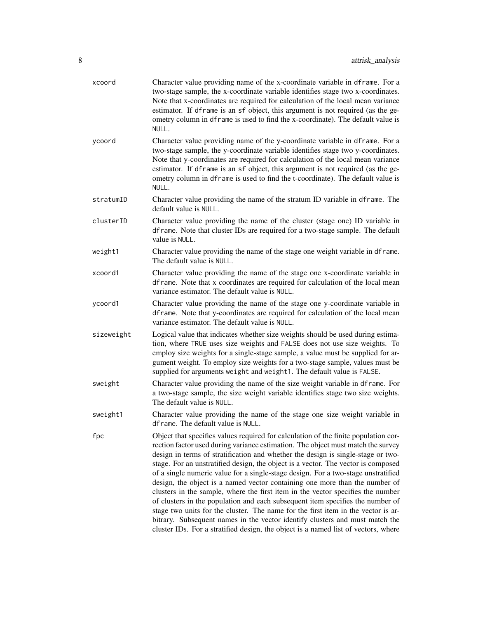| xcoord     | Character value providing name of the x-coordinate variable in dframe. For a<br>two-stage sample, the x-coordinate variable identifies stage two x-coordinates.<br>Note that x-coordinates are required for calculation of the local mean variance<br>estimator. If dframe is an sf object, this argument is not required (as the ge-<br>ometry column in dframe is used to find the x-coordinate). The default value is<br>NULL.                                                                                                                                                                                                                                                                                                                                                                                                                                                                                                                    |
|------------|------------------------------------------------------------------------------------------------------------------------------------------------------------------------------------------------------------------------------------------------------------------------------------------------------------------------------------------------------------------------------------------------------------------------------------------------------------------------------------------------------------------------------------------------------------------------------------------------------------------------------------------------------------------------------------------------------------------------------------------------------------------------------------------------------------------------------------------------------------------------------------------------------------------------------------------------------|
| ycoord     | Character value providing name of the y-coordinate variable in dframe. For a<br>two-stage sample, the y-coordinate variable identifies stage two y-coordinates.<br>Note that y-coordinates are required for calculation of the local mean variance<br>estimator. If dframe is an sf object, this argument is not required (as the ge-<br>ometry column in dframe is used to find the t-coordinate). The default value is<br>NULL.                                                                                                                                                                                                                                                                                                                                                                                                                                                                                                                    |
| stratumID  | Character value providing the name of the stratum ID variable in dframe. The<br>default value is NULL.                                                                                                                                                                                                                                                                                                                                                                                                                                                                                                                                                                                                                                                                                                                                                                                                                                               |
| clusterID  | Character value providing the name of the cluster (stage one) ID variable in<br>dframe. Note that cluster IDs are required for a two-stage sample. The default<br>value is NULL.                                                                                                                                                                                                                                                                                                                                                                                                                                                                                                                                                                                                                                                                                                                                                                     |
| weight1    | Character value providing the name of the stage one weight variable in dframe.<br>The default value is NULL.                                                                                                                                                                                                                                                                                                                                                                                                                                                                                                                                                                                                                                                                                                                                                                                                                                         |
| xcoord1    | Character value providing the name of the stage one x-coordinate variable in<br>dframe. Note that x coordinates are required for calculation of the local mean<br>variance estimator. The default value is NULL.                                                                                                                                                                                                                                                                                                                                                                                                                                                                                                                                                                                                                                                                                                                                     |
| ycoord1    | Character value providing the name of the stage one y-coordinate variable in<br>dframe. Note that y-coordinates are required for calculation of the local mean<br>variance estimator. The default value is NULL.                                                                                                                                                                                                                                                                                                                                                                                                                                                                                                                                                                                                                                                                                                                                     |
| sizeweight | Logical value that indicates whether size weights should be used during estima-<br>tion, where TRUE uses size weights and FALSE does not use size weights. To<br>employ size weights for a single-stage sample, a value must be supplied for ar-<br>gument weight. To employ size weights for a two-stage sample, values must be<br>supplied for arguments weight and weight1. The default value is FALSE.                                                                                                                                                                                                                                                                                                                                                                                                                                                                                                                                           |
| sweight    | Character value providing the name of the size weight variable in dframe. For<br>a two-stage sample, the size weight variable identifies stage two size weights.<br>The default value is NULL.                                                                                                                                                                                                                                                                                                                                                                                                                                                                                                                                                                                                                                                                                                                                                       |
| sweight1   | Character value providing the name of the stage one size weight variable in<br>dframe. The default value is NULL.                                                                                                                                                                                                                                                                                                                                                                                                                                                                                                                                                                                                                                                                                                                                                                                                                                    |
| fpc        | Object that specifies values required for calculation of the finite population cor-<br>rection factor used during variance estimation. The object must match the survey<br>design in terms of stratification and whether the design is single-stage or two-<br>stage. For an unstratified design, the object is a vector. The vector is composed<br>of a single numeric value for a single-stage design. For a two-stage unstratified<br>design, the object is a named vector containing one more than the number of<br>clusters in the sample, where the first item in the vector specifies the number<br>of clusters in the population and each subsequent item specifies the number of<br>stage two units for the cluster. The name for the first item in the vector is ar-<br>bitrary. Subsequent names in the vector identify clusters and must match the<br>cluster IDs. For a stratified design, the object is a named list of vectors, where |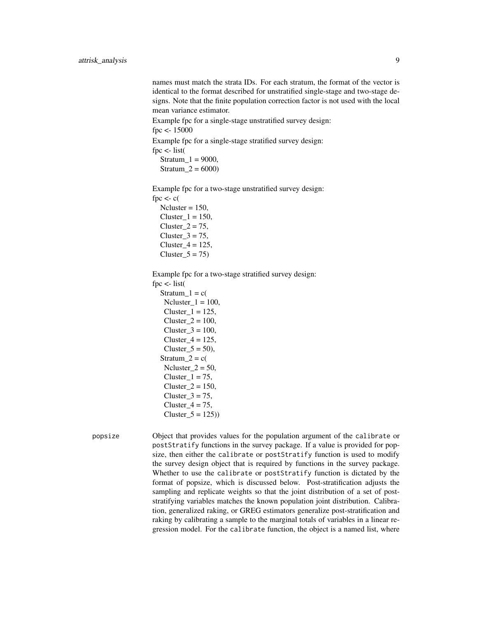names must match the strata IDs. For each stratum, the format of the vector is identical to the format described for unstratified single-stage and two-stage designs. Note that the finite population correction factor is not used with the local mean variance estimator.

Example fpc for a single-stage unstratified survey design: fpc <- 15000

Example fpc for a single-stage stratified survey design:

fpc  $\lt$ - list(

 $Stratum_1 = 9000,$ Stratum  $2 = 6000$ 

Example fpc for a two-stage unstratified survey design: fpc  $\lt$ - c(  $Ncluster = 150$ ,

Cluster  $1 = 150$ , Cluster $2 = 75$ ,  $Cluster_3 = 75$ ,  $Cluster_4 = 125$ ,  $Cluster_5 = 75$ 

Example fpc for a two-stage stratified survey design:

fpc <- list(

 $Stratum_1 = c($  $Ncluster_1 = 100$ , Cluster  $1 = 125$ ,  $Cluster_2 = 100$ ,  $Cluster_3 = 100$ ,  $Cluster_4 = 125$ , Cluster $_5 = 50$ , Stratum $2 = c($  $Ncluster_2 = 50$ , Cluster $1 = 75$ ,  $Cluster_2 = 150$ , Cluster $3 = 75$ , Cluster $4 = 75$ , Cluster  $5 = 125$ )

popsize Object that provides values for the population argument of the calibrate or postStratify functions in the survey package. If a value is provided for popsize, then either the calibrate or postStratify function is used to modify the survey design object that is required by functions in the survey package. Whether to use the calibrate or postStratify function is dictated by the format of popsize, which is discussed below. Post-stratification adjusts the sampling and replicate weights so that the joint distribution of a set of poststratifying variables matches the known population joint distribution. Calibration, generalized raking, or GREG estimators generalize post-stratification and raking by calibrating a sample to the marginal totals of variables in a linear regression model. For the calibrate function, the object is a named list, where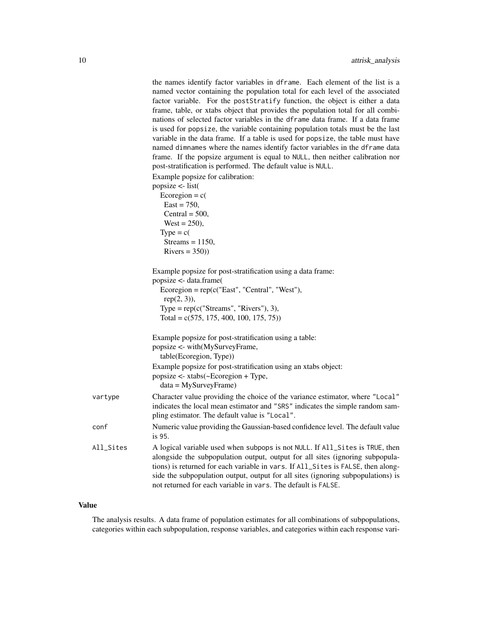|           | the names identify factor variables in dframe. Each element of the list is a<br>named vector containing the population total for each level of the associated<br>factor variable. For the postStratify function, the object is either a data<br>frame, table, or xtabs object that provides the population total for all combi-<br>nations of selected factor variables in the dframe data frame. If a data frame<br>is used for popsize, the variable containing population totals must be the last<br>variable in the data frame. If a table is used for popsize, the table must have<br>named dimnames where the names identify factor variables in the dframe data<br>frame. If the popsize argument is equal to NULL, then neither calibration nor<br>post-stratification is performed. The default value is NULL.<br>Example popsize for calibration:<br>popsize $\le$ - list(<br>Ecoregion = $c($<br>$East = 750,$<br>Central = $500$ ,<br>$West = 250$ ,<br>$Type = c($ |
|-----------|---------------------------------------------------------------------------------------------------------------------------------------------------------------------------------------------------------------------------------------------------------------------------------------------------------------------------------------------------------------------------------------------------------------------------------------------------------------------------------------------------------------------------------------------------------------------------------------------------------------------------------------------------------------------------------------------------------------------------------------------------------------------------------------------------------------------------------------------------------------------------------------------------------------------------------------------------------------------------------|
|           | Streams = $1150$ ,<br>$Rivers = 350)$                                                                                                                                                                                                                                                                                                                                                                                                                                                                                                                                                                                                                                                                                                                                                                                                                                                                                                                                           |
|           | Example popsize for post-stratification using a data frame:<br>popsize <- data.frame(<br>Ecoregion = $rep(c("East", "Central", "West"),$<br>$rep(2, 3)$ ),<br>Type = $rep(c("Streams", "Rivers"), 3),$<br>Total = $c(575, 175, 400, 100, 175, 75)$                                                                                                                                                                                                                                                                                                                                                                                                                                                                                                                                                                                                                                                                                                                              |
|           | Example popsize for post-stratification using a table:<br>popsize <- with(MySurveyFrame,<br>table(Ecoregion, Type))                                                                                                                                                                                                                                                                                                                                                                                                                                                                                                                                                                                                                                                                                                                                                                                                                                                             |
|           | Example popsize for post-stratification using an xtabs object:<br>popsize <- xtabs(~Ecoregion + Type,<br>$data = MySurveyFrame)$                                                                                                                                                                                                                                                                                                                                                                                                                                                                                                                                                                                                                                                                                                                                                                                                                                                |
| vartype   | Character value providing the choice of the variance estimator, where "Local"<br>indicates the local mean estimator and "SRS" indicates the simple random sam-<br>pling estimator. The default value is "Local".                                                                                                                                                                                                                                                                                                                                                                                                                                                                                                                                                                                                                                                                                                                                                                |
| conf      | Numeric value providing the Gaussian-based confidence level. The default value<br>is 95.                                                                                                                                                                                                                                                                                                                                                                                                                                                                                                                                                                                                                                                                                                                                                                                                                                                                                        |
| All_Sites | A logical variable used when subpops is not NULL. If All_Sites is TRUE, then<br>alongside the subpopulation output, output for all sites (ignoring subpopula-<br>tions) is returned for each variable in vars. If All_Sites is FALSE, then along-<br>side the subpopulation output, output for all sites (ignoring subpopulations) is<br>not returned for each variable in vars. The default is FALSE.                                                                                                                                                                                                                                                                                                                                                                                                                                                                                                                                                                          |

The analysis results. A data frame of population estimates for all combinations of subpopulations, categories within each subpopulation, response variables, and categories within each response vari-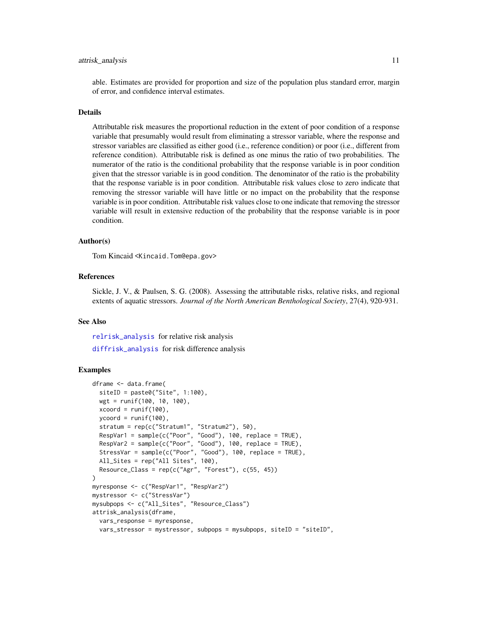#### attrisk\_analysis 11

able. Estimates are provided for proportion and size of the population plus standard error, margin of error, and confidence interval estimates.

## Details

Attributable risk measures the proportional reduction in the extent of poor condition of a response variable that presumably would result from eliminating a stressor variable, where the response and stressor variables are classified as either good (i.e., reference condition) or poor (i.e., different from reference condition). Attributable risk is defined as one minus the ratio of two probabilities. The numerator of the ratio is the conditional probability that the response variable is in poor condition given that the stressor variable is in good condition. The denominator of the ratio is the probability that the response variable is in poor condition. Attributable risk values close to zero indicate that removing the stressor variable will have little or no impact on the probability that the response variable is in poor condition. Attributable risk values close to one indicate that removing the stressor variable will result in extensive reduction of the probability that the response variable is in poor condition.

## Author(s)

Tom Kincaid <Kincaid.Tom@epa.gov>

## References

Sickle, J. V., & Paulsen, S. G. (2008). Assessing the attributable risks, relative risks, and regional extents of aquatic stressors. *Journal of the North American Benthological Society*, 27(4), 920-931.

## See Also

[relrisk\\_analysis](#page-72-1) for relative risk analysis [diffrisk\\_analysis](#page-39-1) for risk difference analysis

## Examples

```
dframe <- data.frame(
 siteID = paste0("Site", 1:100),
 wgt = runif(100, 10, 100),
 xcoord = runif(100),
 ycoord = runif(100),
 stratum = rep(c("Stratum1", "Stratum2"), 50),
 RespVar1 = sample(c("Poor", "Good"), 100, replace = TRUE),
 RespVar2 = sample(c("Poor", "Good"), 100, replace = TRUE),StressVar = sample(c("Poor", "Good"), 100, replace = TRUE),
 All_Sites = rep("All Sites", 100),
 Resource\_Class = rep(c("Agr", "Forest"), c(55, 45)))
myresponse <- c("RespVar1", "RespVar2")
mystressor <- c("StressVar")
mysubpops <- c("All_Sites", "Resource_Class")
attrisk_analysis(dframe,
 vars_response = myresponse,
 vars_stressor = mystressor, subpops = mysubpops, siteID = "siteID",
```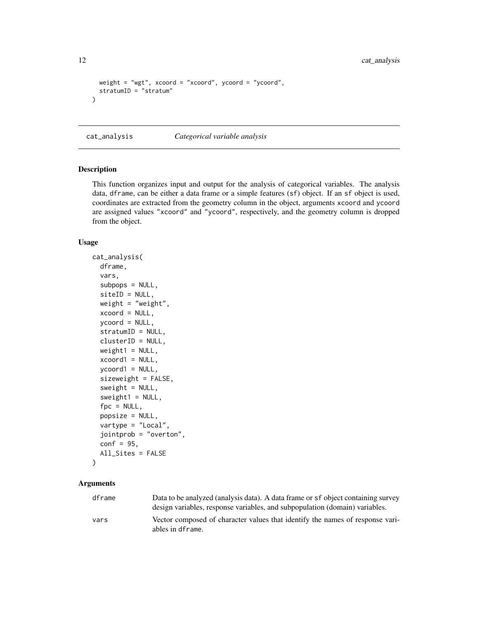```
weight = "wgt", xcoord = "xcoord", ycoord = "ycoord",
 stratumID = "stratum"
)
```
<span id="page-11-1"></span>cat\_analysis *Categorical variable analysis*

## Description

This function organizes input and output for the analysis of categorical variables. The analysis data, dframe, can be either a data frame or a simple features (sf) object. If an sf object is used, coordinates are extracted from the geometry column in the object, arguments xcoord and ycoord are assigned values "xcoord" and "ycoord", respectively, and the geometry column is dropped from the object.

#### Usage

```
cat_analysis(
  dframe,
  vars,
  subpos = NULL,siteID = NULL,
  weight = "weight",
  xcoord = NULL,
  ycoord = NULL,
  stratumID = NULL,
  clusterID = NULL,
  weight1 = NULL,xcoord1 = NULL,
  ycoord1 = NULL,sizeweight = FALSE,
  sweight = NULL,sweight1 = NULL,fpc = NULL,popsize = NULL,
  vartype = "Local",
  jointprob = "overton",
  conf = 95,
  All_Sites = FALSE
```

```
\lambda
```
## Arguments

| dframe | Data to be analyzed (analysis data). A data frame or sf object containing survey<br>design variables, response variables, and subpopulation (domain) variables. |
|--------|-----------------------------------------------------------------------------------------------------------------------------------------------------------------|
| vars   | Vector composed of character values that identify the names of response vari-<br>ables in dframe.                                                               |

<span id="page-11-0"></span>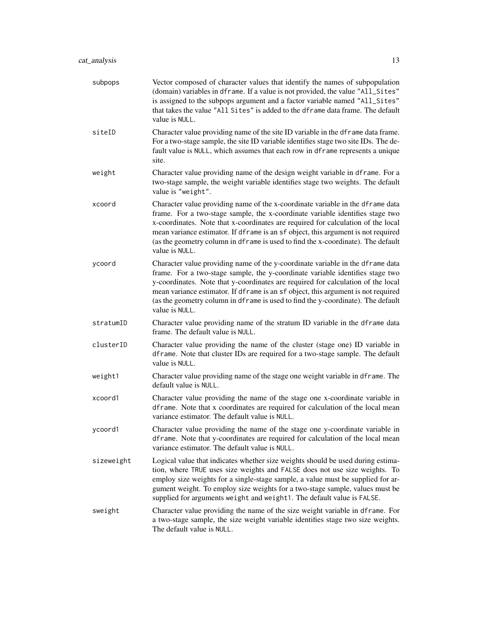| subpops    | Vector composed of character values that identify the names of subpopulation<br>(domain) variables in dframe. If a value is not provided, the value "All_Sites"<br>is assigned to the subpops argument and a factor variable named "All_Sites"<br>that takes the value "All Sites" is added to the dframe data frame. The default<br>value is NULL.                                                                                            |
|------------|------------------------------------------------------------------------------------------------------------------------------------------------------------------------------------------------------------------------------------------------------------------------------------------------------------------------------------------------------------------------------------------------------------------------------------------------|
| siteID     | Character value providing name of the site ID variable in the dframe data frame.<br>For a two-stage sample, the site ID variable identifies stage two site IDs. The de-<br>fault value is NULL, which assumes that each row in dframe represents a unique<br>site.                                                                                                                                                                             |
| weight     | Character value providing name of the design weight variable in dframe. For a<br>two-stage sample, the weight variable identifies stage two weights. The default<br>value is "weight".                                                                                                                                                                                                                                                         |
| xcoord     | Character value providing name of the x-coordinate variable in the dframe data<br>frame. For a two-stage sample, the x-coordinate variable identifies stage two<br>x-coordinates. Note that x-coordinates are required for calculation of the local<br>mean variance estimator. If dframe is an sf object, this argument is not required<br>(as the geometry column in dframe is used to find the x-coordinate). The default<br>value is NULL. |
| ycoord     | Character value providing name of the y-coordinate variable in the dframe data<br>frame. For a two-stage sample, the y-coordinate variable identifies stage two<br>y-coordinates. Note that y-coordinates are required for calculation of the local<br>mean variance estimator. If dframe is an sf object, this argument is not required<br>(as the geometry column in dframe is used to find the y-coordinate). The default<br>value is NULL. |
| stratumID  | Character value providing name of the stratum ID variable in the dframe data<br>frame. The default value is NULL.                                                                                                                                                                                                                                                                                                                              |
| clusterID  | Character value providing the name of the cluster (stage one) ID variable in<br>dframe. Note that cluster IDs are required for a two-stage sample. The default<br>value is NULL.                                                                                                                                                                                                                                                               |
| weight1    | Character value providing name of the stage one weight variable in dframe. The<br>default value is NULL.                                                                                                                                                                                                                                                                                                                                       |
| xcoord1    | Character value providing the name of the stage one x-coordinate variable in<br>dframe. Note that x coordinates are required for calculation of the local mean<br>variance estimator. The default value is NULL.                                                                                                                                                                                                                               |
| ycoord1    | Character value providing the name of the stage one y-coordinate variable in<br>dframe. Note that y-coordinates are required for calculation of the local mean<br>variance estimator. The default value is NULL.                                                                                                                                                                                                                               |
| sizeweight | Logical value that indicates whether size weights should be used during estima-<br>tion, where TRUE uses size weights and FALSE does not use size weights. To<br>employ size weights for a single-stage sample, a value must be supplied for ar-<br>gument weight. To employ size weights for a two-stage sample, values must be<br>supplied for arguments weight and weight1. The default value is FALSE.                                     |
| sweight    | Character value providing the name of the size weight variable in dframe. For<br>a two-stage sample, the size weight variable identifies stage two size weights.<br>The default value is NULL.                                                                                                                                                                                                                                                 |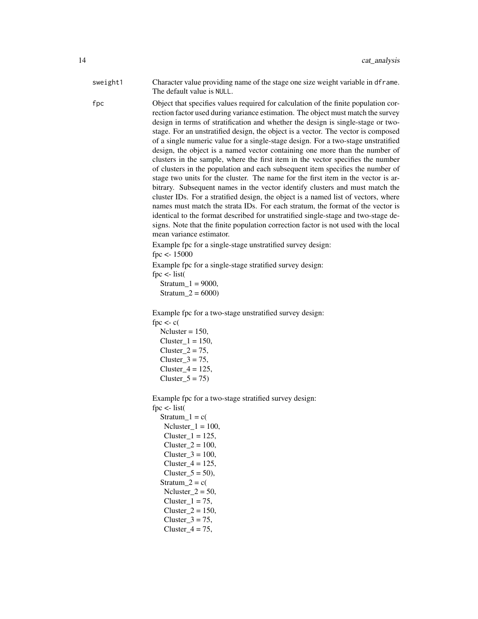| sweight1 | Character value providing name of the stage one size weight variable in dframe. |
|----------|---------------------------------------------------------------------------------|
|          | The default value is NULL.                                                      |

fpc Object that specifies values required for calculation of the finite population correction factor used during variance estimation. The object must match the survey design in terms of stratification and whether the design is single-stage or twostage. For an unstratified design, the object is a vector. The vector is composed of a single numeric value for a single-stage design. For a two-stage unstratified design, the object is a named vector containing one more than the number of clusters in the sample, where the first item in the vector specifies the number of clusters in the population and each subsequent item specifies the number of stage two units for the cluster. The name for the first item in the vector is arbitrary. Subsequent names in the vector identify clusters and must match the cluster IDs. For a stratified design, the object is a named list of vectors, where names must match the strata IDs. For each stratum, the format of the vector is identical to the format described for unstratified single-stage and two-stage designs. Note that the finite population correction factor is not used with the local mean variance estimator.

> Example fpc for a single-stage unstratified survey design: fpc <- 15000

Example fpc for a single-stage stratified survey design: fpc  $\lt$ - list(

 $Stratum_1 = 9000,$  $Stratum_2 = 6000$ 

Example fpc for a two-stage unstratified survey design: fpc  $\lt$ - c(

 $Ncluster = 150$ , Cluster  $1 = 150$ , Cluster  $2 = 75$ ,  $Cluster_3 = 75$ , Cluster  $4 = 125$ ,  $Cluster_5 = 75$ 

Example fpc for a two-stage stratified survey design: fpc  $\lt$ - list(  $Stratum_1 = c($ Ncluster  $1 = 100$ ,

 $Cluster_1 = 125$ , Cluster $2 = 100$ ,  $Cluster_3 = 100$ , Cluster $_4$  = 125,  $Cluster_5 = 50$ , Stratum  $2 = c($ Ncluster $2 = 50$ , Cluster  $1 = 75$ ,  $Cluster_2 = 150$ , Cluster  $3 = 75$ ,

Cluster $_4$  = 75,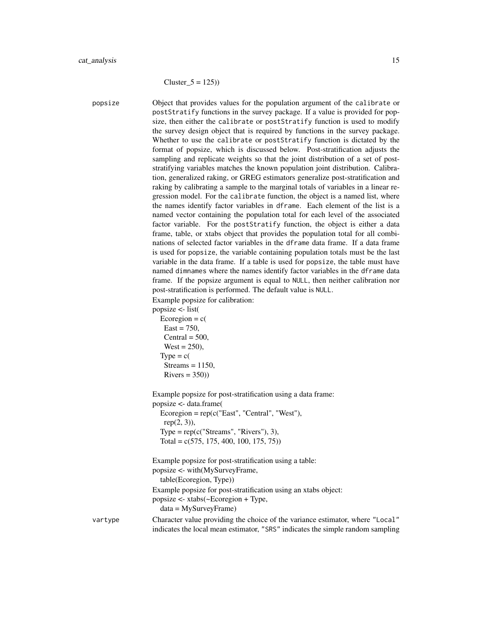$Cluster_5 = 125)$ 

popsize Object that provides values for the population argument of the calibrate or postStratify functions in the survey package. If a value is provided for popsize, then either the calibrate or postStratify function is used to modify the survey design object that is required by functions in the survey package. Whether to use the calibrate or postStratify function is dictated by the format of popsize, which is discussed below. Post-stratification adjusts the sampling and replicate weights so that the joint distribution of a set of poststratifying variables matches the known population joint distribution. Calibration, generalized raking, or GREG estimators generalize post-stratification and raking by calibrating a sample to the marginal totals of variables in a linear regression model. For the calibrate function, the object is a named list, where the names identify factor variables in dframe. Each element of the list is a named vector containing the population total for each level of the associated factor variable. For the postStratify function, the object is either a data frame, table, or xtabs object that provides the population total for all combinations of selected factor variables in the dframe data frame. If a data frame is used for popsize, the variable containing population totals must be the last variable in the data frame. If a table is used for popsize, the table must have named dimnames where the names identify factor variables in the dframe data frame. If the popsize argument is equal to NULL, then neither calibration nor post-stratification is performed. The default value is NULL. Example popsize for calibration: popsize <- list( Ecoregion =  $c$ (  $East = 750$ .  $Central = 500,$  $West = 250$ ),  $Type = c($  $Streams = 1150$ ,  $Rivers = 350)$ 

> Example popsize for post-stratification using a data frame: popsize <- data.frame(

 $Ecoregion = rep(c("East", "Central", "West"),$  $rep(2, 3)$ ),  $Type = rep(c("Streams", "Rivers"), 3),$ Total =  $c(575, 175, 400, 100, 175, 75)$ 

Example popsize for post-stratification using a table: popsize <- with(MySurveyFrame, table(Ecoregion, Type)) Example popsize for post-stratification using an xtabs object: popsize <- xtabs(~Ecoregion + Type, data = MySurveyFrame) vartype Character value providing the choice of the variance estimator, where "Local"

indicates the local mean estimator, "SRS" indicates the simple random sampling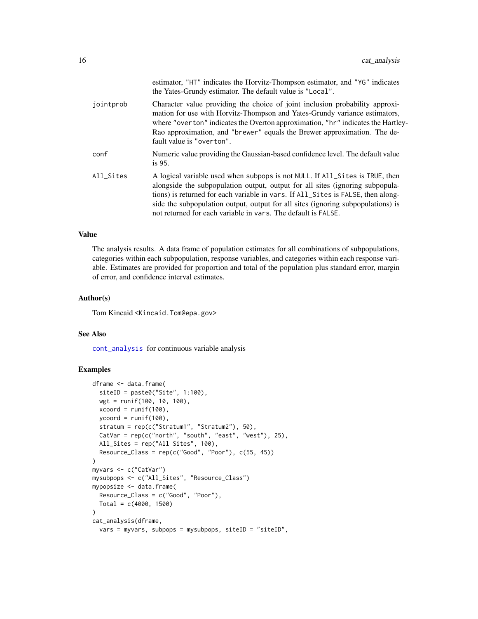|           | estimator, "HT" indicates the Horvitz-Thompson estimator, and "YG" indicates<br>the Yates-Grundy estimator. The default value is "Local".                                                                                                                                                                                                                                                              |
|-----------|--------------------------------------------------------------------------------------------------------------------------------------------------------------------------------------------------------------------------------------------------------------------------------------------------------------------------------------------------------------------------------------------------------|
| jointprob | Character value providing the choice of joint inclusion probability approxi-<br>mation for use with Horvitz-Thompson and Yates-Grundy variance estimators,<br>where "overton" indicates the Overton approximation, "hr" indicates the Hartley-<br>Rao approximation, and "brewer" equals the Brewer approximation. The de-<br>fault value is "overton".                                                |
| conf      | Numeric value providing the Gaussian-based confidence level. The default value<br>is 95.                                                                                                                                                                                                                                                                                                               |
| All_Sites | A logical variable used when subpops is not NULL. If All_Sites is TRUE, then<br>alongside the subpopulation output, output for all sites (ignoring subpopula-<br>tions) is returned for each variable in vars. If All_Sites is FALSE, then along-<br>side the subpopulation output, output for all sites (ignoring subpopulations) is<br>not returned for each variable in vars. The default is FALSE. |

The analysis results. A data frame of population estimates for all combinations of subpopulations, categories within each subpopulation, response variables, and categories within each response variable. Estimates are provided for proportion and total of the population plus standard error, margin of error, and confidence interval estimates.

#### Author(s)

Tom Kincaid <Kincaid.Tom@epa.gov>

#### See Also

[cont\\_analysis](#page-24-1) for continuous variable analysis

## Examples

```
dframe <- data.frame(
  siteID = paste0("Site", 1:100),
 wgt = runif(100, 10, 100),
 xcoord = runif(100),
 ycoord = runif(100),
  stratum = rep(c("Stratum1", "Stratum2"), 50),
  CatVar = rep(c("north", "south", "east", "west"), 25),
  All_Sites = rep("All Sites", 100),
  Resource\_Class = rep(c("Good", "Poor"), c(55, 45))\mathcal{L}myvars <- c("CatVar")
mysubpops <- c("All_Sites", "Resource_Class")
mypopsize <- data.frame(
  Resource_Class = c("Good", "Poor"),
  Total = c(4000, 1500))
cat_analysis(dframe,
  vars = myvars, subpops = mysubpops, siteID = "siteID",
```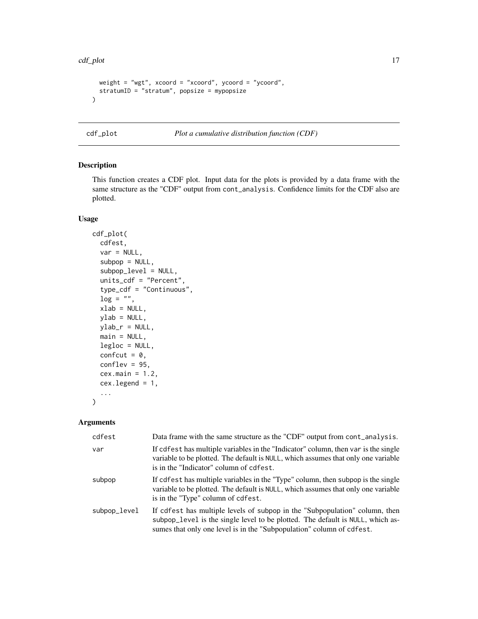```
weight = "wgt", xcoord = "xcoord", ycoord = "ycoord",
 stratumID = "stratum", popsize = mypopsize
)
```
<span id="page-16-1"></span>

cdf\_plot *Plot a cumulative distribution function (CDF)*

#### Description

This function creates a CDF plot. Input data for the plots is provided by a data frame with the same structure as the "CDF" output from cont\_analysis. Confidence limits for the CDF also are plotted.

## Usage

```
cdf_plot(
  cdfest,
  var = NULL,subpop = NULL,subpop_level = NULL,
  units_cdf = "Percent",
  type_cdf = "Continuous",
  log = "".xlab = NULL,
  ylab = NULL,
 ylab_r = NULL,main = NULL,legloc = NULL,
  confcut = 0,
  conflex = 95,
  cex.main = 1.2,cex.legend = 1,
  ...
)
```
#### Arguments

| cdfest       | Data frame with the same structure as the "CDF" output from cont_analysis.                                                                                                                                                             |
|--------------|----------------------------------------------------------------------------------------------------------------------------------------------------------------------------------------------------------------------------------------|
| var          | If cdfest has multiple variables in the "Indicator" column, then var is the single<br>variable to be plotted. The default is NULL, which assumes that only one variable<br>is in the "Indicator" column of cdfest.                     |
| subpop       | If cdfest has multiple variables in the "Type" column, then subpop is the single<br>variable to be plotted. The default is NULL, which assumes that only one variable<br>is in the "Type" column of cdfest.                            |
| subpop_level | If cdfest has multiple levels of subpop in the "Subpopulation" column, then<br>subpop_level is the single level to be plotted. The default is NULL, which as-<br>sumes that only one level is in the "Subpopulation" column of cdfest. |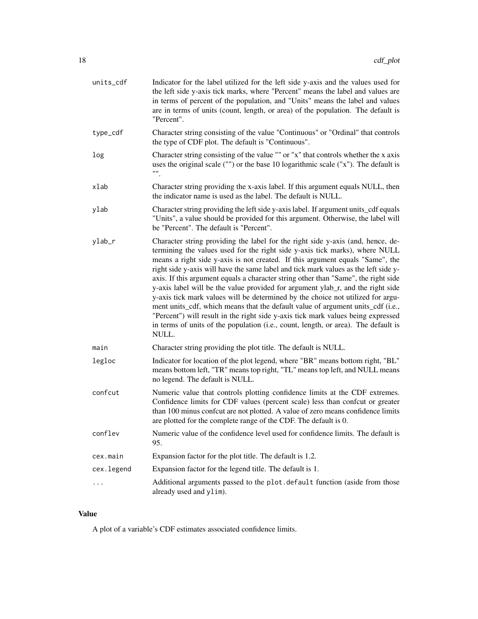| units_cdf  | Indicator for the label utilized for the left side y-axis and the values used for<br>the left side y-axis tick marks, where "Percent" means the label and values are<br>in terms of percent of the population, and "Units" means the label and values<br>are in terms of units (count, length, or area) of the population. The default is<br>"Percent".                                                                                                                                                                                                                                                                                                                                                                                                                                                                                                                  |
|------------|--------------------------------------------------------------------------------------------------------------------------------------------------------------------------------------------------------------------------------------------------------------------------------------------------------------------------------------------------------------------------------------------------------------------------------------------------------------------------------------------------------------------------------------------------------------------------------------------------------------------------------------------------------------------------------------------------------------------------------------------------------------------------------------------------------------------------------------------------------------------------|
| type_cdf   | Character string consisting of the value "Continuous" or "Ordinal" that controls<br>the type of CDF plot. The default is "Continuous".                                                                                                                                                                                                                                                                                                                                                                                                                                                                                                                                                                                                                                                                                                                                   |
| log        | Character string consisting of the value "" or "x" that controls whether the x axis<br>uses the original scale ("") or the base 10 logarithmic scale ("x"). The default is<br>"".                                                                                                                                                                                                                                                                                                                                                                                                                                                                                                                                                                                                                                                                                        |
| xlab       | Character string providing the x-axis label. If this argument equals NULL, then<br>the indicator name is used as the label. The default is NULL.                                                                                                                                                                                                                                                                                                                                                                                                                                                                                                                                                                                                                                                                                                                         |
| ylab       | Character string providing the left side y-axis label. If argument units_cdf equals<br>"Units", a value should be provided for this argument. Otherwise, the label will<br>be "Percent". The default is "Percent".                                                                                                                                                                                                                                                                                                                                                                                                                                                                                                                                                                                                                                                       |
| ylab_r     | Character string providing the label for the right side y-axis (and, hence, de-<br>termining the values used for the right side y-axis tick marks), where NULL<br>means a right side y-axis is not created. If this argument equals "Same", the<br>right side y-axis will have the same label and tick mark values as the left side y-<br>axis. If this argument equals a character string other than "Same", the right side<br>y-axis label will be the value provided for argument ylab_r, and the right side<br>y-axis tick mark values will be determined by the choice not utilized for argu-<br>ment units_cdf, which means that the default value of argument units_cdf (i.e.,<br>"Percent") will result in the right side y-axis tick mark values being expressed<br>in terms of units of the population (i.e., count, length, or area). The default is<br>NULL. |
| main       | Character string providing the plot title. The default is NULL.                                                                                                                                                                                                                                                                                                                                                                                                                                                                                                                                                                                                                                                                                                                                                                                                          |
| legloc     | Indicator for location of the plot legend, where "BR" means bottom right, "BL"<br>means bottom left, "TR" means top right, "TL" means top left, and NULL means<br>no legend. The default is NULL.                                                                                                                                                                                                                                                                                                                                                                                                                                                                                                                                                                                                                                                                        |
| confcut    | Numeric value that controls plotting confidence limits at the CDF extremes.<br>Confidence limits for CDF values (percent scale) less than confcut or greater<br>than 100 minus confcut are not plotted. A value of zero means confidence limits<br>are plotted for the complete range of the CDF. The default is 0.                                                                                                                                                                                                                                                                                                                                                                                                                                                                                                                                                      |
| conflev    | Numeric value of the confidence level used for confidence limits. The default is<br>95.                                                                                                                                                                                                                                                                                                                                                                                                                                                                                                                                                                                                                                                                                                                                                                                  |
| cex.main   | Expansion factor for the plot title. The default is 1.2.                                                                                                                                                                                                                                                                                                                                                                                                                                                                                                                                                                                                                                                                                                                                                                                                                 |
| cex.legend | Expansion factor for the legend title. The default is 1.                                                                                                                                                                                                                                                                                                                                                                                                                                                                                                                                                                                                                                                                                                                                                                                                                 |
|            | Additional arguments passed to the plot.default function (aside from those<br>already used and ylim).                                                                                                                                                                                                                                                                                                                                                                                                                                                                                                                                                                                                                                                                                                                                                                    |

A plot of a variable's CDF estimates associated confidence limits.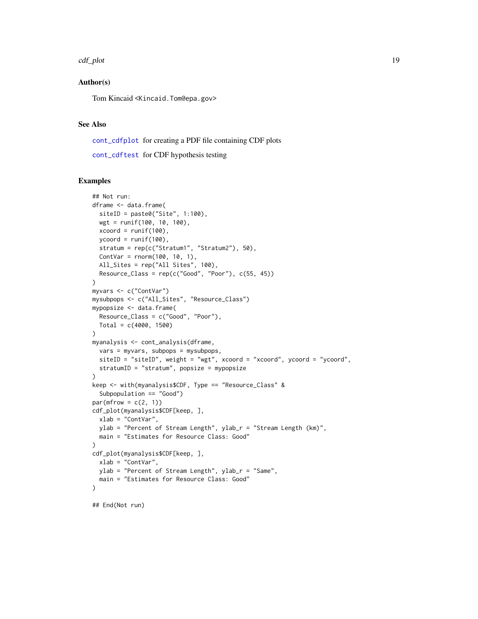```
cdf_plot 19
```
## Author(s)

Tom Kincaid <Kincaid.Tom@epa.gov>

## See Also

[cont\\_cdfplot](#page-30-1) for creating a PDF file containing CDF plots

[cont\\_cdftest](#page-32-1) for CDF hypothesis testing

## Examples

```
## Not run:
dframe <- data.frame(
  siteID = paste0("Site", 1:100),
  wgt = runif(100, 10, 100),
  xcoord = runif(100),
  ycoord = runif(100),
  stratum = rep(c("Stratum1", "Stratum2"), 50),
  ContVar = rnorm(100, 10, 1),
 All_Sites = rep("All Sites", 100),
  Resource\_Class = rep(c("Good", "Poor"), c(55, 45))\lambdamyvars <- c("ContVar")
mysubpops <- c("All_Sites", "Resource_Class")
mypopsize <- data.frame(
  Resource_Class = c("Good", "Poor"),
  Total = c(4000, 1500)\lambdamyanalysis <- cont_analysis(dframe,
  vars = myvars, subpops = mysubpops,
  siteID = "siteID", weight = "wgt", xcoord = "xcoord", ycoord = "ycoord",
  stratumID = "stratum", popsize = mypopsize
)
keep <- with(myanalysis$CDF, Type == "Resource_Class" &
  Subpopulation == "Good")
par(mfrow = c(2, 1))cdf_plot(myanalysis$CDF[keep, ],
  xlab = "ContVar",
  ylab = "Percent of Stream Length", ylab_r = "Stream Length (km)",
  main = "Estimates for Resource Class: Good"
)
cdf_plot(myanalysis$CDF[keep, ],
  xlab = "ContVar",
  ylab = "Percent of Stream Length", ylab_r = "Same",
  main = "Estimates for Resource Class: Good"
)
```
## End(Not run)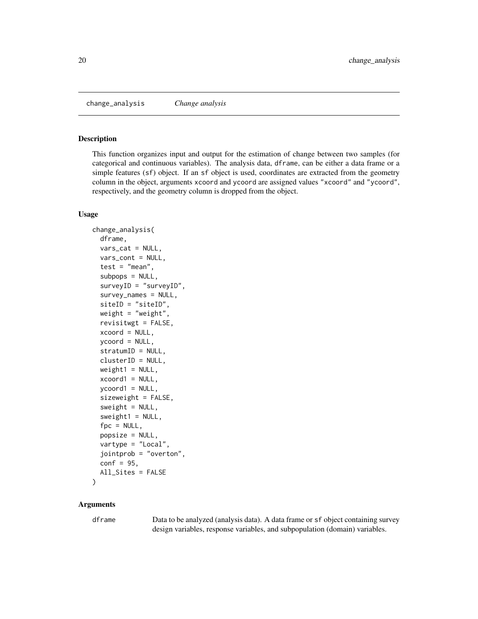<span id="page-19-0"></span>change\_analysis *Change analysis*

## Description

This function organizes input and output for the estimation of change between two samples (for categorical and continuous variables). The analysis data, dframe, can be either a data frame or a simple features (sf) object. If an sf object is used, coordinates are extracted from the geometry column in the object, arguments xcoord and ycoord are assigned values "xcoord" and "ycoord", respectively, and the geometry column is dropped from the object.

#### Usage

```
change_analysis(
  dframe,
  vars_cat = NULL,
  vars_cont = NULL,
  test = "mean",subpos = NULL,surveyID = "surveyID",
  survey\_names = NULL,
  siteID = "siteID",
  weight = "weight",
  revisitwgt = FALSE,
  xcoord = NULL,
  ycoord = NULL,
  stratumID = NULL,
  clusterID = NULL,
  weight1 = NULL,xcoord1 = NULL,
  ycoord1 = NULL,
  sizeweight = FALSE,sweight = NULL,sweight1 = NULL,fpc = NULL,popsize = NULL,
  vartype = "Local",
  jointprob = "overton",
  conf = 95,
  All_Sites = FALSE
\mathcal{E}
```
## Arguments

dframe Data to be analyzed (analysis data). A data frame or sf object containing survey design variables, response variables, and subpopulation (domain) variables.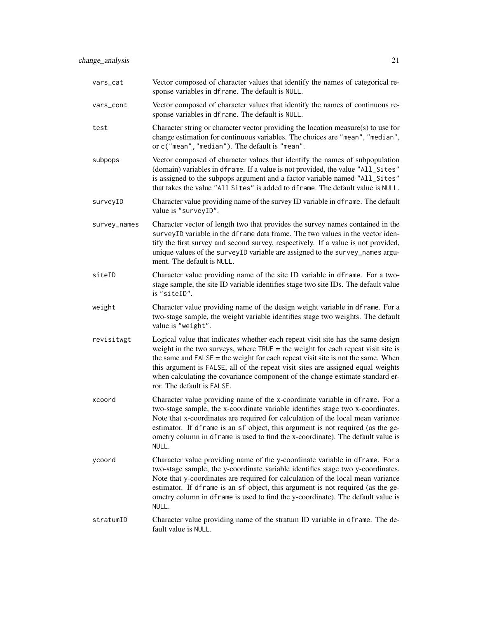| vars_cat     | Vector composed of character values that identify the names of categorical re-<br>sponse variables in dframe. The default is NULL.                                                                                                                                                                                                                                                                                                                             |
|--------------|----------------------------------------------------------------------------------------------------------------------------------------------------------------------------------------------------------------------------------------------------------------------------------------------------------------------------------------------------------------------------------------------------------------------------------------------------------------|
| vars_cont    | Vector composed of character values that identify the names of continuous re-<br>sponse variables in dframe. The default is NULL.                                                                                                                                                                                                                                                                                                                              |
| test         | Character string or character vector providing the location measure(s) to use for<br>change estimation for continuous variables. The choices are "mean", "median",<br>or c("mean", "median"). The default is "mean".                                                                                                                                                                                                                                           |
| subpops      | Vector composed of character values that identify the names of subpopulation<br>(domain) variables in dframe. If a value is not provided, the value "All_Sites"<br>is assigned to the subpops argument and a factor variable named "All_Sites"<br>that takes the value "All Sites" is added to dframe. The default value is NULL.                                                                                                                              |
| surveyID     | Character value providing name of the survey ID variable in dframe. The default<br>value is "surveyID".                                                                                                                                                                                                                                                                                                                                                        |
| survey_names | Character vector of length two that provides the survey names contained in the<br>surveyID variable in the dframe data frame. The two values in the vector iden-<br>tify the first survey and second survey, respectively. If a value is not provided,<br>unique values of the surveyID variable are assigned to the survey_names argu-<br>ment. The default is NULL.                                                                                          |
| siteID       | Character value providing name of the site ID variable in dframe. For a two-<br>stage sample, the site ID variable identifies stage two site IDs. The default value<br>is "siteID".                                                                                                                                                                                                                                                                            |
| weight       | Character value providing name of the design weight variable in dframe. For a<br>two-stage sample, the weight variable identifies stage two weights. The default<br>value is "weight".                                                                                                                                                                                                                                                                         |
| revisitwgt   | Logical value that indicates whether each repeat visit site has the same design<br>weight in the two surveys, where $TRUE =$ the weight for each repeat visit site is<br>the same and $FALSE$ = the weight for each repeat visit site is not the same. When<br>this argument is FALSE, all of the repeat visit sites are assigned equal weights<br>when calculating the covariance component of the change estimate standard er-<br>ror. The default is FALSE. |
| xcoord       | Character value providing name of the x-coordinate variable in dframe. For a<br>two-stage sample, the x-coordinate variable identifies stage two x-coordinates.<br>Note that x-coordinates are required for calculation of the local mean variance<br>estimator. If dframe is an sf object, this argument is not required (as the ge-<br>ometry column in dframe is used to find the x-coordinate). The default value is<br>NULL.                              |
| ycoord       | Character value providing name of the y-coordinate variable in dframe. For a<br>two-stage sample, the y-coordinate variable identifies stage two y-coordinates.<br>Note that y-coordinates are required for calculation of the local mean variance<br>estimator. If dframe is an sf object, this argument is not required (as the ge-<br>ometry column in dframe is used to find the y-coordinate). The default value is<br>NULL.                              |
| stratumID    | Character value providing name of the stratum ID variable in dframe. The de-<br>fault value is NULL.                                                                                                                                                                                                                                                                                                                                                           |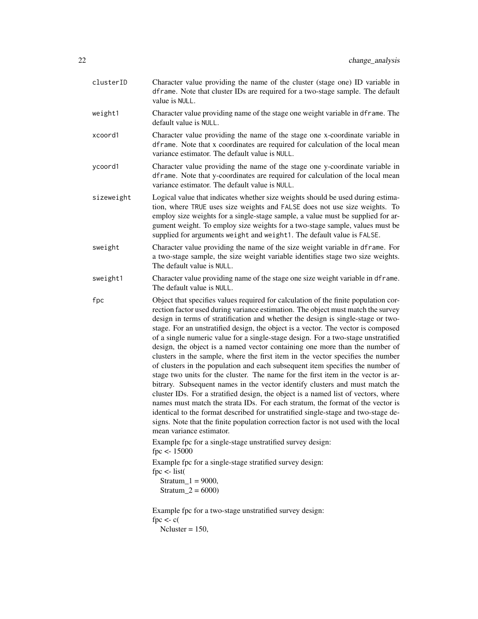| clusterID  | Character value providing the name of the cluster (stage one) ID variable in<br>dframe. Note that cluster IDs are required for a two-stage sample. The default<br>value is NULL.                                                                                                                                                                                                                                                                                                                                                                                                                                                                                                                                                                                                                                                                                                                                                                                                                                                                                                                                                                                                                                                                                                                                                                                                                                                                            |
|------------|-------------------------------------------------------------------------------------------------------------------------------------------------------------------------------------------------------------------------------------------------------------------------------------------------------------------------------------------------------------------------------------------------------------------------------------------------------------------------------------------------------------------------------------------------------------------------------------------------------------------------------------------------------------------------------------------------------------------------------------------------------------------------------------------------------------------------------------------------------------------------------------------------------------------------------------------------------------------------------------------------------------------------------------------------------------------------------------------------------------------------------------------------------------------------------------------------------------------------------------------------------------------------------------------------------------------------------------------------------------------------------------------------------------------------------------------------------------|
| weight1    | Character value providing name of the stage one weight variable in dframe. The<br>default value is NULL.                                                                                                                                                                                                                                                                                                                                                                                                                                                                                                                                                                                                                                                                                                                                                                                                                                                                                                                                                                                                                                                                                                                                                                                                                                                                                                                                                    |
| xcoord1    | Character value providing the name of the stage one x-coordinate variable in<br>dframe. Note that x coordinates are required for calculation of the local mean<br>variance estimator. The default value is NULL.                                                                                                                                                                                                                                                                                                                                                                                                                                                                                                                                                                                                                                                                                                                                                                                                                                                                                                                                                                                                                                                                                                                                                                                                                                            |
| ycoord1    | Character value providing the name of the stage one y-coordinate variable in<br>dframe. Note that y-coordinates are required for calculation of the local mean<br>variance estimator. The default value is NULL.                                                                                                                                                                                                                                                                                                                                                                                                                                                                                                                                                                                                                                                                                                                                                                                                                                                                                                                                                                                                                                                                                                                                                                                                                                            |
| sizeweight | Logical value that indicates whether size weights should be used during estima-<br>tion, where TRUE uses size weights and FALSE does not use size weights. To<br>employ size weights for a single-stage sample, a value must be supplied for ar-<br>gument weight. To employ size weights for a two-stage sample, values must be<br>supplied for arguments weight and weight1. The default value is FALSE.                                                                                                                                                                                                                                                                                                                                                                                                                                                                                                                                                                                                                                                                                                                                                                                                                                                                                                                                                                                                                                                  |
| sweight    | Character value providing the name of the size weight variable in dframe. For<br>a two-stage sample, the size weight variable identifies stage two size weights.<br>The default value is NULL.                                                                                                                                                                                                                                                                                                                                                                                                                                                                                                                                                                                                                                                                                                                                                                                                                                                                                                                                                                                                                                                                                                                                                                                                                                                              |
| sweight1   | Character value providing name of the stage one size weight variable in dframe.<br>The default value is NULL.                                                                                                                                                                                                                                                                                                                                                                                                                                                                                                                                                                                                                                                                                                                                                                                                                                                                                                                                                                                                                                                                                                                                                                                                                                                                                                                                               |
| fpc        | Object that specifies values required for calculation of the finite population cor-<br>rection factor used during variance estimation. The object must match the survey<br>design in terms of stratification and whether the design is single-stage or two-<br>stage. For an unstratified design, the object is a vector. The vector is composed<br>of a single numeric value for a single-stage design. For a two-stage unstratified<br>design, the object is a named vector containing one more than the number of<br>clusters in the sample, where the first item in the vector specifies the number<br>of clusters in the population and each subsequent item specifies the number of<br>stage two units for the cluster. The name for the first item in the vector is ar-<br>bitrary. Subsequent names in the vector identify clusters and must match the<br>cluster IDs. For a stratified design, the object is a named list of vectors, where<br>names must match the strata IDs. For each stratum, the format of the vector is<br>identical to the format described for unstratified single-stage and two-stage de-<br>signs. Note that the finite population correction factor is not used with the local<br>mean variance estimator.<br>Example fpc for a single-stage unstratified survey design:<br>$fpc < -15000$<br>Example fpc for a single-stage stratified survey design:<br>$fpc < -list($<br>$Stratum_1 = 9000,$<br>Stratum_2 = $6000$ ) |
|            | Example fpc for a two-stage unstratified survey design:<br>fpc $\lt$ - c(<br>Neluster = $150$ ,                                                                                                                                                                                                                                                                                                                                                                                                                                                                                                                                                                                                                                                                                                                                                                                                                                                                                                                                                                                                                                                                                                                                                                                                                                                                                                                                                             |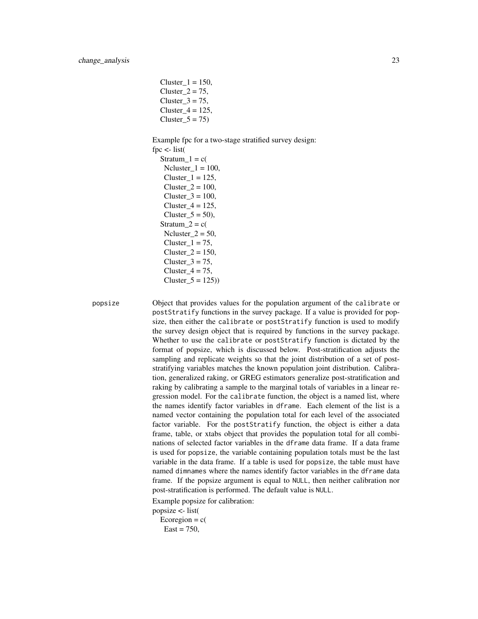$Cluster_1 = 150$ , Cluster  $2 = 75$ , Cluster  $3 = 75$ , Cluster $_4$  = 125, Cluster  $5 = 75$ )

Example fpc for a two-stage stratified survey design: fpc  $\lt$ - list( Stratum  $1 = c($  $Ncluster_1 = 100$ ,

Cluster  $1 = 125$ ,  $Cluster_2 = 100$ , Cluster  $3 = 100$ ,  $Cluster_4 = 125$ , Cluster $_5 = 50$ , Stratum  $2 = c($  $Ncluster_2 = 50$ , Cluster  $1 = 75$ ,  $Cluster_2 = 150$ , Cluster $3 = 75$ ,  $Cluster_4 = 75$ ,  $Cluster_5 = 125)$ 

popsize Object that provides values for the population argument of the calibrate or postStratify functions in the survey package. If a value is provided for popsize, then either the calibrate or postStratify function is used to modify the survey design object that is required by functions in the survey package. Whether to use the calibrate or postStratify function is dictated by the format of popsize, which is discussed below. Post-stratification adjusts the sampling and replicate weights so that the joint distribution of a set of poststratifying variables matches the known population joint distribution. Calibration, generalized raking, or GREG estimators generalize post-stratification and raking by calibrating a sample to the marginal totals of variables in a linear regression model. For the calibrate function, the object is a named list, where the names identify factor variables in dframe. Each element of the list is a named vector containing the population total for each level of the associated factor variable. For the postStratify function, the object is either a data frame, table, or xtabs object that provides the population total for all combinations of selected factor variables in the dframe data frame. If a data frame is used for popsize, the variable containing population totals must be the last variable in the data frame. If a table is used for popsize, the table must have named dimnames where the names identify factor variables in the dframe data frame. If the popsize argument is equal to NULL, then neither calibration nor post-stratification is performed. The default value is NULL.

Example popsize for calibration:

popsize <- list(

Ecoregion =  $c$ (  $East = 750$ ,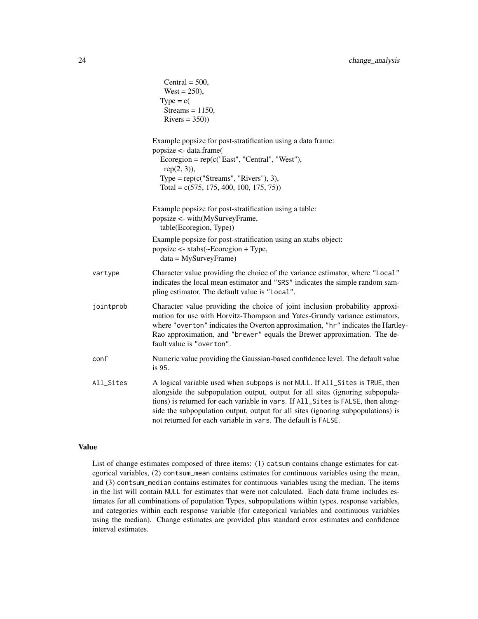|           | Central = $500$ ,<br>West = $250$ ),<br>$Type = c($<br>Streams = $1150$ ,<br>$Rivers = 350)$                                                                                                                                                                                                                                                                                                           |
|-----------|--------------------------------------------------------------------------------------------------------------------------------------------------------------------------------------------------------------------------------------------------------------------------------------------------------------------------------------------------------------------------------------------------------|
|           | Example popsize for post-stratification using a data frame:<br>popsize <- data.frame(<br>Ecoregion = $rep(c("East", "Central", "West"),$<br>$rep(2, 3)$ ),<br>Type = $rep(c("Streams", "Rivers"), 3),$<br>Total = $c(575, 175, 400, 100, 175, 75)$ )                                                                                                                                                   |
|           | Example popsize for post-stratification using a table:<br>popsize <- with(MySurveyFrame,<br>table(Ecoregion, Type))                                                                                                                                                                                                                                                                                    |
|           | Example popsize for post-stratification using an xtabs object:<br>popsize <- xtabs(~Ecoregion + Type,<br>$data = MySurveyFrame)$                                                                                                                                                                                                                                                                       |
| vartype   | Character value providing the choice of the variance estimator, where "Local"<br>indicates the local mean estimator and "SRS" indicates the simple random sam-<br>pling estimator. The default value is "Local".                                                                                                                                                                                       |
| jointprob | Character value providing the choice of joint inclusion probability approxi-<br>mation for use with Horvitz-Thompson and Yates-Grundy variance estimators,<br>where "overton" indicates the Overton approximation, "hr" indicates the Hartley-<br>Rao approximation, and "brewer" equals the Brewer approximation. The de-<br>fault value is "overton".                                                |
| conf      | Numeric value providing the Gaussian-based confidence level. The default value<br>is 95.                                                                                                                                                                                                                                                                                                               |
| All_Sites | A logical variable used when subpops is not NULL. If All_Sites is TRUE, then<br>alongside the subpopulation output, output for all sites (ignoring subpopula-<br>tions) is returned for each variable in vars. If All_Sites is FALSE, then along-<br>side the subpopulation output, output for all sites (ignoring subpopulations) is<br>not returned for each variable in vars. The default is FALSE. |

List of change estimates composed of three items: (1) catsum contains change estimates for categorical variables, (2) contsum\_mean contains estimates for continuous variables using the mean, and (3) contsum\_median contains estimates for continuous variables using the median. The items in the list will contain NULL for estimates that were not calculated. Each data frame includes estimates for all combinations of population Types, subpopulations within types, response variables, and categories within each response variable (for categorical variables and continuous variables using the median). Change estimates are provided plus standard error estimates and confidence interval estimates.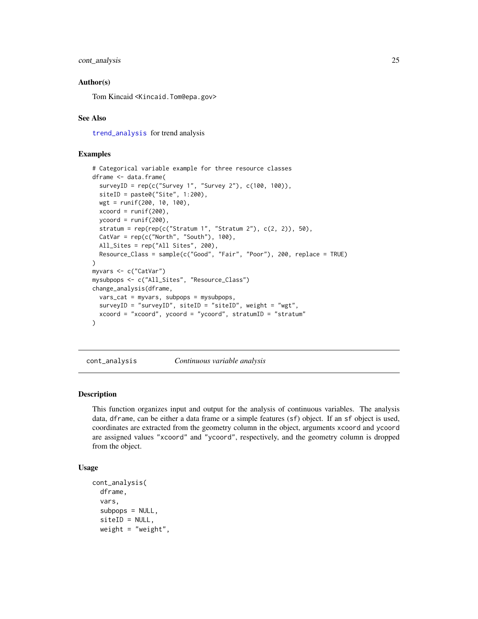## <span id="page-24-0"></span>cont\_analysis 25

## Author(s)

Tom Kincaid <Kincaid.Tom@epa.gov>

## See Also

[trend\\_analysis](#page-91-1) for trend analysis

#### Examples

```
# Categorical variable example for three resource classes
dframe <- data.frame(
  surveyID = rep(c("Survey 1", "Survey 2"), c(100, 100)),
  siteID = paste0("Site", 1:200),
  wgt = runif(200, 10, 100),
  xcoord = runif(200),
  ycoord = runif(200),
  stratum = rep(rep(c("Stratum 1", "Stratum 2"), c(2, 2)), 50),
  CatVar = rep(c("North", "South"), 100),All_Sites = rep("All Sites", 200),
  Resource_Class = sample(c("Good", "Fair", "Poor"), 200, replace = TRUE)
\mathcal{L}myvars <- c("CatVar")
mysubpops <- c("All_Sites", "Resource_Class")
change_analysis(dframe,
  vars_cat = myvars, subpops = mysubpops,
  surveyID = "surveyID", siteID = "siteID", weight = "wgt",
  xcoord = "xcoord", ycoord = "ycoord", stratumID = "stratum"
\mathcal{L}
```
<span id="page-24-1"></span>cont\_analysis *Continuous variable analysis*

#### Description

This function organizes input and output for the analysis of continuous variables. The analysis data, dframe, can be either a data frame or a simple features (sf) object. If an sf object is used, coordinates are extracted from the geometry column in the object, arguments xcoord and ycoord are assigned values "xcoord" and "ycoord", respectively, and the geometry column is dropped from the object.

## Usage

```
cont_analysis(
  dframe,
  vars,
  subpops = NULL,siteID = NULL,
 weight = "weight",
```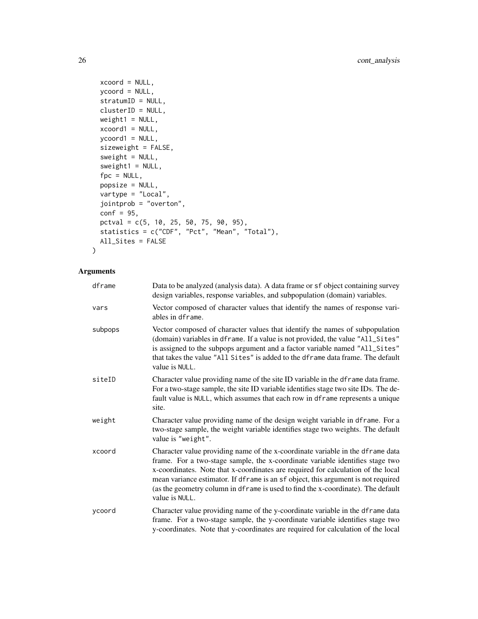```
xcoord = NULL,
 ycoord = NULL,
 stratumID = NULL,
 clusterID = NULL,
 weight1 = NULL,xcoord1 = NULL,
 ycoord1 = NULL,
 sizeweight = FALSE,
 sweight = NULL,sweight1 = NULL,fpc = NULL,popsize = NULL,
 vartype = "Local",
 jointprob = "overton",
 conf = 95,pctval = c(5, 10, 25, 50, 75, 90, 95),
  statistics = c("CDF", "Pct", "Mean", "Total"),
 All_Sites = FALSE
\mathcal{L}
```
# Arguments

| dframe  | Data to be analyzed (analysis data). A data frame or sf object containing survey<br>design variables, response variables, and subpopulation (domain) variables.                                                                                                                                                                                                                                                                                |
|---------|------------------------------------------------------------------------------------------------------------------------------------------------------------------------------------------------------------------------------------------------------------------------------------------------------------------------------------------------------------------------------------------------------------------------------------------------|
| vars    | Vector composed of character values that identify the names of response vari-<br>ables in dframe.                                                                                                                                                                                                                                                                                                                                              |
| subpops | Vector composed of character values that identify the names of subpopulation<br>(domain) variables in dframe. If a value is not provided, the value "All_Sites"<br>is assigned to the subpops argument and a factor variable named "All_Sites"<br>that takes the value "All Sites" is added to the dframe data frame. The default<br>value is NULL.                                                                                            |
| siteID  | Character value providing name of the site ID variable in the dframe data frame.<br>For a two-stage sample, the site ID variable identifies stage two site IDs. The de-<br>fault value is NULL, which assumes that each row in dframe represents a unique<br>site.                                                                                                                                                                             |
| weight  | Character value providing name of the design weight variable in dframe. For a<br>two-stage sample, the weight variable identifies stage two weights. The default<br>value is "weight".                                                                                                                                                                                                                                                         |
| xcoord  | Character value providing name of the x-coordinate variable in the dframe data<br>frame. For a two-stage sample, the x-coordinate variable identifies stage two<br>x-coordinates. Note that x-coordinates are required for calculation of the local<br>mean variance estimator. If dframe is an sf object, this argument is not required<br>(as the geometry column in dframe is used to find the x-coordinate). The default<br>value is NULL. |
| vcoord  | Character value providing name of the y-coordinate variable in the dframe data<br>frame. For a two-stage sample, the y-coordinate variable identifies stage two<br>y-coordinates. Note that y-coordinates are required for calculation of the local                                                                                                                                                                                            |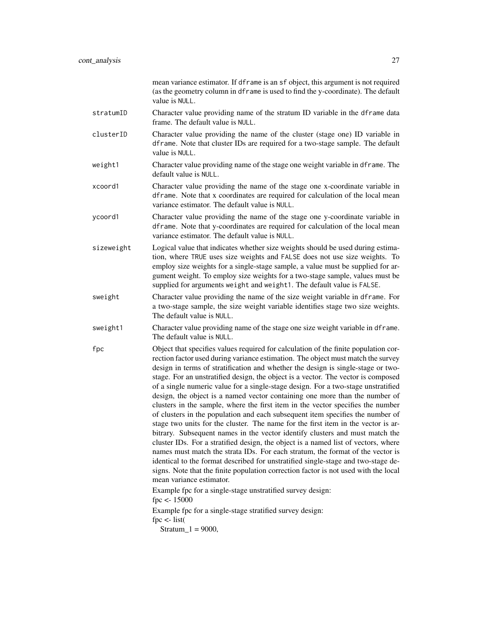|            | mean variance estimator. If dframe is an sf object, this argument is not required<br>(as the geometry column in dframe is used to find the y-coordinate). The default<br>value is NULL.                                                                                                                                                                                                                                                                                                                                                                                                                                                                                                                                                                                                                                                                                                                                                                                                                                                                                                                                                                                                                                                                                                                                        |
|------------|--------------------------------------------------------------------------------------------------------------------------------------------------------------------------------------------------------------------------------------------------------------------------------------------------------------------------------------------------------------------------------------------------------------------------------------------------------------------------------------------------------------------------------------------------------------------------------------------------------------------------------------------------------------------------------------------------------------------------------------------------------------------------------------------------------------------------------------------------------------------------------------------------------------------------------------------------------------------------------------------------------------------------------------------------------------------------------------------------------------------------------------------------------------------------------------------------------------------------------------------------------------------------------------------------------------------------------|
| stratumID  | Character value providing name of the stratum ID variable in the dframe data<br>frame. The default value is NULL.                                                                                                                                                                                                                                                                                                                                                                                                                                                                                                                                                                                                                                                                                                                                                                                                                                                                                                                                                                                                                                                                                                                                                                                                              |
| clusterID  | Character value providing the name of the cluster (stage one) ID variable in<br>dframe. Note that cluster IDs are required for a two-stage sample. The default<br>value is NULL.                                                                                                                                                                                                                                                                                                                                                                                                                                                                                                                                                                                                                                                                                                                                                                                                                                                                                                                                                                                                                                                                                                                                               |
| weight1    | Character value providing name of the stage one weight variable in dframe. The<br>default value is NULL.                                                                                                                                                                                                                                                                                                                                                                                                                                                                                                                                                                                                                                                                                                                                                                                                                                                                                                                                                                                                                                                                                                                                                                                                                       |
| xcoord1    | Character value providing the name of the stage one x-coordinate variable in<br>dframe. Note that x coordinates are required for calculation of the local mean<br>variance estimator. The default value is NULL.                                                                                                                                                                                                                                                                                                                                                                                                                                                                                                                                                                                                                                                                                                                                                                                                                                                                                                                                                                                                                                                                                                               |
| ycoord1    | Character value providing the name of the stage one y-coordinate variable in<br>dframe. Note that y-coordinates are required for calculation of the local mean<br>variance estimator. The default value is NULL.                                                                                                                                                                                                                                                                                                                                                                                                                                                                                                                                                                                                                                                                                                                                                                                                                                                                                                                                                                                                                                                                                                               |
| sizeweight | Logical value that indicates whether size weights should be used during estima-<br>tion, where TRUE uses size weights and FALSE does not use size weights. To<br>employ size weights for a single-stage sample, a value must be supplied for ar-<br>gument weight. To employ size weights for a two-stage sample, values must be<br>supplied for arguments weight and weight1. The default value is FALSE.                                                                                                                                                                                                                                                                                                                                                                                                                                                                                                                                                                                                                                                                                                                                                                                                                                                                                                                     |
| sweight    | Character value providing the name of the size weight variable in dframe. For<br>a two-stage sample, the size weight variable identifies stage two size weights.<br>The default value is NULL.                                                                                                                                                                                                                                                                                                                                                                                                                                                                                                                                                                                                                                                                                                                                                                                                                                                                                                                                                                                                                                                                                                                                 |
| sweight1   | Character value providing name of the stage one size weight variable in dframe.<br>The default value is NULL.                                                                                                                                                                                                                                                                                                                                                                                                                                                                                                                                                                                                                                                                                                                                                                                                                                                                                                                                                                                                                                                                                                                                                                                                                  |
| fpc        | Object that specifies values required for calculation of the finite population cor-<br>rection factor used during variance estimation. The object must match the survey<br>design in terms of stratification and whether the design is single-stage or two-<br>stage. For an unstratified design, the object is a vector. The vector is composed<br>of a single numeric value for a single-stage design. For a two-stage unstratified<br>design, the object is a named vector containing one more than the number of<br>clusters in the sample, where the first item in the vector specifies the number<br>of clusters in the population and each subsequent item specifies the number of<br>stage two units for the cluster. The name for the first item in the vector is ar-<br>bitrary. Subsequent names in the vector identify clusters and must match the<br>cluster IDs. For a stratified design, the object is a named list of vectors, where<br>names must match the strata IDs. For each stratum, the format of the vector is<br>identical to the format described for unstratified single-stage and two-stage de-<br>signs. Note that the finite population correction factor is not used with the local<br>mean variance estimator.<br>Example fpc for a single-stage unstratified survey design:<br>$fpc < -15000$ |
|            | Example fpc for a single-stage stratified survey design:<br>$fpc < -list($<br>$Stratum_1 = 9000,$                                                                                                                                                                                                                                                                                                                                                                                                                                                                                                                                                                                                                                                                                                                                                                                                                                                                                                                                                                                                                                                                                                                                                                                                                              |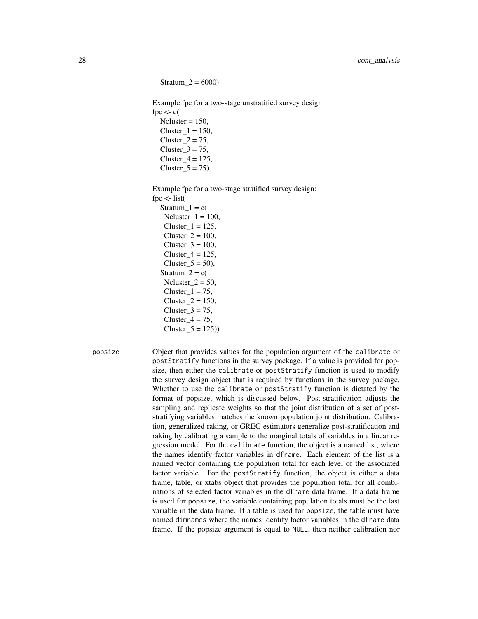$Stratum_2 = 6000$ 

Example fpc for a two-stage unstratified survey design: fpc  $\lt$ - c(  $Ncluster = 150$ ,  $Cluster_1 = 150$ , Cluster $2 = 75$ , Cluster $3 = 75$ ,

Cluster  $4 = 125$ ,  $Cluster_5 = 75$ 

Example fpc for a two-stage stratified survey design:

fpc  $\lt$ - list( Stratum  $1 = c($ Ncluster  $1 = 100$ ,  $Cluster_1 = 125$ ,  $Cluster_2 = 100$ ,  $Cluster_3 = 100$ ,  $Cluster_4 = 125$ , Cluster  $5 = 50$ ), Stratum $2 = c($ Ncluster  $2 = 50$ ,  $Cluster_1 = 75$ , Cluster  $2 = 150$ , Cluster $3 = 75$ , Cluster $4 = 75$ ,  $Cluster_5 = 125)$ 

popsize Object that provides values for the population argument of the calibrate or postStratify functions in the survey package. If a value is provided for popsize, then either the calibrate or postStratify function is used to modify the survey design object that is required by functions in the survey package. Whether to use the calibrate or postStratify function is dictated by the format of popsize, which is discussed below. Post-stratification adjusts the sampling and replicate weights so that the joint distribution of a set of poststratifying variables matches the known population joint distribution. Calibration, generalized raking, or GREG estimators generalize post-stratification and raking by calibrating a sample to the marginal totals of variables in a linear regression model. For the calibrate function, the object is a named list, where the names identify factor variables in dframe. Each element of the list is a named vector containing the population total for each level of the associated factor variable. For the postStratify function, the object is either a data frame, table, or xtabs object that provides the population total for all combinations of selected factor variables in the dframe data frame. If a data frame is used for popsize, the variable containing population totals must be the last variable in the data frame. If a table is used for popsize, the table must have named dimnames where the names identify factor variables in the dframe data frame. If the popsize argument is equal to NULL, then neither calibration nor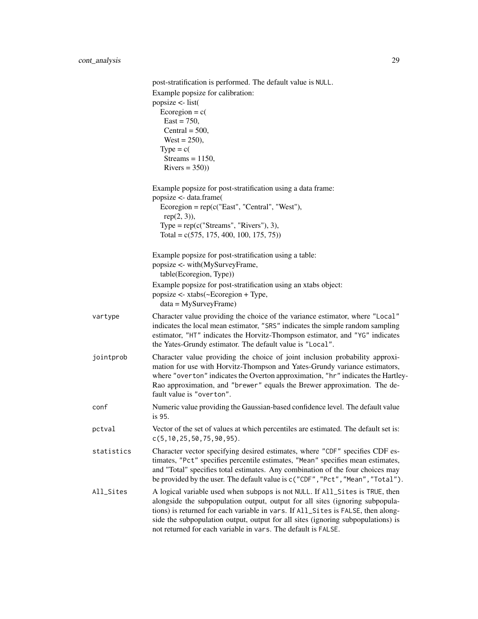|            | post-stratification is performed. The default value is NULL.                                                                                                                                                                                                                                                                                                                                           |
|------------|--------------------------------------------------------------------------------------------------------------------------------------------------------------------------------------------------------------------------------------------------------------------------------------------------------------------------------------------------------------------------------------------------------|
|            | Example popsize for calibration:<br>popsize $\le$ - list(                                                                                                                                                                                                                                                                                                                                              |
|            | Ecoregion = $c$ (<br>$East = 750,$                                                                                                                                                                                                                                                                                                                                                                     |
|            | Central = $500$ ,                                                                                                                                                                                                                                                                                                                                                                                      |
|            | $West = 250$ ,<br>Type = $c($                                                                                                                                                                                                                                                                                                                                                                          |
|            | Streams = $1150$ ,<br>$Rivers = 350)$                                                                                                                                                                                                                                                                                                                                                                  |
|            | Example popsize for post-stratification using a data frame:<br>popsize <- data.frame(                                                                                                                                                                                                                                                                                                                  |
|            | Ecoregion = $rep(c("East", "Central", "West"),$<br>$rep(2, 3)$ ),                                                                                                                                                                                                                                                                                                                                      |
|            | Type = $rep(c("Streams", "Rivers"), 3),$<br>Total = $c(575, 175, 400, 100, 175, 75)$                                                                                                                                                                                                                                                                                                                   |
|            | Example popsize for post-stratification using a table:<br>popsize <- with(MySurveyFrame,                                                                                                                                                                                                                                                                                                               |
|            | table(Ecoregion, Type))                                                                                                                                                                                                                                                                                                                                                                                |
|            | Example popsize for post-stratification using an xtabs object:<br>popsize <- xtabs(~Ecoregion + Type,<br>$data = MySurveyFrame)$                                                                                                                                                                                                                                                                       |
| vartype    | Character value providing the choice of the variance estimator, where "Local"<br>indicates the local mean estimator, "SRS" indicates the simple random sampling<br>estimator, "HT" indicates the Horvitz-Thompson estimator, and "YG" indicates<br>the Yates-Grundy estimator. The default value is "Local".                                                                                           |
| jointprob  | Character value providing the choice of joint inclusion probability approxi-<br>mation for use with Horvitz-Thompson and Yates-Grundy variance estimators,<br>where "overton" indicates the Overton approximation, "hr" indicates the Hartley-<br>Rao approximation, and "brewer" equals the Brewer approximation. The de-<br>fault value is "overton".                                                |
| conf       | Numeric value providing the Gaussian-based confidence level. The default value<br>is 95.                                                                                                                                                                                                                                                                                                               |
| pctval     | Vector of the set of values at which percentiles are estimated. The default set is:<br>c(5, 10, 25, 50, 75, 90, 95).                                                                                                                                                                                                                                                                                   |
| statistics | Character vector specifying desired estimates, where "CDF" specifies CDF es-<br>timates, "Pct" specifies percentile estimates, "Mean" specifies mean estimates,<br>and "Total" specifies total estimates. Any combination of the four choices may<br>be provided by the user. The default value is c("CDF", "Pct", "Mean", "Total").                                                                   |
| All_Sites  | A logical variable used when subpops is not NULL. If All_Sites is TRUE, then<br>alongside the subpopulation output, output for all sites (ignoring subpopula-<br>tions) is returned for each variable in vars. If All_Sites is FALSE, then along-<br>side the subpopulation output, output for all sites (ignoring subpopulations) is<br>not returned for each variable in vars. The default is FALSE. |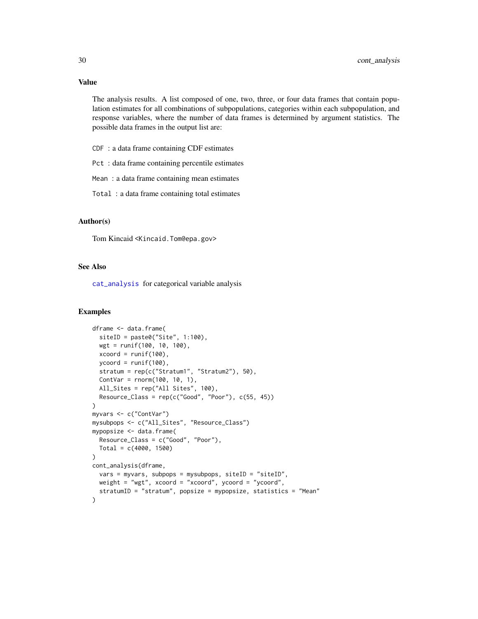The analysis results. A list composed of one, two, three, or four data frames that contain population estimates for all combinations of subpopulations, categories within each subpopulation, and response variables, where the number of data frames is determined by argument statistics. The possible data frames in the output list are:

CDF : a data frame containing CDF estimates

Pct : data frame containing percentile estimates

Mean : a data frame containing mean estimates

Total : a data frame containing total estimates

## Author(s)

Tom Kincaid <Kincaid.Tom@epa.gov>

## See Also

[cat\\_analysis](#page-11-1) for categorical variable analysis

## Examples

```
dframe <- data.frame(
  siteID = paste0("Site", 1:100),
  wgt = runif(100, 10, 100),
  xcoord = runif(100),
  ycoord = runif(100),
  stratum = rep(c("Stratum1", "Stratum2"), 50),
  ContVar = rnorm(100, 10, 1),
  All_Sites = rep("All Sites", 100),
  Resource\_Class = rep(c("Good", "Poor"), c(55, 45)))
myvars <- c("ContVar")
mysubpops <- c("All_Sites", "Resource_Class")
mypopsize <- data.frame(
  Resource_Class = c("Good", "Poor"),
  Total = c(4000, 1500)
\lambdacont_analysis(dframe,
  vars = myvars, subpops = mysubpops, siteID = "siteID",
  weight = "wgt", xcoord = "xcoord", ycoord = "ycoord",
  stratumID = "stratum", popsize = mypopsize, statistics = "Mean"
)
```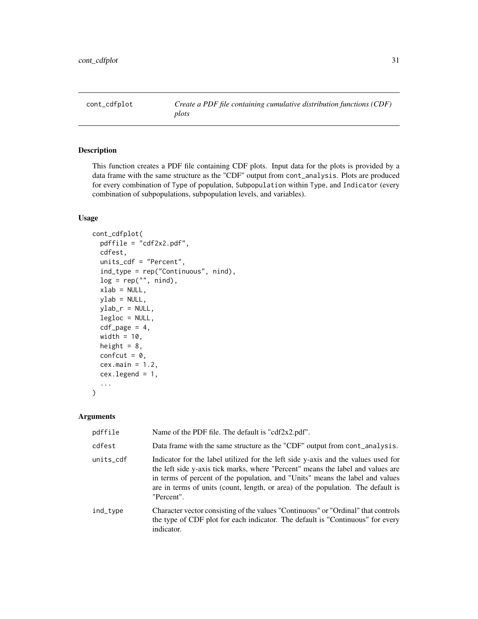<span id="page-30-1"></span><span id="page-30-0"></span>cont\_cdfplot *Create a PDF file containing cumulative distribution functions (CDF) plots*

## Description

This function creates a PDF file containing CDF plots. Input data for the plots is provided by a data frame with the same structure as the "CDF" output from cont\_analysis. Plots are produced for every combination of Type of population, Subpopulation within Type, and Indicator (every combination of subpopulations, subpopulation levels, and variables).

#### Usage

```
cont_cdfplot(
  pdffile = "cdf2x2.pdf",
  cdfest,
  units_cdf = "Percent",
  ind_type = rep("Continuous", nind),
  log = rep("", nind),xlab = NULL,ylab = NULL,
 ylab_r = NULL,legloc = NULL,
  cdf\_page = 4,
 width = 10,
  height = 8,
  confcut = 0,
  cex.mainloop = 1.2cex.legend = 1,
  ...
\mathcal{E}
```
## Arguments

| pdffile   | Name of the PDF file. The default is "cdf2x2.pdf".                                                                                                                                                                                                                                                                                                      |
|-----------|---------------------------------------------------------------------------------------------------------------------------------------------------------------------------------------------------------------------------------------------------------------------------------------------------------------------------------------------------------|
| cdfest    | Data frame with the same structure as the "CDF" output from cont_analysis.                                                                                                                                                                                                                                                                              |
| units_cdf | Indicator for the label utilized for the left side y-axis and the values used for<br>the left side y-axis tick marks, where "Percent" means the label and values are<br>in terms of percent of the population, and "Units" means the label and values<br>are in terms of units (count, length, or area) of the population. The default is<br>"Percent". |
| ind_type  | Character vector consisting of the values "Continuous" or "Ordinal" that controls<br>the type of CDF plot for each indicator. The default is "Continuous" for every<br>indicator.                                                                                                                                                                       |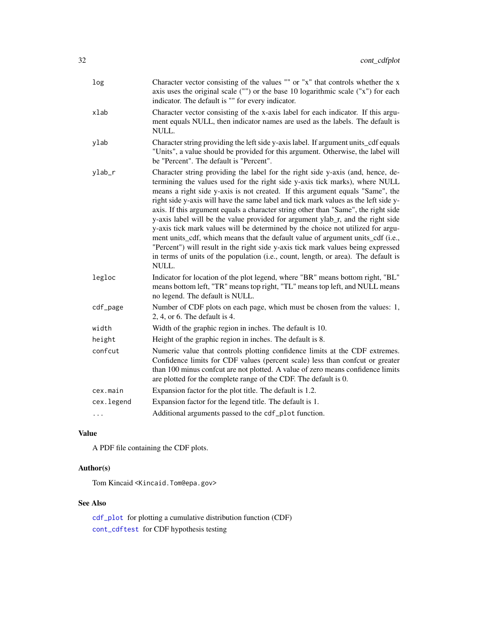| log        | Character vector consisting of the values "" or "x" that controls whether the x<br>axis uses the original scale ("") or the base 10 logarithmic scale ("x") for each<br>indicator. The default is "" for every indicator.                                                                                                                                                                                                                                                                                                                                                                                                                                                                                                                                                                                                                                                |
|------------|--------------------------------------------------------------------------------------------------------------------------------------------------------------------------------------------------------------------------------------------------------------------------------------------------------------------------------------------------------------------------------------------------------------------------------------------------------------------------------------------------------------------------------------------------------------------------------------------------------------------------------------------------------------------------------------------------------------------------------------------------------------------------------------------------------------------------------------------------------------------------|
| xlab       | Character vector consisting of the x-axis label for each indicator. If this argu-<br>ment equals NULL, then indicator names are used as the labels. The default is<br>NULL.                                                                                                                                                                                                                                                                                                                                                                                                                                                                                                                                                                                                                                                                                              |
| ylab       | Character string providing the left side y-axis label. If argument units_cdf equals<br>"Units", a value should be provided for this argument. Otherwise, the label will<br>be "Percent". The default is "Percent".                                                                                                                                                                                                                                                                                                                                                                                                                                                                                                                                                                                                                                                       |
| ylab_r     | Character string providing the label for the right side y-axis (and, hence, de-<br>termining the values used for the right side y-axis tick marks), where NULL<br>means a right side y-axis is not created. If this argument equals "Same", the<br>right side y-axis will have the same label and tick mark values as the left side y-<br>axis. If this argument equals a character string other than "Same", the right side<br>y-axis label will be the value provided for argument ylab_r, and the right side<br>y-axis tick mark values will be determined by the choice not utilized for argu-<br>ment units_cdf, which means that the default value of argument units_cdf (i.e.,<br>"Percent") will result in the right side y-axis tick mark values being expressed<br>in terms of units of the population (i.e., count, length, or area). The default is<br>NULL. |
| legloc     | Indicator for location of the plot legend, where "BR" means bottom right, "BL"<br>means bottom left, "TR" means top right, "TL" means top left, and NULL means<br>no legend. The default is NULL.                                                                                                                                                                                                                                                                                                                                                                                                                                                                                                                                                                                                                                                                        |
| cdf_page   | Number of CDF plots on each page, which must be chosen from the values: 1,<br>$2, 4,$ or 6. The default is 4.                                                                                                                                                                                                                                                                                                                                                                                                                                                                                                                                                                                                                                                                                                                                                            |
| width      | Width of the graphic region in inches. The default is 10.                                                                                                                                                                                                                                                                                                                                                                                                                                                                                                                                                                                                                                                                                                                                                                                                                |
| height     | Height of the graphic region in inches. The default is 8.                                                                                                                                                                                                                                                                                                                                                                                                                                                                                                                                                                                                                                                                                                                                                                                                                |
| confcut    | Numeric value that controls plotting confidence limits at the CDF extremes.<br>Confidence limits for CDF values (percent scale) less than confcut or greater<br>than 100 minus confcut are not plotted. A value of zero means confidence limits<br>are plotted for the complete range of the CDF. The default is 0.                                                                                                                                                                                                                                                                                                                                                                                                                                                                                                                                                      |
| cex.main   | Expansion factor for the plot title. The default is 1.2.                                                                                                                                                                                                                                                                                                                                                                                                                                                                                                                                                                                                                                                                                                                                                                                                                 |
| cex.legend | Expansion factor for the legend title. The default is 1.                                                                                                                                                                                                                                                                                                                                                                                                                                                                                                                                                                                                                                                                                                                                                                                                                 |
| $\cdots$   | Additional arguments passed to the cdf_plot function.                                                                                                                                                                                                                                                                                                                                                                                                                                                                                                                                                                                                                                                                                                                                                                                                                    |

A PDF file containing the CDF plots.

# Author(s)

Tom Kincaid <Kincaid.Tom@epa.gov>

# See Also

[cdf\\_plot](#page-16-1) for plotting a cumulative distribution function (CDF) [cont\\_cdftest](#page-32-1) for CDF hypothesis testing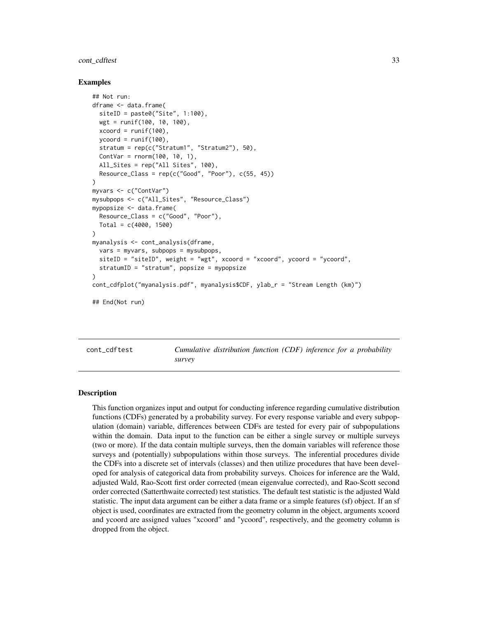## <span id="page-32-0"></span>cont\_cdftest 33

#### Examples

```
## Not run:
dframe <- data.frame(
 siteID = paste0("Site", 1:100),wgt = runif(100, 10, 100),
 xcoord = runif(100),
 ycoord = runif(100),
 stratum = rep(c("Stratum1", "Stratum2"), 50),
 ContVar = rnorm(100, 10, 1),
 All_Sites = rep("All Sites", 100),
 Resource\_Class = rep(c("Good", "Poor"), c(55, 45)))
myvars <- c("ContVar")
mysubpops <- c("All_Sites", "Resource_Class")
mypopsize <- data.frame(
 Resource_Class = c("Good", "Poor"),
 Total = c(4000, 1500))
myanalysis <- cont_analysis(dframe,
 vars = myvars, subpops = mysubpops,
 siteID = "siteID", weight = "wgt", xcoord = "xcoord", ycoord = "ycoord",
 stratumID = "stratum", popsize = mypopsize
)
cont_cdfplot("myanalysis.pdf", myanalysis$CDF, ylab_r = "Stream Length (km)")
## End(Not run)
```
<span id="page-32-1"></span>cont\_cdftest *Cumulative distribution function (CDF) inference for a probability survey*

## **Description**

This function organizes input and output for conducting inference regarding cumulative distribution functions (CDFs) generated by a probability survey. For every response variable and every subpopulation (domain) variable, differences between CDFs are tested for every pair of subpopulations within the domain. Data input to the function can be either a single survey or multiple surveys (two or more). If the data contain multiple surveys, then the domain variables will reference those surveys and (potentially) subpopulations within those surveys. The inferential procedures divide the CDFs into a discrete set of intervals (classes) and then utilize procedures that have been developed for analysis of categorical data from probability surveys. Choices for inference are the Wald, adjusted Wald, Rao-Scott first order corrected (mean eigenvalue corrected), and Rao-Scott second order corrected (Satterthwaite corrected) test statistics. The default test statistic is the adjusted Wald statistic. The input data argument can be either a data frame or a simple features (sf) object. If an sf object is used, coordinates are extracted from the geometry column in the object, arguments xcoord and ycoord are assigned values "xcoord" and "ycoord", respectively, and the geometry column is dropped from the object.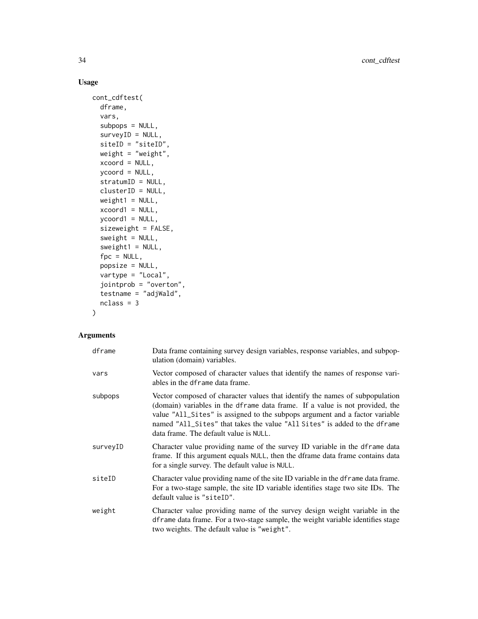# Usage

```
cont_cdftest(
  dframe,
  vars,
  subpops = NULL,
  surveyID = NULL,
  siteID = "siteID",weight = "weight",
  xcoord = NULL,
  ycoord = NULL,
  stratumID = NULL,
  clusterID = NULL,
  weight1 = NULL,xcoord1 = NULL,
  ycoord1 = NULL,
  sizeweight = FALSE,
  sweight = NULL,
  sweight1 = NULL,fpc = NULL,popsize = NULL,
  vartype = "Local",
  jointprob = "overton",
  testname = "adjWald",
  nclass = 3
\mathcal{L}
```
# Arguments

| dframe   | Data frame containing survey design variables, response variables, and subpop-<br>ulation (domain) variables.                                                                                                                                                                                                                                                      |
|----------|--------------------------------------------------------------------------------------------------------------------------------------------------------------------------------------------------------------------------------------------------------------------------------------------------------------------------------------------------------------------|
| vars     | Vector composed of character values that identify the names of response vari-<br>ables in the dframe data frame.                                                                                                                                                                                                                                                   |
| subpops  | Vector composed of character values that identify the names of subpopulation<br>(domain) variables in the dframe data frame. If a value is not provided, the<br>value "All_Sites" is assigned to the subpops argument and a factor variable<br>named "All_Sites" that takes the value "All Sites" is added to the dframe<br>data frame. The default value is NULL. |
| surveyID | Character value providing name of the survey ID variable in the dframe data<br>frame. If this argument equals NULL, then the dframe data frame contains data<br>for a single survey. The default value is NULL.                                                                                                                                                    |
| siteID   | Character value providing name of the site ID variable in the detainer data frame.<br>For a two-stage sample, the site ID variable identifies stage two site IDs. The<br>default value is "siteID".                                                                                                                                                                |
| weight   | Character value providing name of the survey design weight variable in the<br>dframe data frame. For a two-stage sample, the weight variable identifies stage<br>two weights. The default value is "weight".                                                                                                                                                       |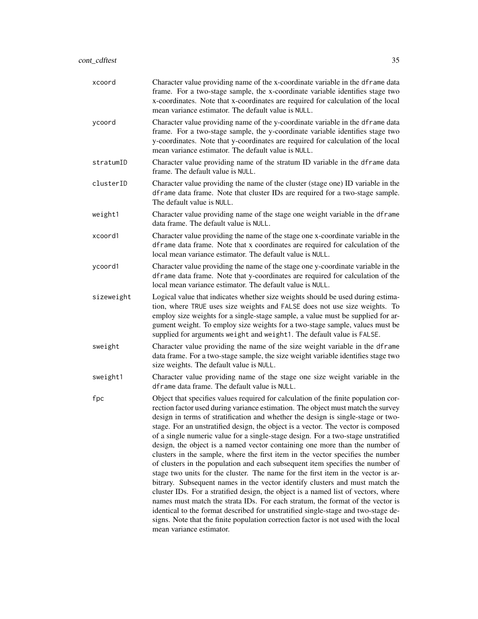| xcoord     | Character value providing name of the x-coordinate variable in the dframe data<br>frame. For a two-stage sample, the x-coordinate variable identifies stage two<br>x-coordinates. Note that x-coordinates are required for calculation of the local<br>mean variance estimator. The default value is NULL.                                                                                                                                                                                                                                                                                                                                                                                                                                                                                                                                                                                                                                                                                                                                                                                                                                                                                                                                     |
|------------|------------------------------------------------------------------------------------------------------------------------------------------------------------------------------------------------------------------------------------------------------------------------------------------------------------------------------------------------------------------------------------------------------------------------------------------------------------------------------------------------------------------------------------------------------------------------------------------------------------------------------------------------------------------------------------------------------------------------------------------------------------------------------------------------------------------------------------------------------------------------------------------------------------------------------------------------------------------------------------------------------------------------------------------------------------------------------------------------------------------------------------------------------------------------------------------------------------------------------------------------|
| ycoord     | Character value providing name of the y-coordinate variable in the dframe data<br>frame. For a two-stage sample, the y-coordinate variable identifies stage two<br>y-coordinates. Note that y-coordinates are required for calculation of the local<br>mean variance estimator. The default value is NULL.                                                                                                                                                                                                                                                                                                                                                                                                                                                                                                                                                                                                                                                                                                                                                                                                                                                                                                                                     |
| stratumID  | Character value providing name of the stratum ID variable in the dframe data<br>frame. The default value is NULL.                                                                                                                                                                                                                                                                                                                                                                                                                                                                                                                                                                                                                                                                                                                                                                                                                                                                                                                                                                                                                                                                                                                              |
| clusterID  | Character value providing the name of the cluster (stage one) ID variable in the<br>dframe data frame. Note that cluster IDs are required for a two-stage sample.<br>The default value is NULL.                                                                                                                                                                                                                                                                                                                                                                                                                                                                                                                                                                                                                                                                                                                                                                                                                                                                                                                                                                                                                                                |
| weight1    | Character value providing name of the stage one weight variable in the dframe<br>data frame. The default value is NULL.                                                                                                                                                                                                                                                                                                                                                                                                                                                                                                                                                                                                                                                                                                                                                                                                                                                                                                                                                                                                                                                                                                                        |
| xcoord1    | Character value providing the name of the stage one x-coordinate variable in the<br>dframe data frame. Note that x coordinates are required for calculation of the<br>local mean variance estimator. The default value is NULL.                                                                                                                                                                                                                                                                                                                                                                                                                                                                                                                                                                                                                                                                                                                                                                                                                                                                                                                                                                                                                |
| ycoord1    | Character value providing the name of the stage one y-coordinate variable in the<br>dframe data frame. Note that y-coordinates are required for calculation of the<br>local mean variance estimator. The default value is NULL.                                                                                                                                                                                                                                                                                                                                                                                                                                                                                                                                                                                                                                                                                                                                                                                                                                                                                                                                                                                                                |
| sizeweight | Logical value that indicates whether size weights should be used during estima-<br>tion, where TRUE uses size weights and FALSE does not use size weights. To<br>employ size weights for a single-stage sample, a value must be supplied for ar-<br>gument weight. To employ size weights for a two-stage sample, values must be<br>supplied for arguments weight and weight1. The default value is FALSE.                                                                                                                                                                                                                                                                                                                                                                                                                                                                                                                                                                                                                                                                                                                                                                                                                                     |
| sweight    | Character value providing the name of the size weight variable in the dframe<br>data frame. For a two-stage sample, the size weight variable identifies stage two<br>size weights. The default value is NULL.                                                                                                                                                                                                                                                                                                                                                                                                                                                                                                                                                                                                                                                                                                                                                                                                                                                                                                                                                                                                                                  |
| sweight1   | Character value providing name of the stage one size weight variable in the<br>dframe data frame. The default value is NULL.                                                                                                                                                                                                                                                                                                                                                                                                                                                                                                                                                                                                                                                                                                                                                                                                                                                                                                                                                                                                                                                                                                                   |
| fpc        | Object that specifies values required for calculation of the finite population cor-<br>rection factor used during variance estimation. The object must match the survey<br>design in terms of stratification and whether the design is single-stage or two-<br>stage. For an unstratified design, the object is a vector. The vector is composed<br>of a single numeric value for a single-stage design. For a two-stage unstratified<br>design, the object is a named vector containing one more than the number of<br>clusters in the sample, where the first item in the vector specifies the number<br>of clusters in the population and each subsequent item specifies the number of<br>stage two units for the cluster. The name for the first item in the vector is ar-<br>bitrary. Subsequent names in the vector identify clusters and must match the<br>cluster IDs. For a stratified design, the object is a named list of vectors, where<br>names must match the strata IDs. For each stratum, the format of the vector is<br>identical to the format described for unstratified single-stage and two-stage de-<br>signs. Note that the finite population correction factor is not used with the local<br>mean variance estimator. |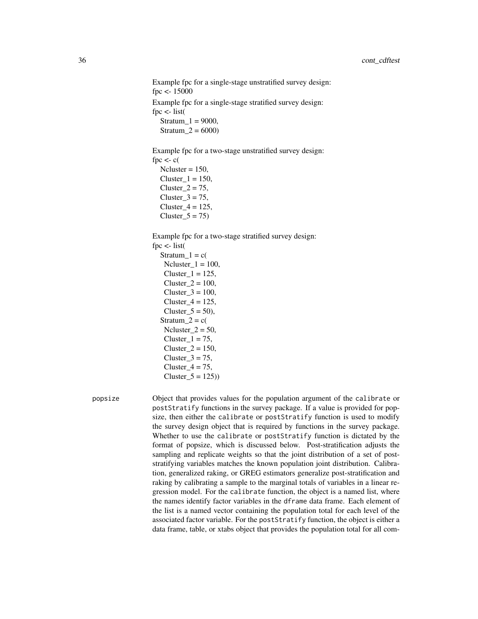Example fpc for a single-stage unstratified survey design: fpc <- 15000 Example fpc for a single-stage stratified survey design: fpc  $\lt$ - list( Stratum  $1 = 9000$ , Stratum  $2 = 6000$ 

Example fpc for a two-stage unstratified survey design: fpc  $\lt$ - c( Ncluster  $= 150$ .

 $Cluster_1 = 150$ , Cluster $2 = 75$ ,  $Cluster_3 = 75$ ,  $Cluster_4 = 125$ , Cluster  $5 = 75$ )

Example fpc for a two-stage stratified survey design:

fpc  $\lt$ - list(

Stratum  $1 = c($ Ncluster $_1 = 100$ ,  $Cluster_1 = 125$ , Cluster $2 = 100$ ,  $Cluster_3 = 100$ ,  $Cluster_4 = 125$ , Cluster  $5 = 50$ ), Stratum $2 = c($ Ncluster  $2 = 50$ ,  $Cluster_1 = 75$ , Cluster  $2 = 150$ , Cluster  $3 = 75$ , Cluster $4 = 75$ ,  $Cluster_5 = 125)$ 

popsize Object that provides values for the population argument of the calibrate or postStratify functions in the survey package. If a value is provided for popsize, then either the calibrate or postStratify function is used to modify the survey design object that is required by functions in the survey package. Whether to use the calibrate or postStratify function is dictated by the format of popsize, which is discussed below. Post-stratification adjusts the sampling and replicate weights so that the joint distribution of a set of poststratifying variables matches the known population joint distribution. Calibration, generalized raking, or GREG estimators generalize post-stratification and raking by calibrating a sample to the marginal totals of variables in a linear regression model. For the calibrate function, the object is a named list, where the names identify factor variables in the dframe data frame. Each element of the list is a named vector containing the population total for each level of the associated factor variable. For the postStratify function, the object is either a data frame, table, or xtabs object that provides the population total for all com-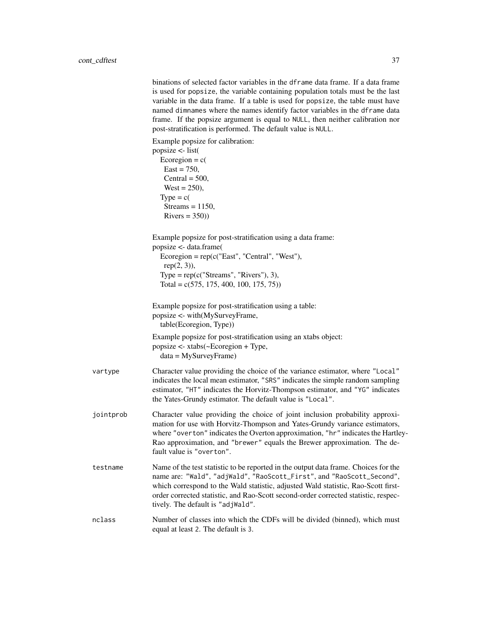binations of selected factor variables in the dframe data frame. If a data frame is used for popsize, the variable containing population totals must be the last variable in the data frame. If a table is used for popsize, the table must have named dimnames where the names identify factor variables in the dframe data frame. If the popsize argument is equal to NULL, then neither calibration nor post-stratification is performed. The default value is NULL.

Example popsize for calibration:

|           | popsize <- list(<br>Ecoregion = $c($<br>$East = 750,$<br>Central = $500$ ,<br>West = $250$ ),<br>$Type = c($<br>Streams = $1150$ ,<br>Rivers = $350$ )                                                                                                                                                                                                                       |
|-----------|------------------------------------------------------------------------------------------------------------------------------------------------------------------------------------------------------------------------------------------------------------------------------------------------------------------------------------------------------------------------------|
|           | Example popsize for post-stratification using a data frame:<br>popsize <- data.frame(<br>Ecoregion = $rep(c("East", "Central", "West"),$<br>$rep(2, 3)$ ),<br>Type = $rep(c("Streams", "Rivers"), 3),$<br>Total = $c(575, 175, 400, 100, 175, 75)$ )                                                                                                                         |
|           | Example popsize for post-stratification using a table:<br>popsize <- with(MySurveyFrame,<br>table(Ecoregion, Type))                                                                                                                                                                                                                                                          |
|           | Example popsize for post-stratification using an xtabs object:<br>popsize <- xtabs(~Ecoregion + Type,<br>$data = MySurveyFrame)$                                                                                                                                                                                                                                             |
| vartype   | Character value providing the choice of the variance estimator, where "Local"<br>indicates the local mean estimator, "SRS" indicates the simple random sampling<br>estimator, "HT" indicates the Horvitz-Thompson estimator, and "YG" indicates<br>the Yates-Grundy estimator. The default value is "Local".                                                                 |
| jointprob | Character value providing the choice of joint inclusion probability approxi-<br>mation for use with Horvitz-Thompson and Yates-Grundy variance estimators,<br>where "overton" indicates the Overton approximation, "hr" indicates the Hartley-<br>Rao approximation, and "brewer" equals the Brewer approximation. The de-<br>fault value is "overton".                      |
| testname  | Name of the test statistic to be reported in the output data frame. Choices for the<br>name are: "Wald", "adjWald", "RaoScott_First", and "RaoScott_Second",<br>which correspond to the Wald statistic, adjusted Wald statistic, Rao-Scott first-<br>order corrected statistic, and Rao-Scott second-order corrected statistic, respec-<br>tively. The default is "adjWald". |
| nclass    | Number of classes into which the CDFs will be divided (binned), which must<br>equal at least 2. The default is 3.                                                                                                                                                                                                                                                            |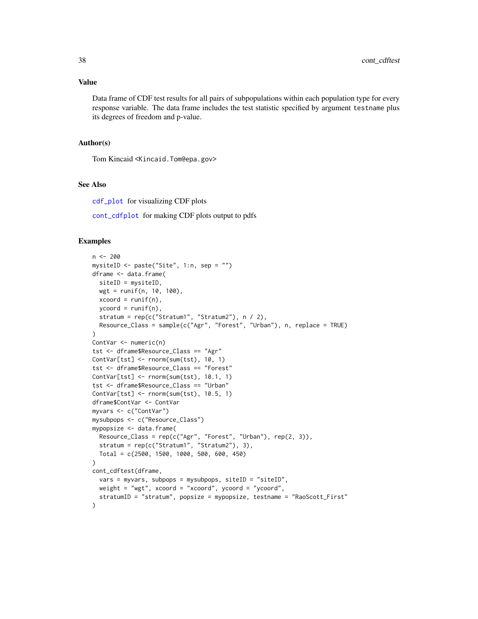#### Value

Data frame of CDF test results for all pairs of subpopulations within each population type for every response variable. The data frame includes the test statistic specified by argument testname plus its degrees of freedom and p-value.

## Author(s)

Tom Kincaid <Kincaid.Tom@epa.gov>

## See Also

[cdf\\_plot](#page-16-0) for visualizing CDF plots

[cont\\_cdfplot](#page-30-0) for making CDF plots output to pdfs

#### Examples

```
n <- 200
mysiteID <- paste("Site", 1:n, sep = "")
dframe <- data.frame(
 siteID = mysiteID,
 wgt = runif(n, 10, 100),
 xcoord = runif(n),
  ycoord = runif(n),stratum = rep(c("Stratum1", "Stratum2"), n / 2),
  Resource_Class = sample(c("Agr", "Forest", "Urban"), n, replace = TRUE)
)
ContVar <- numeric(n)
tst <- dframe$Resource_Class == "Agr"
ContVar[tst] <- rnorm(sum(tst), 10, 1)
tst <- dframe$Resource_Class == "Forest"
ContVar[tst] <- rnorm(sum(tst), 10.1, 1)
tst <- dframe$Resource_Class == "Urban"
ContVar[tst] <- rnorm(sum(tst), 10.5, 1)
dframe$ContVar <- ContVar
myvars <- c("ContVar")
mysubpops <- c("Resource_Class")
mypopsize <- data.frame(
  Resource_Class = rep(c("Agr", "Forest", "Urban"), rep(2, 3)),
  stratum = rep(c("Stratum1", "Stratum2"), 3),Total = c(2500, 1500, 1000, 500, 600, 450)
)
cont_cdftest(dframe,
  vars = myvars, subpops = mysubpops, siteID = "siteID",
  weight = "wgt", xcoord = "xcoord", ycoord = "ycoord",
  stratumID = "stratum", popsize = mypopsize, testname = "RaoScott_First"
\lambda
```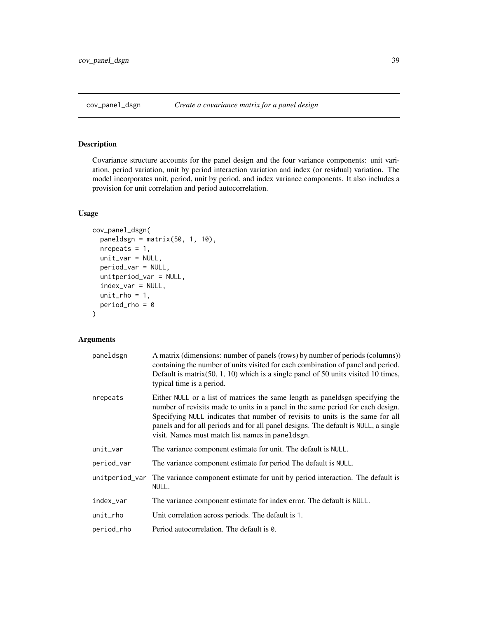Covariance structure accounts for the panel design and the four variance components: unit variation, period variation, unit by period interaction variation and index (or residual) variation. The model incorporates unit, period, unit by period, and index variance components. It also includes a provision for unit correlation and period autocorrelation.

## Usage

```
cov_panel_dsgn(
  paneldsgn = matrix(50, 1, 10),
  nrepeats = 1,
 unit_var = NULL,
 period_var = NULL,
  unitperiod_var = NULL,
  index_var = NULL,
  unit_{rho} = 1,
  period_rho = 0
\mathcal{E}
```
## Arguments

| paneldsgn      | A matrix (dimensions: number of panels (rows) by number of periods (columns))<br>containing the number of units visited for each combination of panel and period.<br>Default is matrix $(50, 1, 10)$ which is a single panel of 50 units visited 10 times,<br>typical time is a period.                                                                                                        |  |
|----------------|------------------------------------------------------------------------------------------------------------------------------------------------------------------------------------------------------------------------------------------------------------------------------------------------------------------------------------------------------------------------------------------------|--|
| nrepeats       | Either NULL or a list of matrices the same length as panelds in specifying the<br>number of revisits made to units in a panel in the same period for each design.<br>Specifying NULL indicates that number of revisits to units is the same for all<br>panels and for all periods and for all panel designs. The default is NULL, a single<br>visit. Names must match list names in paneldsgn. |  |
| unit_var       | The variance component estimate for unit. The default is NULL.                                                                                                                                                                                                                                                                                                                                 |  |
| period_var     | The variance component estimate for period The default is NULL.                                                                                                                                                                                                                                                                                                                                |  |
| unitperiod_var | The variance component estimate for unit by period interaction. The default is<br>NULL.                                                                                                                                                                                                                                                                                                        |  |
| index_var      | The variance component estimate for index error. The default is NULL.                                                                                                                                                                                                                                                                                                                          |  |
| unit_rho       | Unit correlation across periods. The default is 1.                                                                                                                                                                                                                                                                                                                                             |  |
| period_rho     | Period autocorrelation. The default is 0.                                                                                                                                                                                                                                                                                                                                                      |  |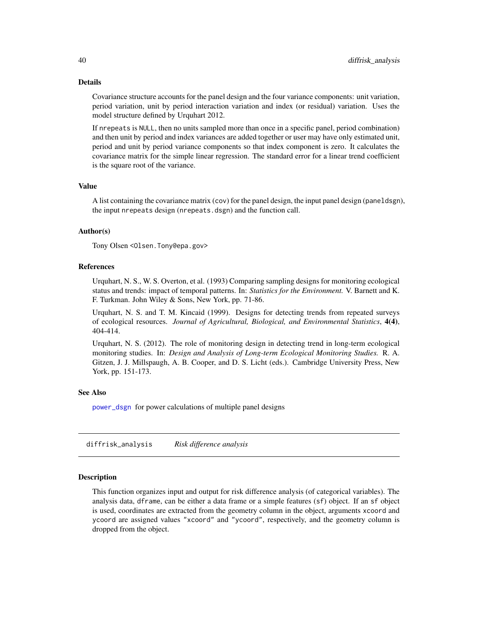#### Details

Covariance structure accounts for the panel design and the four variance components: unit variation, period variation, unit by period interaction variation and index (or residual) variation. Uses the model structure defined by Urquhart 2012.

If nrepeats is NULL, then no units sampled more than once in a specific panel, period combination) and then unit by period and index variances are added together or user may have only estimated unit, period and unit by period variance components so that index component is zero. It calculates the covariance matrix for the simple linear regression. The standard error for a linear trend coefficient is the square root of the variance.

## Value

A list containing the covariance matrix (cov) for the panel design, the input panel design (paneldsgn), the input nrepeats design (nrepeats.dsgn) and the function call.

## Author(s)

Tony Olsen <Olsen.Tony@epa.gov>

### References

Urquhart, N. S., W. S. Overton, et al. (1993) Comparing sampling designs for monitoring ecological status and trends: impact of temporal patterns. In: *Statistics for the Environment.* V. Barnett and K. F. Turkman. John Wiley & Sons, New York, pp. 71-86.

Urquhart, N. S. and T. M. Kincaid (1999). Designs for detecting trends from repeated surveys of ecological resources. *Journal of Agricultural, Biological, and Environmental Statistics*, 4(4), 404-414.

Urquhart, N. S. (2012). The role of monitoring design in detecting trend in long-term ecological monitoring studies. In: *Design and Analysis of Long-term Ecological Monitoring Studies.* R. A. Gitzen, J. J. Millspaugh, A. B. Cooper, and D. S. Licht (eds.). Cambridge University Press, New York, pp. 151-173.

#### See Also

[power\\_dsgn](#page-66-0) for power calculations of multiple panel designs

diffrisk\_analysis *Risk difference analysis*

## Description

This function organizes input and output for risk difference analysis (of categorical variables). The analysis data, dframe, can be either a data frame or a simple features (sf) object. If an sf object is used, coordinates are extracted from the geometry column in the object, arguments xcoord and ycoord are assigned values "xcoord" and "ycoord", respectively, and the geometry column is dropped from the object.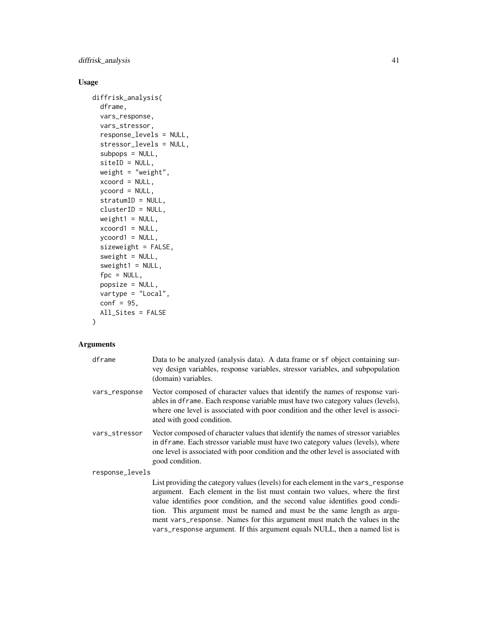# diffrisk\_analysis 41

# Usage

```
diffrisk_analysis(
 dframe,
 vars_response,
 vars_stressor,
 response_levels = NULL,
  stressor_levels = NULL,
  subpops = NULL,
 siteID = NULL,
 weight = "weight",
 xcoord = NULL,
 ycoord = NULL,
 stratumID = NULL,
 clusterID = NULL,
 weight1 = NULL,xcoord1 = NULL,ycoord1 = NULL,
  sizeweight = FALSE,
 sweight = NULL,
 sweight1 = NULL,
 fpc = NULL,popsize = NULL,
 vartype = "Local",
 conf = 95,
 All_Sites = FALSE
)
```
## Arguments

| dframe          | Data to be analyzed (analysis data). A data frame or sf object containing sur-<br>vey design variables, response variables, stressor variables, and subpopulation<br>(domain) variables.                                                                                                                                                                                                                                                                                             |  |
|-----------------|--------------------------------------------------------------------------------------------------------------------------------------------------------------------------------------------------------------------------------------------------------------------------------------------------------------------------------------------------------------------------------------------------------------------------------------------------------------------------------------|--|
| vars_response   | Vector composed of character values that identify the names of response vari-<br>ables in dframe. Each response variable must have two category values (levels),<br>where one level is associated with poor condition and the other level is associ-<br>ated with good condition.                                                                                                                                                                                                    |  |
| vars_stressor   | Vector composed of character values that identify the names of stressor variables<br>in dframe. Each stressor variable must have two category values (levels), where<br>one level is associated with poor condition and the other level is associated with<br>good condition.                                                                                                                                                                                                        |  |
| response_levels |                                                                                                                                                                                                                                                                                                                                                                                                                                                                                      |  |
|                 | List providing the category values (levels) for each element in the vars_response<br>argument. Each element in the list must contain two values, where the first<br>value identifies poor condition, and the second value identifies good condi-<br>tion. This argument must be named and must be the same length as argu-<br>ment vars_response. Names for this argument must match the values in the<br>vars_response argument. If this argument equals NULL, then a named list is |  |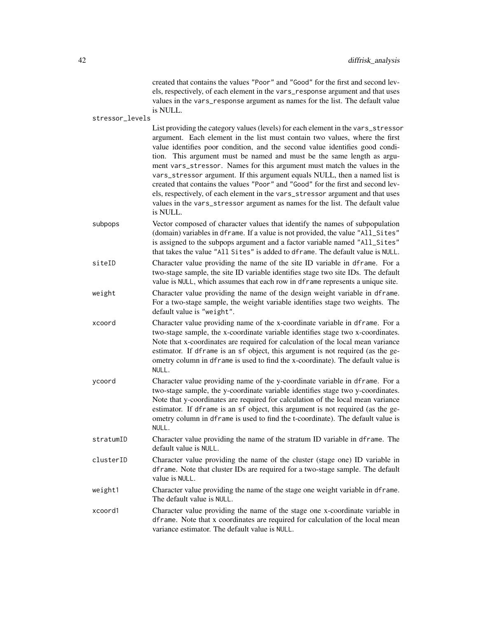created that contains the values "Poor" and "Good" for the first and second levels, respectively, of each element in the vars\_response argument and that uses values in the vars\_response argument as names for the list. The default value is NULL.

stressor\_levels

List providing the category values (levels) for each element in the vars\_stressor argument. Each element in the list must contain two values, where the first value identifies poor condition, and the second value identifies good condition. This argument must be named and must be the same length as argument vars\_stressor. Names for this argument must match the values in the vars\_stressor argument. If this argument equals NULL, then a named list is created that contains the values "Poor" and "Good" for the first and second levels, respectively, of each element in the vars\_stressor argument and that uses values in the vars\_stressor argument as names for the list. The default value is NULL.

- subpops Vector composed of character values that identify the names of subpopulation (domain) variables in dframe. If a value is not provided, the value "All\_Sites" is assigned to the subpops argument and a factor variable named "All\_Sites" that takes the value "All Sites" is added to dframe. The default value is NULL.
- siteID Character value providing the name of the site ID variable in dframe. For a two-stage sample, the site ID variable identifies stage two site IDs. The default value is NULL, which assumes that each row in dframe represents a unique site. weight Character value providing the name of the design weight variable in dframe. For a two-stage sample, the weight variable identifies stage two weights. The

default value is "weight".

- xcoord Character value providing name of the x-coordinate variable in dframe. For a two-stage sample, the x-coordinate variable identifies stage two x-coordinates. Note that x-coordinates are required for calculation of the local mean variance estimator. If dframe is an sf object, this argument is not required (as the geometry column in dframe is used to find the x-coordinate). The default value is NULL.
- ycoord Character value providing name of the y-coordinate variable in dframe. For a two-stage sample, the y-coordinate variable identifies stage two y-coordinates. Note that y-coordinates are required for calculation of the local mean variance estimator. If dframe is an sf object, this argument is not required (as the geometry column in dframe is used to find the t-coordinate). The default value is NULL.
- stratumID Character value providing the name of the stratum ID variable in dframe. The default value is NULL.
- clusterID Character value providing the name of the cluster (stage one) ID variable in dframe. Note that cluster IDs are required for a two-stage sample. The default value is NULL.
- weight1 Character value providing the name of the stage one weight variable in dframe. The default value is NULL.
- xcoord1 Character value providing the name of the stage one x-coordinate variable in dframe. Note that x coordinates are required for calculation of the local mean variance estimator. The default value is NULL.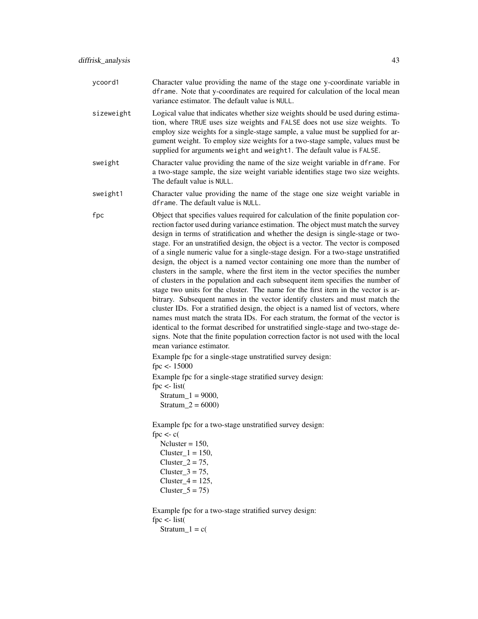- sizeweight Logical value that indicates whether size weights should be used during estimation, where TRUE uses size weights and FALSE does not use size weights. To employ size weights for a single-stage sample, a value must be supplied for argument weight. To employ size weights for a two-stage sample, values must be supplied for arguments weight and weight1. The default value is FALSE.
- sweight Character value providing the name of the size weight variable in dframe. For a two-stage sample, the size weight variable identifies stage two size weights. The default value is NULL.
- sweight1 Character value providing the name of the stage one size weight variable in dframe. The default value is NULL.
- fpc Object that specifies values required for calculation of the finite population correction factor used during variance estimation. The object must match the survey design in terms of stratification and whether the design is single-stage or twostage. For an unstratified design, the object is a vector. The vector is composed of a single numeric value for a single-stage design. For a two-stage unstratified design, the object is a named vector containing one more than the number of clusters in the sample, where the first item in the vector specifies the number of clusters in the population and each subsequent item specifies the number of stage two units for the cluster. The name for the first item in the vector is arbitrary. Subsequent names in the vector identify clusters and must match the cluster IDs. For a stratified design, the object is a named list of vectors, where names must match the strata IDs. For each stratum, the format of the vector is identical to the format described for unstratified single-stage and two-stage designs. Note that the finite population correction factor is not used with the local mean variance estimator.

Example fpc for a single-stage unstratified survey design: fpc <- 15000 Example fpc for a single-stage stratified survey design: fpc  $\lt$ - list( Stratum\_1 = 9000, Stratum  $2 = 6000$ 

Example fpc for a two-stage unstratified survey design: fpc  $\lt$ - c(

 $Ncluster = 150$ , Cluster  $1 = 150$ , Cluster  $2 = 75$ , Cluster  $3 = 75$ ,  $Cluster_4 = 125$ ,  $Cluster_5 = 75$ 

Example fpc for a two-stage stratified survey design: fpc  $\lt$ - list( Stratum $_1 = c($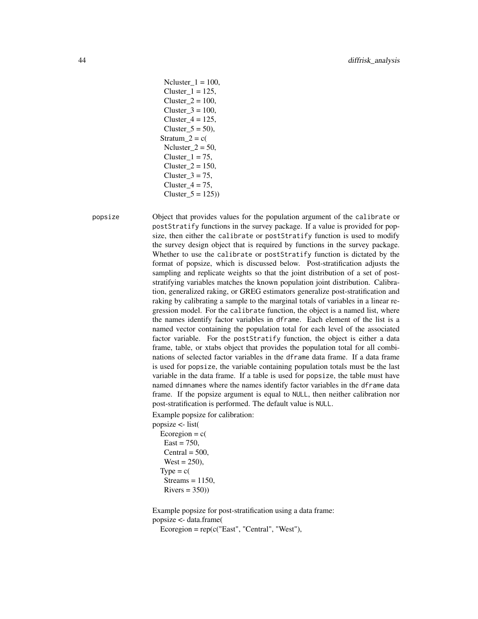```
Ncluster_1 = 100,
 Cluster 1 = 125,
 Cluster 2 = 100,
 Cluster3 = 100,
 Cluster 4 = 125,
 Cluster_5 = 50,
Stratum 2 = c(Ncluster 2 = 50,
 Cluster 1 = 75,
 Cluster_2 = 150,
 Cluster 3 = 75,
 Cluster4 = 75,
 Cluster_5 = 125)
```
popsize Object that provides values for the population argument of the calibrate or postStratify functions in the survey package. If a value is provided for popsize, then either the calibrate or postStratify function is used to modify the survey design object that is required by functions in the survey package. Whether to use the calibrate or postStratify function is dictated by the format of popsize, which is discussed below. Post-stratification adjusts the sampling and replicate weights so that the joint distribution of a set of poststratifying variables matches the known population joint distribution. Calibration, generalized raking, or GREG estimators generalize post-stratification and raking by calibrating a sample to the marginal totals of variables in a linear regression model. For the calibrate function, the object is a named list, where the names identify factor variables in dframe. Each element of the list is a named vector containing the population total for each level of the associated factor variable. For the postStratify function, the object is either a data frame, table, or xtabs object that provides the population total for all combinations of selected factor variables in the dframe data frame. If a data frame is used for popsize, the variable containing population totals must be the last variable in the data frame. If a table is used for popsize, the table must have named dimnames where the names identify factor variables in the dframe data frame. If the popsize argument is equal to NULL, then neither calibration nor post-stratification is performed. The default value is NULL.

Example popsize for calibration:

popsize <- list(

Ecoregion  $= c($  $East = 750$ ,  $Central = 500,$  $West = 250$ ,  $Type = c($  $Streams = 1150$ ,  $Rivers = 350)$ 

Example popsize for post-stratification using a data frame: popsize <- data.frame(

 $Ecoregion = rep(c("East", "Central", "West"),$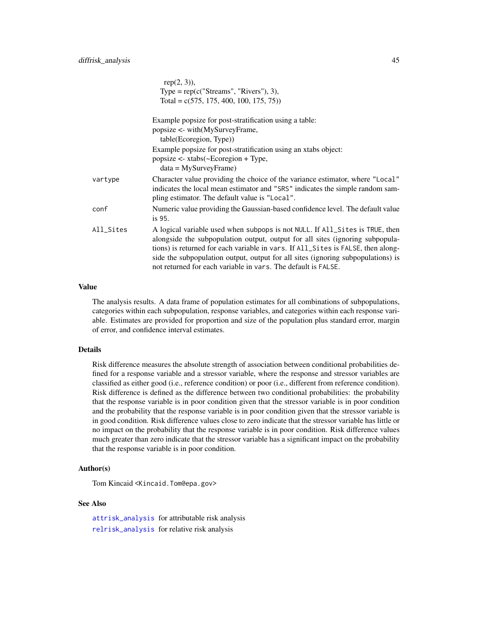|           | $rep(2, 3)$ ),                                                                                                                                                                                                                                                                                                                                                                                         |
|-----------|--------------------------------------------------------------------------------------------------------------------------------------------------------------------------------------------------------------------------------------------------------------------------------------------------------------------------------------------------------------------------------------------------------|
|           | Type = $rep(c("Streams", "Rivers"), 3),$                                                                                                                                                                                                                                                                                                                                                               |
|           | Total = $c(575, 175, 400, 100, 175, 75)$                                                                                                                                                                                                                                                                                                                                                               |
|           | Example popsize for post-stratification using a table:                                                                                                                                                                                                                                                                                                                                                 |
|           | popsize <- with(MySurveyFrame,                                                                                                                                                                                                                                                                                                                                                                         |
|           | table(Ecoregion, Type))                                                                                                                                                                                                                                                                                                                                                                                |
|           | Example popsize for post-stratification using an xtabs object:                                                                                                                                                                                                                                                                                                                                         |
|           | $popsize < xtabs$ $\sim$ Ecoregion + Type,                                                                                                                                                                                                                                                                                                                                                             |
|           | $data = MySurveyFrame)$                                                                                                                                                                                                                                                                                                                                                                                |
| vartype   | Character value providing the choice of the variance estimator, where "Local"<br>indicates the local mean estimator and "SRS" indicates the simple random sam-<br>pling estimator. The default value is "Local".                                                                                                                                                                                       |
| conf      | Numeric value providing the Gaussian-based confidence level. The default value<br>is 95.                                                                                                                                                                                                                                                                                                               |
| All_Sites | A logical variable used when subpops is not NULL. If All_Sites is TRUE, then<br>alongside the subpopulation output, output for all sites (ignoring subpopula-<br>tions) is returned for each variable in vars. If All_Sites is FALSE, then along-<br>side the subpopulation output, output for all sites (ignoring subpopulations) is<br>not returned for each variable in vars. The default is FALSE. |

#### Value

The analysis results. A data frame of population estimates for all combinations of subpopulations, categories within each subpopulation, response variables, and categories within each response variable. Estimates are provided for proportion and size of the population plus standard error, margin of error, and confidence interval estimates.

## Details

Risk difference measures the absolute strength of association between conditional probabilities defined for a response variable and a stressor variable, where the response and stressor variables are classified as either good (i.e., reference condition) or poor (i.e., different from reference condition). Risk difference is defined as the difference between two conditional probabilities: the probability that the response variable is in poor condition given that the stressor variable is in poor condition and the probability that the response variable is in poor condition given that the stressor variable is in good condition. Risk difference values close to zero indicate that the stressor variable has little or no impact on the probability that the response variable is in poor condition. Risk difference values much greater than zero indicate that the stressor variable has a significant impact on the probability that the response variable is in poor condition.

## Author(s)

Tom Kincaid <Kincaid.Tom@epa.gov>

#### See Also

[attrisk\\_analysis](#page-5-0) for attributable risk analysis [relrisk\\_analysis](#page-72-0) for relative risk analysis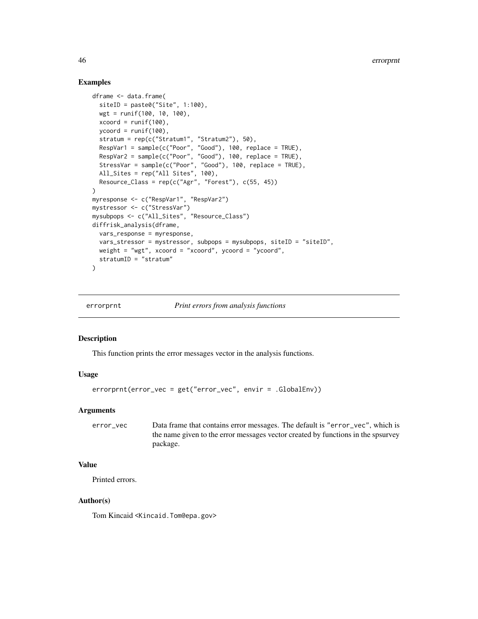## Examples

```
dframe <- data.frame(
  siteID = paste0("Site", 1:100),wgt = runif(100, 10, 100),
  xcoord = runif(100),
  ycoord = runif(100),
  stratum = rep(c("Stratum1", "Stratum2"), 50),
  RespVar1 = sample(c("Poor", "Good"), 100, replace = TRUE),RespVar2 = sample(c("Poor", "Good"), 100, replace = TRUE),
  StressVar = sample(c("Poor", "Good"), 100, replace = TRUE),
  All_Sites = rep("All Sites", 100),
  Resource\_Class = rep(c("Agr", "Forest"), c(55, 45)))
myresponse <- c("RespVar1", "RespVar2")
mystressor <- c("StressVar")
mysubpops <- c("All_Sites", "Resource_Class")
diffrisk_analysis(dframe,
 vars_response = myresponse,
  vars_stressor = mystressor, subpops = mysubpops, siteID = "siteID",
  weight = "wgt", xcoord = xcoord, ycoord = ycoord,
  stratumID = "stratum"
\lambda
```
errorprnt *Print errors from analysis functions*

#### Description

This function prints the error messages vector in the analysis functions.

#### Usage

errorprnt(error\_vec = get("error\_vec", envir = .GlobalEnv))

## Arguments

error\_vec Data frame that contains error messages. The default is "error\_vec", which is the name given to the error messages vector created by functions in the spsurvey package.

## Value

Printed errors.

## Author(s)

Tom Kincaid <Kincaid.Tom@epa.gov>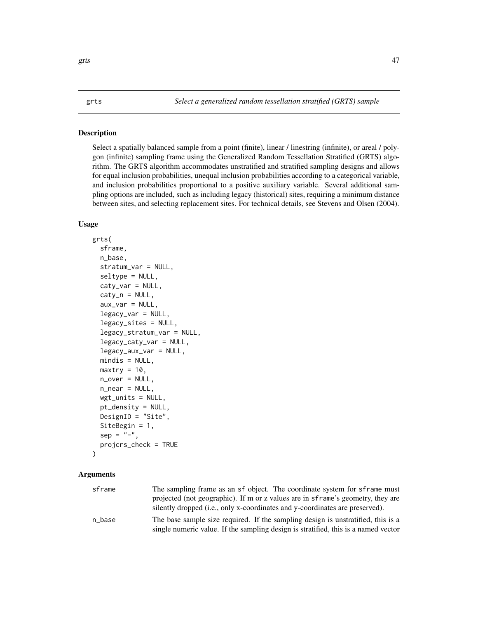<span id="page-46-0"></span>Select a spatially balanced sample from a point (finite), linear / linestring (infinite), or areal / polygon (infinite) sampling frame using the Generalized Random Tessellation Stratified (GRTS) algorithm. The GRTS algorithm accommodates unstratified and stratified sampling designs and allows for equal inclusion probabilities, unequal inclusion probabilities according to a categorical variable, and inclusion probabilities proportional to a positive auxiliary variable. Several additional sampling options are included, such as including legacy (historical) sites, requiring a minimum distance between sites, and selecting replacement sites. For technical details, see Stevens and Olsen (2004).

## Usage

```
grts(
  sframe,
  n_base,
  stratum_var = NULL,
  seltype = NULL,
  caty_var = NULL,
  caty_n = NULL,aux\_var = NULL,legacy_var = NULL,
  legacy_sites = NULL,
  legacy_stratum_var = NULL,
  legacy_caty_var = NULL,
  legacy_aux_var = NULL,
  mindis = NULL,
  maxtry = 10,
  n_over = NULL,
  n_near = NULL,
  wgt\_units = NULL,pt_density = NULL,
  DesignID = "Site",
  SiteBegin = 1,
  sep = "-",
  projcrs_check = TRUE
)
```
### Arguments

| sframe | The sampling frame as an sf object. The coordinate system for sframe must          |
|--------|------------------------------------------------------------------------------------|
|        | projected (not geographic). If m or z values are in sframe's geometry, they are    |
|        | silently dropped (i.e., only x-coordinates and y-coordinates are preserved).       |
| n base | The base sample size required. If the sampling design is unstratified, this is a   |
|        | single numeric value. If the sampling design is stratified, this is a named vector |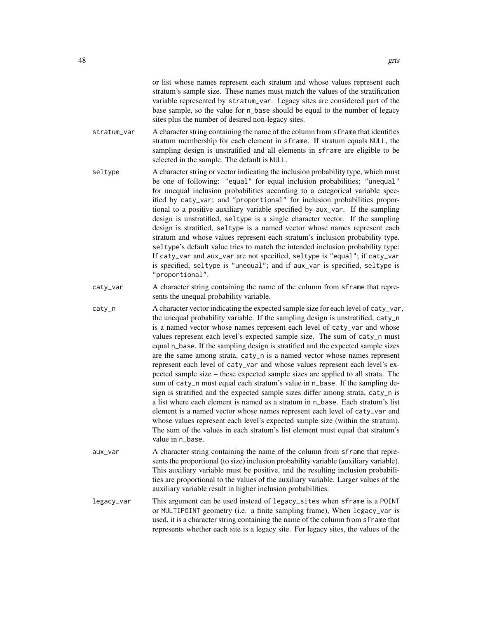or list whose names represent each stratum and whose values represent each stratum's sample size. These names must match the values of the stratification variable represented by stratum\_var. Legacy sites are considered part of the base sample, so the value for n\_base should be equal to the number of legacy sites plus the number of desired non-legacy sites.

- stratum\_var A character string containing the name of the column from sframe that identifies stratum membership for each element in sframe. If stratum equals NULL, the sampling design is unstratified and all elements in sframe are eligible to be selected in the sample. The default is NULL.
- seltype A character string or vector indicating the inclusion probability type, which must be one of following: "equal" for equal inclusion probabilities; "unequal" for unequal inclusion probabilities according to a categorical variable specified by caty\_var; and "proportional" for inclusion probabilities proportional to a positive auxiliary variable specified by aux\_var. If the sampling design is unstratified, seltype is a single character vector. If the sampling design is stratified, seltype is a named vector whose names represent each stratum and whose values represent each stratum's inclusion probability type. seltype's default value tries to match the intended inclusion probability type: If caty\_var and aux\_var are not specified, seltype is "equal"; if caty\_var is specified, seltype is "unequal"; and if aux\_var is specified, seltype is "proportional".
- caty\_var A character string containing the name of the column from sframe that represents the unequal probability variable.
- caty\_n A character vector indicating the expected sample size for each level of caty\_var, the unequal probability variable. If the sampling design is unstratified, caty\_n is a named vector whose names represent each level of caty\_var and whose values represent each level's expected sample size. The sum of caty\_n must equal n\_base. If the sampling design is stratified and the expected sample sizes are the same among strata, caty\_n is a named vector whose names represent represent each level of caty\_var and whose values represent each level's expected sample size – these expected sample sizes are applied to all strata. The sum of caty\_n must equal each stratum's value in n\_base. If the sampling design is stratified and the expected sample sizes differ among strata, caty\_n is a list where each element is named as a stratum in n\_base. Each stratum's list element is a named vector whose names represent each level of caty\_var and whose values represent each level's expected sample size (within the stratum). The sum of the values in each stratum's list element must equal that stratum's value in n\_base.
- aux\_var A character string containing the name of the column from sframe that represents the proportional (to size) inclusion probability variable (auxiliary variable). This auxiliary variable must be positive, and the resulting inclusion probabilities are proportional to the values of the auxiliary variable. Larger values of the auxiliary variable result in higher inclusion probabilities.
- legacy\_var This argument can be used instead of legacy\_sites when sframe is a POINT or MULTIPOINT geometry (i.e. a finite sampling frame), When legacy\_var is used, it is a character string containing the name of the column from sframe that represents whether each site is a legacy site. For legacy sites, the values of the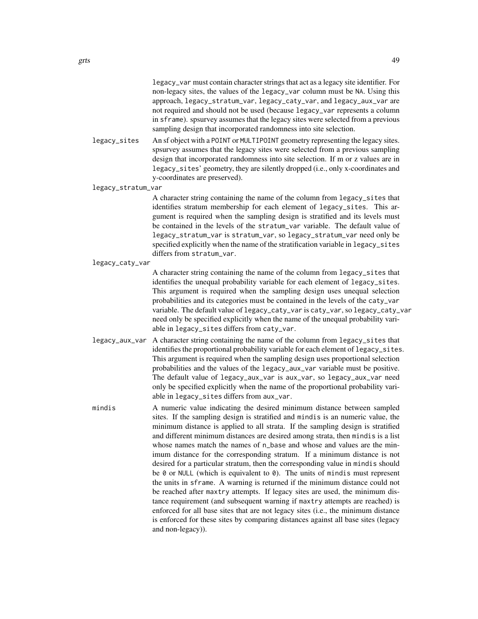legacy\_var must contain character strings that act as a legacy site identifier. For non-legacy sites, the values of the legacy\_var column must be NA. Using this approach, legacy\_stratum\_var, legacy\_caty\_var, and legacy\_aux\_var are not required and should not be used (because legacy\_var represents a column in sframe). spsurvey assumes that the legacy sites were selected from a previous sampling design that incorporated randomness into site selection.

legacy\_sites An sf object with a POINT or MULTIPOINT geometry representing the legacy sites. spsurvey assumes that the legacy sites were selected from a previous sampling design that incorporated randomness into site selection. If m or z values are in legacy\_sites' geometry, they are silently dropped (i.e., only x-coordinates and y-coordinates are preserved).

legacy\_stratum\_var

A character string containing the name of the column from legacy\_sites that identifies stratum membership for each element of legacy\_sites. This argument is required when the sampling design is stratified and its levels must be contained in the levels of the stratum\_var variable. The default value of legacy\_stratum\_var is stratum\_var, so legacy\_stratum\_var need only be specified explicitly when the name of the stratification variable in legacy\_sites differs from stratum\_var.

#### legacy\_caty\_var

A character string containing the name of the column from legacy\_sites that identifies the unequal probability variable for each element of legacy\_sites. This argument is required when the sampling design uses unequal selection probabilities and its categories must be contained in the levels of the caty\_var variable. The default value of legacy\_caty\_var is caty\_var, so legacy\_caty\_var need only be specified explicitly when the name of the unequal probability variable in legacy\_sites differs from caty\_var.

- legacy\_aux\_var A character string containing the name of the column from legacy\_sites that identifies the proportional probability variable for each element of legacy\_sites. This argument is required when the sampling design uses proportional selection probabilities and the values of the legacy\_aux\_var variable must be positive. The default value of legacy\_aux\_var is aux\_var, so legacy\_aux\_var need only be specified explicitly when the name of the proportional probability variable in legacy\_sites differs from aux\_var.
- mindis A numeric value indicating the desired minimum distance between sampled sites. If the sampling design is stratified and mindis is an numeric value, the minimum distance is applied to all strata. If the sampling design is stratified and different minimum distances are desired among strata, then mindis is a list whose names match the names of  $n$ -base and whose and values are the minimum distance for the corresponding stratum. If a minimum distance is not desired for a particular stratum, then the corresponding value in mindis should be 0 or NULL (which is equivalent to 0). The units of mindis must represent the units in sframe. A warning is returned if the minimum distance could not be reached after maxtry attempts. If legacy sites are used, the minimum distance requirement (and subsequent warning if maxtry attempts are reached) is enforced for all base sites that are not legacy sites (i.e., the minimum distance is enforced for these sites by comparing distances against all base sites (legacy and non-legacy)).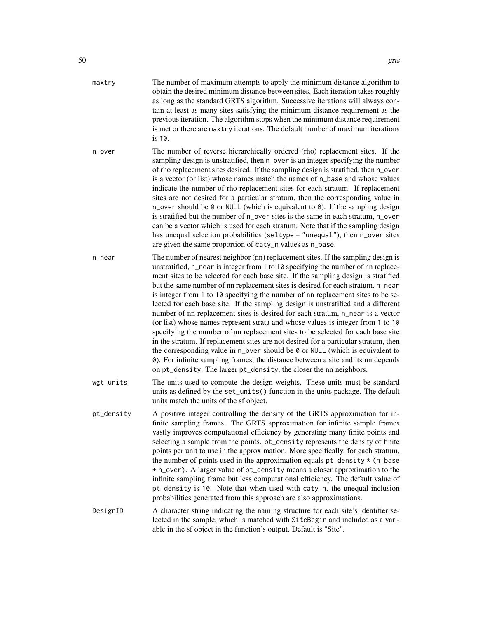| maxtry | The number of maximum attempts to apply the minimum distance algorithm to       |
|--------|---------------------------------------------------------------------------------|
|        | obtain the desired minimum distance between sites. Each iteration takes roughly |
|        | as long as the standard GRTS algorithm. Successive iterations will always con-  |
|        | tain at least as many sites satisfying the minimum distance requirement as the  |
|        | previous iteration. The algorithm stops when the minimum distance requirement   |
|        | is met or there are maxtry iterations. The default number of maximum iterations |
|        | is $10$ .                                                                       |
|        |                                                                                 |

- n\_over The number of reverse hierarchically ordered (rho) replacement sites. If the sampling design is unstratified, then n\_over is an integer specifying the number of rho replacement sites desired. If the sampling design is stratified, then n\_over is a vector (or list) whose names match the names of n\_base and whose values indicate the number of rho replacement sites for each stratum. If replacement sites are not desired for a particular stratum, then the corresponding value in n\_over should be 0 or NULL (which is equivalent to 0). If the sampling design is stratified but the number of n\_over sites is the same in each stratum, n\_over can be a vector which is used for each stratum. Note that if the sampling design has unequal selection probabilities (seltype = "unequal"), then n\_over sites are given the same proportion of caty\_n values as n\_base.
- n\_near The number of nearest neighbor (nn) replacement sites. If the sampling design is unstratified, n\_near is integer from 1 to 10 specifying the number of nn replacement sites to be selected for each base site. If the sampling design is stratified but the same number of nn replacement sites is desired for each stratum, n\_near is integer from 1 to 10 specifying the number of nn replacement sites to be selected for each base site. If the sampling design is unstratified and a different number of nn replacement sites is desired for each stratum, n\_near is a vector (or list) whose names represent strata and whose values is integer from 1 to 10 specifying the number of nn replacement sites to be selected for each base site in the stratum. If replacement sites are not desired for a particular stratum, then the corresponding value in n\_over should be 0 or NULL (which is equivalent to 0). For infinite sampling frames, the distance between a site and its nn depends on pt\_density. The larger pt\_density, the closer the nn neighbors.
- wgt\_units The units used to compute the design weights. These units must be standard units as defined by the set\_units() function in the units package. The default units match the units of the sf object.
- pt\_density A positive integer controlling the density of the GRTS approximation for infinite sampling frames. The GRTS approximation for infinite sample frames vastly improves computational efficiency by generating many finite points and selecting a sample from the points. pt\_density represents the density of finite points per unit to use in the approximation. More specifically, for each stratum, the number of points used in the approximation equals  $pt\_density * (n\_base$ + n\_over). A larger value of pt\_density means a closer approximation to the infinite sampling frame but less computational efficiency. The default value of pt\_density is 10. Note that when used with caty\_n, the unequal inclusion probabilities generated from this approach are also approximations.
- DesignID A character string indicating the naming structure for each site's identifier selected in the sample, which is matched with SiteBegin and included as a variable in the sf object in the function's output. Default is "Site".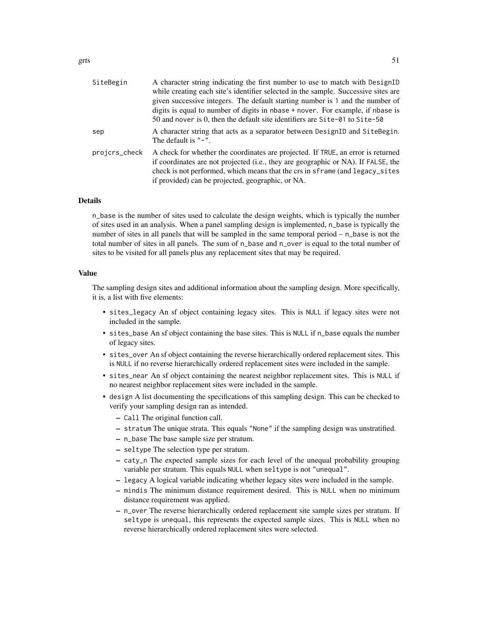| SiteBegin     | A character string indicating the first number to use to match with DesignID                                                                                                                                                                                                                               |
|---------------|------------------------------------------------------------------------------------------------------------------------------------------------------------------------------------------------------------------------------------------------------------------------------------------------------------|
|               | while creating each site's identifier selected in the sample. Successive sites are                                                                                                                                                                                                                         |
|               | given successive integers. The default starting number is 1 and the number of                                                                                                                                                                                                                              |
|               | digits is equal to number of digits in nbase + nover. For example, if nbase is                                                                                                                                                                                                                             |
|               | 50 and nover is 0, then the default site identifiers are $\text{Site-01}$ to $\text{Site-50}$                                                                                                                                                                                                              |
| sep           | A character string that acts as a separator between DesignID and SiteBegin.<br>The default is $"$ -".                                                                                                                                                                                                      |
| projcrs_check | A check for whether the coordinates are projected. If TRUE, an error is returned<br>if coordinates are not projected (i.e., they are geographic or NA). If FALSE, the<br>check is not performed, which means that the crs in sframe (and legacy_sites<br>if provided) can be projected, geographic, or NA. |
|               |                                                                                                                                                                                                                                                                                                            |

## Details

n\_base is the number of sites used to calculate the design weights, which is typically the number of sites used in an analysis. When a panel sampling design is implemented, n\_base is typically the number of sites in all panels that will be sampled in the same temporal period – n\_base is not the total number of sites in all panels. The sum of n\_base and n\_over is equal to the total number of sites to be visited for all panels plus any replacement sites that may be required.

## Value

The sampling design sites and additional information about the sampling design. More specifically, it is, a list with five elements:

- sites\_legacy An sf object containing legacy sites. This is NULL if legacy sites were not included in the sample.
- sites\_base An sf object containing the base sites. This is NULL if n\_base equals the number of legacy sites.
- sites\_over An sf object containing the reverse hierarchically ordered replacement sites. This is NULL if no reverse hierarchically ordered replacement sites were included in the sample.
- sites\_near An sf object containing the nearest neighbor replacement sites. This is NULL if no nearest neighbor replacement sites were included in the sample.
- design A list documenting the specifications of this sampling design. This can be checked to verify your sampling design ran as intended.
	- Call The original function call.
	- stratum The unique strata. This equals "None" if the sampling design was unstratified.
	- n\_base The base sample size per stratum.
	- seltype The selection type per stratum.
	- caty\_n The expected sample sizes for each level of the unequal probability grouping variable per stratum. This equals NULL when seltype is not "unequal".
	- legacy A logical variable indicating whether legacy sites were included in the sample.
	- mindis The minimum distance requirement desired. This is NULL when no minimum distance requirement was applied.
	- n\_over The reverse hierarchically ordered replacement site sample sizes per stratum. If seltype is unequal, this represents the expected sample sizes. This is NULL when no reverse hierarchically ordered replacement sites were selected.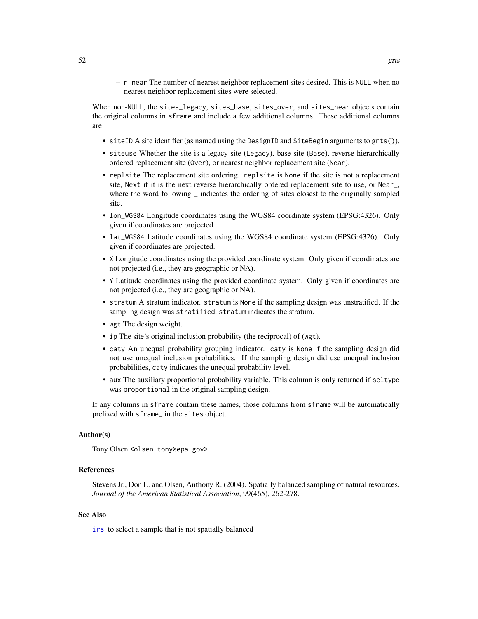– n\_near The number of nearest neighbor replacement sites desired. This is NULL when no nearest neighbor replacement sites were selected.

When non-NULL, the sites\_legacy, sites\_base, sites\_over, and sites\_near objects contain the original columns in sframe and include a few additional columns. These additional columns are

- siteID A site identifier (as named using the DesignID and SiteBegin arguments to grts()).
- siteuse Whether the site is a legacy site (Legacy), base site (Base), reverse hierarchically ordered replacement site (Over), or nearest neighbor replacement site (Near).
- replsite The replacement site ordering. replsite is None if the site is not a replacement site, Next if it is the next reverse hierarchically ordered replacement site to use, or Near\_, where the word following  $\overline{\phantom{a}}$  indicates the ordering of sites closest to the originally sampled site.
- lon\_WGS84 Longitude coordinates using the WGS84 coordinate system (EPSG:4326). Only given if coordinates are projected.
- lat\_WGS84 Latitude coordinates using the WGS84 coordinate system (EPSG:4326). Only given if coordinates are projected.
- X Longitude coordinates using the provided coordinate system. Only given if coordinates are not projected (i.e., they are geographic or NA).
- Y Latitude coordinates using the provided coordinate system. Only given if coordinates are not projected (i.e., they are geographic or NA).
- stratum A stratum indicator. stratum is None if the sampling design was unstratified. If the sampling design was stratified, stratum indicates the stratum.
- wgt The design weight.
- ip The site's original inclusion probability (the reciprocal) of (wgt).
- caty An unequal probability grouping indicator. caty is None if the sampling design did not use unequal inclusion probabilities. If the sampling design did use unequal inclusion probabilities, caty indicates the unequal probability level.
- aux The auxiliary proportional probability variable. This column is only returned if seltype was proportional in the original sampling design.

If any columns in sframe contain these names, those columns from sframe will be automatically prefixed with sframe\_ in the sites object.

## Author(s)

Tony Olsen <olsen.tony@epa.gov>

#### References

Stevens Jr., Don L. and Olsen, Anthony R. (2004). Spatially balanced sampling of natural resources. *Journal of the American Statistical Association*, 99(465), 262-278.

## See Also

[irs](#page-53-0) to select a sample that is not spatially balanced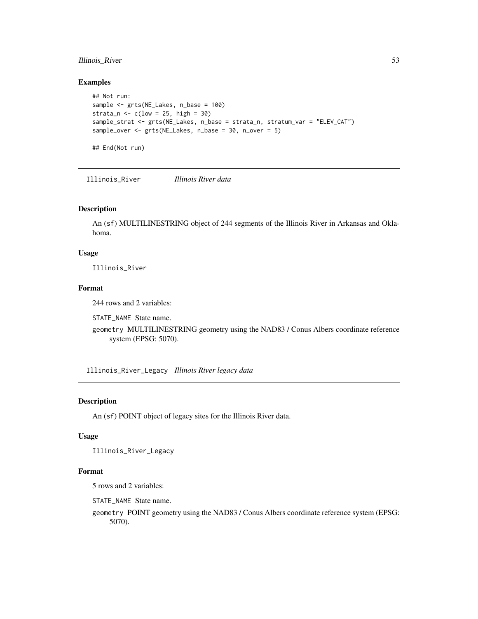## Illinois\_River 53

## Examples

```
## Not run:
sample <- grts(NE_Lakes, n_base = 100)
strata_n \leq c(low = 25, high = 30)
sample_strat <- grts(NE_Lakes, n_base = strata_n, stratum_var = "ELEV_CAT")
sample_over <- grts(NE_Lakes, n_base = 30, n_over = 5)
```
Illinois\_River *Illinois River data*

## Description

An (sf) MULTILINESTRING object of 244 segments of the Illinois River in Arkansas and Oklahoma.

## Usage

Illinois\_River

## End(Not run)

# Format

244 rows and 2 variables:

STATE\_NAME State name.

geometry MULTILINESTRING geometry using the NAD83 / Conus Albers coordinate reference system (EPSG: 5070).

Illinois\_River\_Legacy *Illinois River legacy data*

## Description

An (sf) POINT object of legacy sites for the Illinois River data.

# Usage

Illinois\_River\_Legacy

## Format

5 rows and 2 variables:

STATE\_NAME State name.

geometry POINT geometry using the NAD83 / Conus Albers coordinate reference system (EPSG: 5070).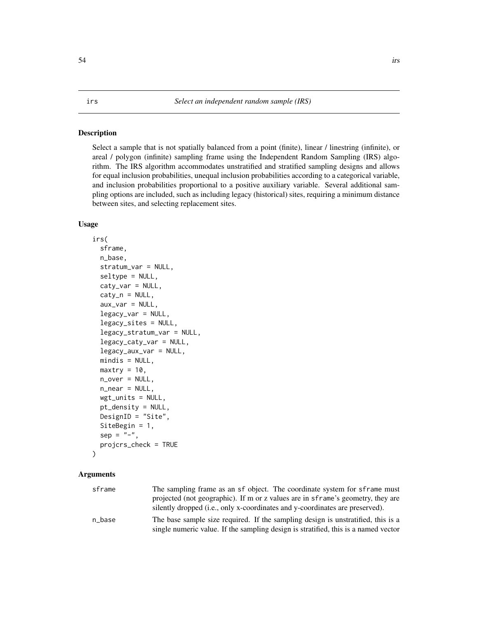<span id="page-53-0"></span>Select a sample that is not spatially balanced from a point (finite), linear / linestring (infinite), or areal / polygon (infinite) sampling frame using the Independent Random Sampling (IRS) algorithm. The IRS algorithm accommodates unstratified and stratified sampling designs and allows for equal inclusion probabilities, unequal inclusion probabilities according to a categorical variable, and inclusion probabilities proportional to a positive auxiliary variable. Several additional sampling options are included, such as including legacy (historical) sites, requiring a minimum distance between sites, and selecting replacement sites.

## Usage

```
irs(
  sframe,
  n_base,
  stratum_var = NULL,
  seltype = NULL,
  caty_var = NULL,
  caty_n = NULL,aux\_var = NULL,legacy_var = NULL,
  legacy_sites = NULL,
  legacy_stratum_var = NULL,
  legacy_caty_var = NULL,
  legacy_aux_var = NULL,
  mindis = NULL,
 maxtry = 10,
  n_over = NULL,
  n_near = NULL,
  wgt\_units = NULL,pt_density = NULL,
 DesignID = "Site",
  SiteBegin = 1,
  sep = "-",
  projcrs_check = TRUE
)
```
### Arguments

| sframe | The sampling frame as an sf object. The coordinate system for sframe must          |
|--------|------------------------------------------------------------------------------------|
|        | projected (not geographic). If m or z values are in sframe's geometry, they are    |
|        | silently dropped (i.e., only x-coordinates and y-coordinates are preserved).       |
| n base | The base sample size required. If the sampling design is unstratified, this is a   |
|        | single numeric value. If the sampling design is stratified, this is a named vector |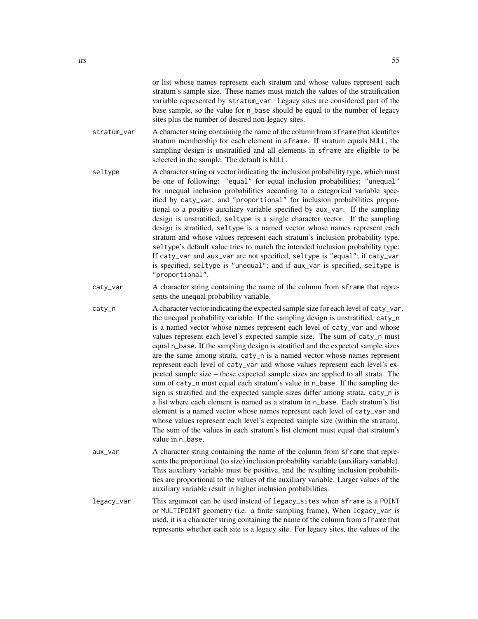or list whose names represent each stratum and whose values represent each stratum's sample size. These names must match the values of the stratification variable represented by stratum\_var. Legacy sites are considered part of the base sample, so the value for n\_base should be equal to the number of legacy sites plus the number of desired non-legacy sites.

- stratum\_var A character string containing the name of the column from sframe that identifies stratum membership for each element in sframe. If stratum equals NULL, the sampling design is unstratified and all elements in sframe are eligible to be selected in the sample. The default is NULL.
- seltype A character string or vector indicating the inclusion probability type, which must be one of following: "equal" for equal inclusion probabilities; "unequal" for unequal inclusion probabilities according to a categorical variable specified by caty\_var; and "proportional" for inclusion probabilities proportional to a positive auxiliary variable specified by aux\_var. If the sampling design is unstratified, seltype is a single character vector. If the sampling design is stratified, seltype is a named vector whose names represent each stratum and whose values represent each stratum's inclusion probability type. seltype's default value tries to match the intended inclusion probability type: If caty\_var and aux\_var are not specified, seltype is "equal"; if caty\_var is specified, seltype is "unequal"; and if aux\_var is specified, seltype is "proportional".
- caty\_var A character string containing the name of the column from sframe that represents the unequal probability variable.
- caty\_n A character vector indicating the expected sample size for each level of caty\_var, the unequal probability variable. If the sampling design is unstratified, caty\_n is a named vector whose names represent each level of caty\_var and whose values represent each level's expected sample size. The sum of caty\_n must equal n\_base. If the sampling design is stratified and the expected sample sizes are the same among strata, caty\_n is a named vector whose names represent represent each level of caty\_var and whose values represent each level's expected sample size – these expected sample sizes are applied to all strata. The sum of caty\_n must equal each stratum's value in n\_base. If the sampling design is stratified and the expected sample sizes differ among strata, caty\_n is a list where each element is named as a stratum in n\_base. Each stratum's list element is a named vector whose names represent each level of caty\_var and whose values represent each level's expected sample size (within the stratum). The sum of the values in each stratum's list element must equal that stratum's value in n\_base.
- aux\_var A character string containing the name of the column from sframe that represents the proportional (to size) inclusion probability variable (auxiliary variable). This auxiliary variable must be positive, and the resulting inclusion probabilities are proportional to the values of the auxiliary variable. Larger values of the auxiliary variable result in higher inclusion probabilities.
- legacy\_var This argument can be used instead of legacy\_sites when sframe is a POINT or MULTIPOINT geometry (i.e. a finite sampling frame), When legacy\_var is used, it is a character string containing the name of the column from sframe that represents whether each site is a legacy site. For legacy sites, the values of the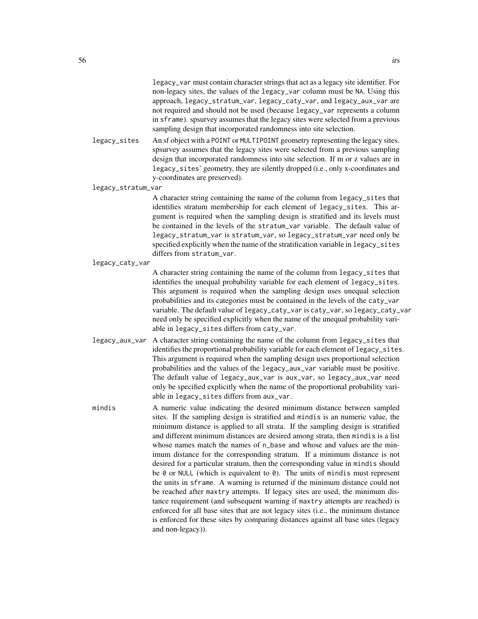legacy\_var must contain character strings that act as a legacy site identifier. For non-legacy sites, the values of the legacy\_var column must be NA. Using this approach, legacy\_stratum\_var, legacy\_caty\_var, and legacy\_aux\_var are not required and should not be used (because legacy\_var represents a column in sframe). spsurvey assumes that the legacy sites were selected from a previous sampling design that incorporated randomness into site selection.

legacy\_sites An sf object with a POINT or MULTIPOINT geometry representing the legacy sites. spsurvey assumes that the legacy sites were selected from a previous sampling design that incorporated randomness into site selection. If m or z values are in legacy\_sites' geometry, they are silently dropped (i.e., only x-coordinates and y-coordinates are preserved).

legacy\_stratum\_var

A character string containing the name of the column from legacy\_sites that identifies stratum membership for each element of legacy\_sites. This argument is required when the sampling design is stratified and its levels must be contained in the levels of the stratum\_var variable. The default value of legacy\_stratum\_var is stratum\_var, so legacy\_stratum\_var need only be specified explicitly when the name of the stratification variable in legacy\_sites differs from stratum\_var.

#### legacy\_caty\_var

A character string containing the name of the column from legacy\_sites that identifies the unequal probability variable for each element of legacy\_sites. This argument is required when the sampling design uses unequal selection probabilities and its categories must be contained in the levels of the caty\_var variable. The default value of legacy\_caty\_var is caty\_var, so legacy\_caty\_var need only be specified explicitly when the name of the unequal probability variable in legacy\_sites differs from caty\_var.

- legacy\_aux\_var A character string containing the name of the column from legacy\_sites that identifies the proportional probability variable for each element of legacy\_sites. This argument is required when the sampling design uses proportional selection probabilities and the values of the legacy\_aux\_var variable must be positive. The default value of legacy\_aux\_var is aux\_var, so legacy\_aux\_var need only be specified explicitly when the name of the proportional probability variable in legacy\_sites differs from aux\_var.
- mindis A numeric value indicating the desired minimum distance between sampled sites. If the sampling design is stratified and mindis is an numeric value, the minimum distance is applied to all strata. If the sampling design is stratified and different minimum distances are desired among strata, then mindis is a list whose names match the names of  $n$ -base and whose and values are the minimum distance for the corresponding stratum. If a minimum distance is not desired for a particular stratum, then the corresponding value in mindis should be 0 or NULL (which is equivalent to 0). The units of mindis must represent the units in sframe. A warning is returned if the minimum distance could not be reached after maxtry attempts. If legacy sites are used, the minimum distance requirement (and subsequent warning if maxtry attempts are reached) is enforced for all base sites that are not legacy sites (i.e., the minimum distance is enforced for these sites by comparing distances against all base sites (legacy and non-legacy)).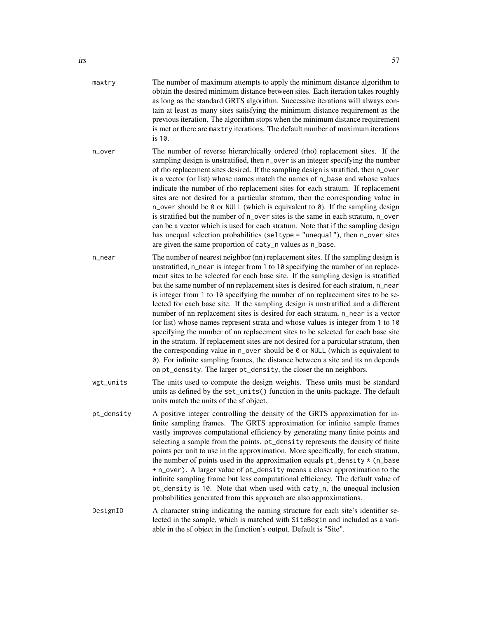| maxtry     | The number of maximum attempts to apply the minimum distance algorithm to<br>obtain the desired minimum distance between sites. Each iteration takes roughly<br>as long as the standard GRTS algorithm. Successive iterations will always con-<br>tain at least as many sites satisfying the minimum distance requirement as the<br>previous iteration. The algorithm stops when the minimum distance requirement<br>is met or there are maxtry iterations. The default number of maximum iterations<br>is 10.                                                                                                                                                                                                                                                                                                                                                                                                                                                                                                                                                                                                   |
|------------|------------------------------------------------------------------------------------------------------------------------------------------------------------------------------------------------------------------------------------------------------------------------------------------------------------------------------------------------------------------------------------------------------------------------------------------------------------------------------------------------------------------------------------------------------------------------------------------------------------------------------------------------------------------------------------------------------------------------------------------------------------------------------------------------------------------------------------------------------------------------------------------------------------------------------------------------------------------------------------------------------------------------------------------------------------------------------------------------------------------|
| n_over     | The number of reverse hierarchically ordered (rho) replacement sites. If the<br>sampling design is unstratified, then n_over is an integer specifying the number<br>of rho replacement sites desired. If the sampling design is stratified, then n_over<br>is a vector (or list) whose names match the names of n_base and whose values<br>indicate the number of rho replacement sites for each stratum. If replacement<br>sites are not desired for a particular stratum, then the corresponding value in<br>n_over should be 0 or NULL (which is equivalent to 0). If the sampling design<br>is stratified but the number of n_over sites is the same in each stratum, n_over<br>can be a vector which is used for each stratum. Note that if the sampling design<br>has unequal selection probabilities (seltype = "unequal"), then n_over sites<br>are given the same proportion of caty_n values as n_base.                                                                                                                                                                                                |
| n_near     | The number of nearest neighbor (nn) replacement sites. If the sampling design is<br>unstratified, n_near is integer from 1 to 10 specifying the number of nn replace-<br>ment sites to be selected for each base site. If the sampling design is stratified<br>but the same number of nn replacement sites is desired for each stratum, n_near<br>is integer from 1 to 10 specifying the number of nn replacement sites to be se-<br>lected for each base site. If the sampling design is unstratified and a different<br>number of nn replacement sites is desired for each stratum, n_near is a vector<br>(or list) whose names represent strata and whose values is integer from 1 to 10<br>specifying the number of nn replacement sites to be selected for each base site<br>in the stratum. If replacement sites are not desired for a particular stratum, then<br>the corresponding value in n_over should be 0 or NULL (which is equivalent to<br>0). For infinite sampling frames, the distance between a site and its nn depends<br>on pt_density. The larger pt_density, the closer the nn neighbors. |
| wgt_units  | The units used to compute the design weights. These units must be standard<br>units as defined by the set_units() function in the units package. The default<br>units match the units of the sf object.                                                                                                                                                                                                                                                                                                                                                                                                                                                                                                                                                                                                                                                                                                                                                                                                                                                                                                          |
| pt_density | A positive integer controlling the density of the GRTS approximation for in-<br>finite sampling frames. The GRTS approximation for infinite sample frames<br>vastly improves computational efficiency by generating many finite points and<br>selecting a sample from the points. pt_density represents the density of finite<br>points per unit to use in the approximation. More specifically, for each stratum,<br>the number of points used in the approximation equals $pt$ _density $*(n$ _base<br>+ n_over). A larger value of pt_density means a closer approximation to the<br>infinite sampling frame but less computational efficiency. The default value of<br>pt_density is 10. Note that when used with caty_n, the unequal inclusion<br>probabilities generated from this approach are also approximations.                                                                                                                                                                                                                                                                                       |
| DesignID   | A character string indicating the naming structure for each site's identifier se-<br>lected in the sample, which is matched with SiteBegin and included as a vari-<br>able in the sf object in the function's output. Default is "Site".                                                                                                                                                                                                                                                                                                                                                                                                                                                                                                                                                                                                                                                                                                                                                                                                                                                                         |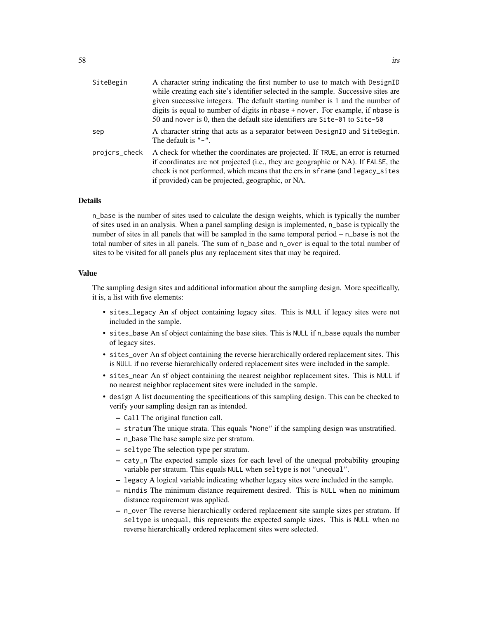| SiteBegin     | A character string indicating the first number to use to match with DesignID                                                                                                                                                                                                                               |
|---------------|------------------------------------------------------------------------------------------------------------------------------------------------------------------------------------------------------------------------------------------------------------------------------------------------------------|
|               | while creating each site's identifier selected in the sample. Successive sites are                                                                                                                                                                                                                         |
|               | given successive integers. The default starting number is 1 and the number of                                                                                                                                                                                                                              |
|               | digits is equal to number of digits in nbase + nover. For example, if nbase is                                                                                                                                                                                                                             |
|               | 50 and nover is 0, then the default site identifiers are Site-01 to Site-50                                                                                                                                                                                                                                |
| sep           | A character string that acts as a separator between DesignID and SiteBegin.<br>The default is $"$ – ".                                                                                                                                                                                                     |
| projcrs_check | A check for whether the coordinates are projected. If TRUE, an error is returned<br>if coordinates are not projected (i.e., they are geographic or NA). If FALSE, the<br>check is not performed, which means that the crs in sframe (and legacy_sites<br>if provided) can be projected, geographic, or NA. |
|               |                                                                                                                                                                                                                                                                                                            |

## Details

n\_base is the number of sites used to calculate the design weights, which is typically the number of sites used in an analysis. When a panel sampling design is implemented, n\_base is typically the number of sites in all panels that will be sampled in the same temporal period – n\_base is not the total number of sites in all panels. The sum of n\_base and n\_over is equal to the total number of sites to be visited for all panels plus any replacement sites that may be required.

## Value

The sampling design sites and additional information about the sampling design. More specifically, it is, a list with five elements:

- sites\_legacy An sf object containing legacy sites. This is NULL if legacy sites were not included in the sample.
- sites\_base An sf object containing the base sites. This is NULL if n\_base equals the number of legacy sites.
- sites\_over An sf object containing the reverse hierarchically ordered replacement sites. This is NULL if no reverse hierarchically ordered replacement sites were included in the sample.
- sites\_near An sf object containing the nearest neighbor replacement sites. This is NULL if no nearest neighbor replacement sites were included in the sample.
- design A list documenting the specifications of this sampling design. This can be checked to verify your sampling design ran as intended.
	- Call The original function call.
	- stratum The unique strata. This equals "None" if the sampling design was unstratified.
	- n\_base The base sample size per stratum.
	- seltype The selection type per stratum.
	- caty\_n The expected sample sizes for each level of the unequal probability grouping variable per stratum. This equals NULL when seltype is not "unequal".
	- legacy A logical variable indicating whether legacy sites were included in the sample.
	- mindis The minimum distance requirement desired. This is NULL when no minimum distance requirement was applied.
	- n\_over The reverse hierarchically ordered replacement site sample sizes per stratum. If seltype is unequal, this represents the expected sample sizes. This is NULL when no reverse hierarchically ordered replacement sites were selected.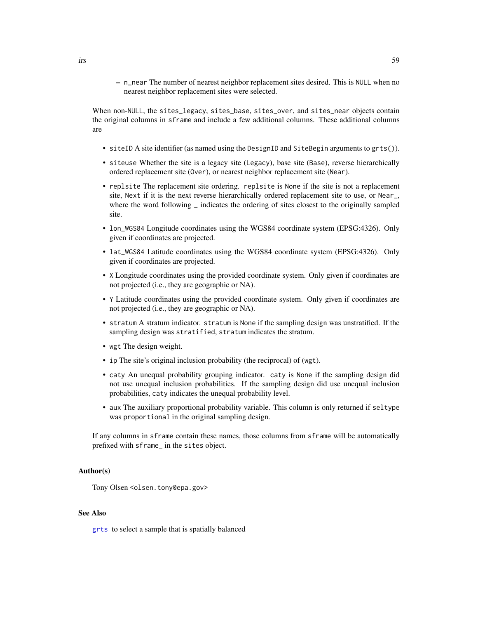– n\_near The number of nearest neighbor replacement sites desired. This is NULL when no nearest neighbor replacement sites were selected.

When non-NULL, the sites\_legacy, sites\_base, sites\_over, and sites\_near objects contain the original columns in sframe and include a few additional columns. These additional columns are

- siteID A site identifier (as named using the DesignID and SiteBegin arguments to grts()).
- siteuse Whether the site is a legacy site (Legacy), base site (Base), reverse hierarchically ordered replacement site (Over), or nearest neighbor replacement site (Near).
- replsite The replacement site ordering. replsite is None if the site is not a replacement site, Next if it is the next reverse hierarchically ordered replacement site to use, or Near\_, where the word following  $\overline{\phantom{a}}$  indicates the ordering of sites closest to the originally sampled site.
- lon\_WGS84 Longitude coordinates using the WGS84 coordinate system (EPSG:4326). Only given if coordinates are projected.
- lat\_WGS84 Latitude coordinates using the WGS84 coordinate system (EPSG:4326). Only given if coordinates are projected.
- X Longitude coordinates using the provided coordinate system. Only given if coordinates are not projected (i.e., they are geographic or NA).
- Y Latitude coordinates using the provided coordinate system. Only given if coordinates are not projected (i.e., they are geographic or NA).
- stratum A stratum indicator. stratum is None if the sampling design was unstratified. If the sampling design was stratified, stratum indicates the stratum.
- wgt The design weight.
- ip The site's original inclusion probability (the reciprocal) of (wgt).
- caty An unequal probability grouping indicator. caty is None if the sampling design did not use unequal inclusion probabilities. If the sampling design did use unequal inclusion probabilities, caty indicates the unequal probability level.
- aux The auxiliary proportional probability variable. This column is only returned if seltype was proportional in the original sampling design.

If any columns in sframe contain these names, those columns from sframe will be automatically prefixed with sframe\_ in the sites object.

#### Author(s)

Tony Olsen <olsen.tony@epa.gov>

## See Also

[grts](#page-46-0) to select a sample that is spatially balanced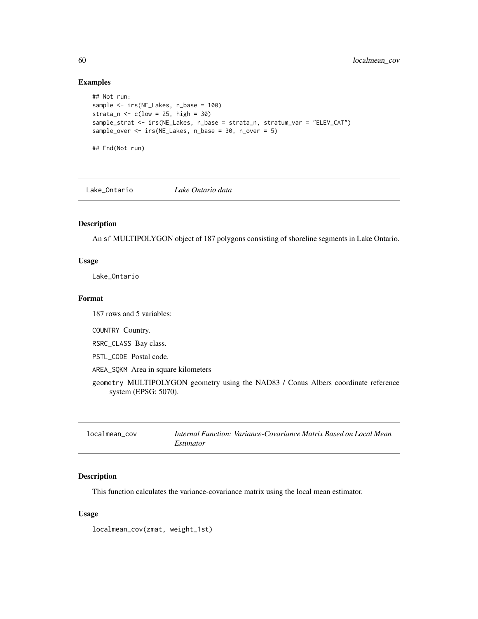## Examples

```
## Not run:
sample <- irs(NE_Lakes, n_base = 100)
strata_n \leq c(low = 25, high = 30)
sample_strat <- irs(NE_Lakes, n_base = strata_n, stratum_var = "ELEV_CAT")
sample_over <- irs(NE_Lakes, n_base = 30, n_over = 5)
## End(Not run)
```
Lake\_Ontario *Lake Ontario data*

## Description

An sf MULTIPOLYGON object of 187 polygons consisting of shoreline segments in Lake Ontario.

#### Usage

Lake\_Ontario

#### Format

187 rows and 5 variables:

COUNTRY Country.

RSRC\_CLASS Bay class.

PSTL\_CODE Postal code.

AREA\_SQKM Area in square kilometers

```
geometry MULTIPOLYGON geometry using the NAD83 / Conus Albers coordinate reference
    system (EPSG: 5070).
```

| localmean cov | Internal Function: Variance-Covariance Matrix Based on Local Mean |
|---------------|-------------------------------------------------------------------|
|               | <i>Estimator</i>                                                  |

## Description

This function calculates the variance-covariance matrix using the local mean estimator.

## Usage

localmean\_cov(zmat, weight\_1st)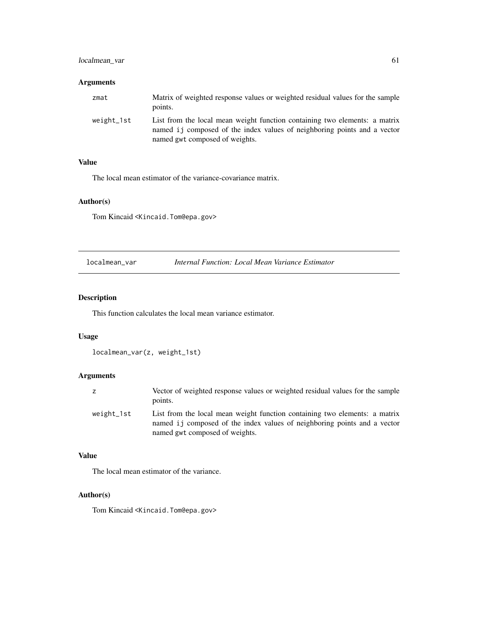## localmean\_var 61

## Arguments

| zmat       | Matrix of weighted response values or weighted residual values for the sample<br>points.                                                                                                  |
|------------|-------------------------------------------------------------------------------------------------------------------------------------------------------------------------------------------|
| weight 1st | List from the local mean weight function containing two elements: a matrix<br>named i i composed of the index values of neighboring points and a vector<br>named gwt composed of weights. |

## Value

The local mean estimator of the variance-covariance matrix.

## Author(s)

Tom Kincaid <Kincaid.Tom@epa.gov>

localmean\_var *Internal Function: Local Mean Variance Estimator*

# Description

This function calculates the local mean variance estimator.

## Usage

```
localmean_var(z, weight_1st)
```
# Arguments

| z          | Vector of weighted response values or weighted residual values for the sample<br>points.                                                                                                  |
|------------|-------------------------------------------------------------------------------------------------------------------------------------------------------------------------------------------|
| weight_1st | List from the local mean weight function containing two elements: a matrix<br>named i i composed of the index values of neighboring points and a vector<br>named gwt composed of weights. |

## Value

The local mean estimator of the variance.

## Author(s)

Tom Kincaid <Kincaid.Tom@epa.gov>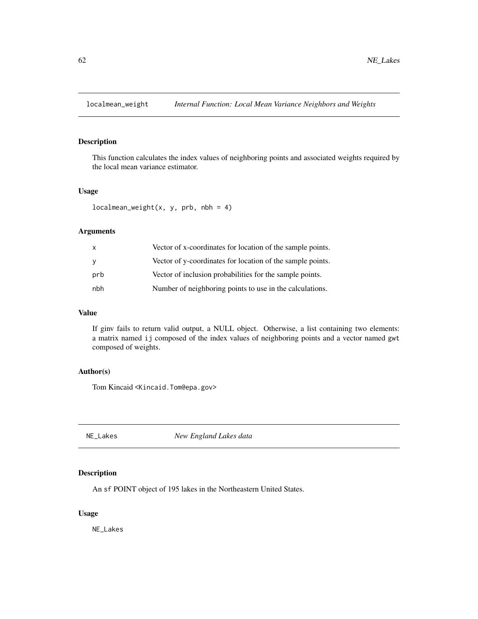This function calculates the index values of neighboring points and associated weights required by the local mean variance estimator.

## Usage

```
localmean\_weight(x, y, prb, nbh = 4)
```
## Arguments

| X   | Vector of x-coordinates for location of the sample points. |
|-----|------------------------------------------------------------|
| y   | Vector of y-coordinates for location of the sample points. |
| prb | Vector of inclusion probabilities for the sample points.   |
| nbh | Number of neighboring points to use in the calculations.   |

## Value

If ginv fails to return valid output, a NULL object. Otherwise, a list containing two elements: a matrix named ij composed of the index values of neighboring points and a vector named gwt composed of weights.

## Author(s)

Tom Kincaid <Kincaid.Tom@epa.gov>

NE\_Lakes *New England Lakes data*

## Description

An sf POINT object of 195 lakes in the Northeastern United States.

#### Usage

NE\_Lakes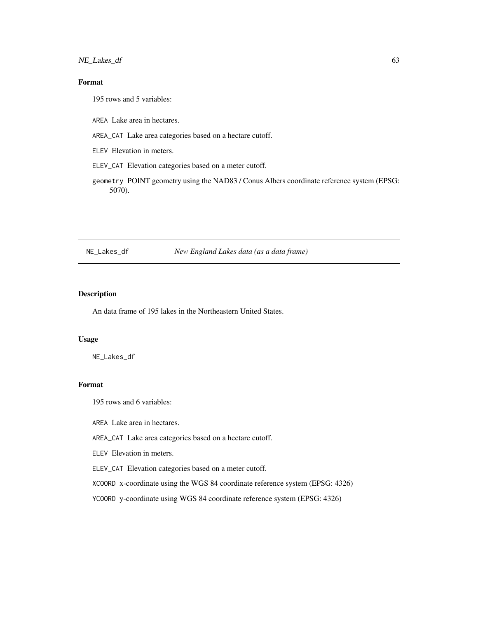NE\_Lakes\_df 63

# Format

195 rows and 5 variables:

AREA Lake area in hectares.

AREA\_CAT Lake area categories based on a hectare cutoff.

ELEV Elevation in meters.

ELEV\_CAT Elevation categories based on a meter cutoff.

geometry POINT geometry using the NAD83 / Conus Albers coordinate reference system (EPSG: 5070).

#### NE\_Lakes\_df *New England Lakes data (as a data frame)*

## Description

An data frame of 195 lakes in the Northeastern United States.

## Usage

NE\_Lakes\_df

# Format

195 rows and 6 variables:

AREA Lake area in hectares.

AREA\_CAT Lake area categories based on a hectare cutoff.

ELEV Elevation in meters.

ELEV\_CAT Elevation categories based on a meter cutoff.

XCOORD x-coordinate using the WGS 84 coordinate reference system (EPSG: 4326)

YCOORD y-coordinate using WGS 84 coordinate reference system (EPSG: 4326)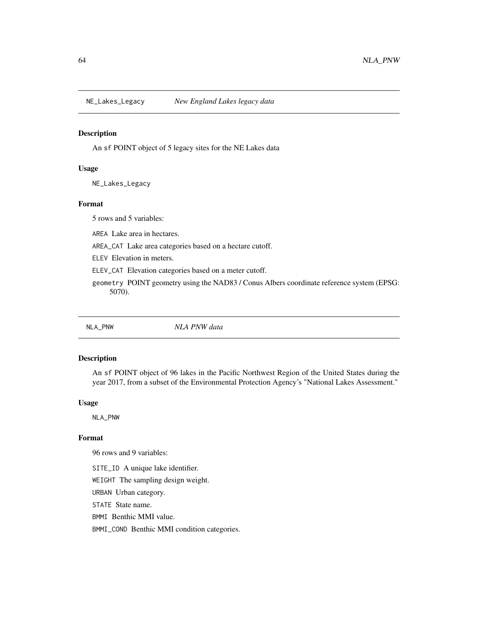An sf POINT object of 5 legacy sites for the NE Lakes data

#### Usage

NE\_Lakes\_Legacy

## Format

5 rows and 5 variables:

AREA Lake area in hectares.

AREA\_CAT Lake area categories based on a hectare cutoff.

ELEV Elevation in meters.

ELEV\_CAT Elevation categories based on a meter cutoff.

geometry POINT geometry using the NAD83 / Conus Albers coordinate reference system (EPSG: 5070).

NLA\_PNW *NLA PNW data*

### Description

An sf POINT object of 96 lakes in the Pacific Northwest Region of the United States during the year 2017, from a subset of the Environmental Protection Agency's "National Lakes Assessment."

#### Usage

NLA\_PNW

## Format

96 rows and 9 variables:

SITE\_ID A unique lake identifier.

WEIGHT The sampling design weight.

URBAN Urban category.

STATE State name.

BMMI Benthic MMI value.

BMMI\_COND Benthic MMI condition categories.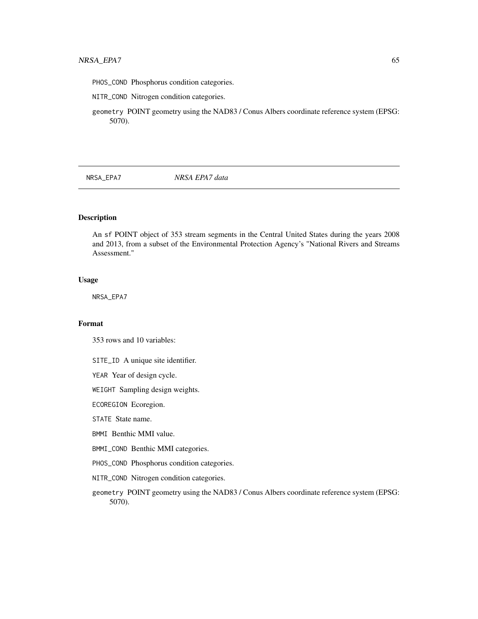- PHOS\_COND Phosphorus condition categories.
- NITR\_COND Nitrogen condition categories.

geometry POINT geometry using the NAD83 / Conus Albers coordinate reference system (EPSG: 5070).

NRSA\_EPA7 *NRSA EPA7 data*

## Description

An sf POINT object of 353 stream segments in the Central United States during the years 2008 and 2013, from a subset of the Environmental Protection Agency's "National Rivers and Streams Assessment."

## Usage

NRSA\_EPA7

## Format

353 rows and 10 variables:

- SITE\_ID A unique site identifier.
- YEAR Year of design cycle.
- WEIGHT Sampling design weights.
- ECOREGION Ecoregion.
- STATE State name.
- BMMI Benthic MMI value.
- BMMI\_COND Benthic MMI categories.
- PHOS\_COND Phosphorus condition categories.
- NITR\_COND Nitrogen condition categories.
- geometry POINT geometry using the NAD83 / Conus Albers coordinate reference system (EPSG: 5070).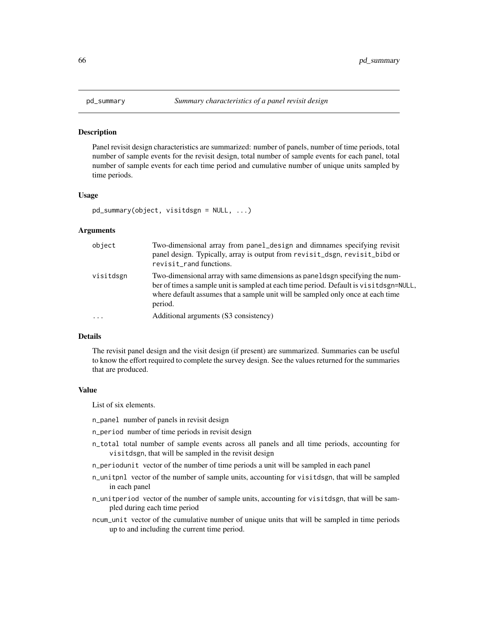Panel revisit design characteristics are summarized: number of panels, number of time periods, total number of sample events for the revisit design, total number of sample events for each panel, total number of sample events for each time period and cumulative number of unique units sampled by time periods.

#### Usage

```
pd_summary(object, visitdsgn = NULL, ...)
```
#### Arguments

| object    | Two-dimensional array from panel_design and dimnames specifying revisit<br>panel design. Typically, array is output from revisit_dsgn, revisit_bibd or<br>revisit_rand functions.                                                                                   |
|-----------|---------------------------------------------------------------------------------------------------------------------------------------------------------------------------------------------------------------------------------------------------------------------|
| visitdsgn | Two-dimensional array with same dimensions as panelds gn specifying the num-<br>ber of times a sample unit is sampled at each time period. Default is visitdsgn=NULL,<br>where default assumes that a sample unit will be sampled only once at each time<br>period. |
| $\cdots$  | Additional arguments (S3 consistency)                                                                                                                                                                                                                               |

## Details

The revisit panel design and the visit design (if present) are summarized. Summaries can be useful to know the effort required to complete the survey design. See the values returned for the summaries that are produced.

#### Value

List of six elements.

- n\_panel number of panels in revisit design
- n\_period number of time periods in revisit design
- n\_total total number of sample events across all panels and all time periods, accounting for visitdsgn, that will be sampled in the revisit design
- n\_periodunit vector of the number of time periods a unit will be sampled in each panel
- n\_unitpnl vector of the number of sample units, accounting for visitdsgn, that will be sampled in each panel
- n\_unitperiod vector of the number of sample units, accounting for visitdsgn, that will be sampled during each time period
- ncum\_unit vector of the cumulative number of unique units that will be sampled in time periods up to and including the current time period.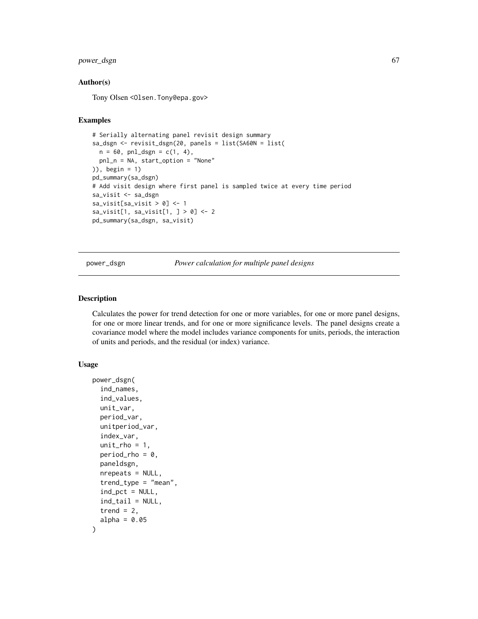## power\_dsgn 67

## Author(s)

Tony Olsen < Olsen. Tony@epa.gov>

## Examples

```
# Serially alternating panel revisit design summary
sa_dsgn <- revisit_dsgn(20, panels = list(SA60N = list(
 n = 60, pnl_dsgn = c(1, 4),
 pnl_n = NA, start_option = "None"
)), begin = 1)
pd_summary(sa_dsgn)
# Add visit design where first panel is sampled twice at every time period
sa_visit <- sa_dsgn
sa_visit[sa_visit > 0] <- 1
sa_visit[1, sa_visit[1, ] > 0] <- 2
pd_summary(sa_dsgn, sa_visit)
```
<span id="page-66-0"></span>power\_dsgn *Power calculation for multiple panel designs*

#### Description

Calculates the power for trend detection for one or more variables, for one or more panel designs, for one or more linear trends, and for one or more significance levels. The panel designs create a covariance model where the model includes variance components for units, periods, the interaction of units and periods, and the residual (or index) variance.

## Usage

```
power_dsgn(
  ind_names,
  ind_values,
  unit_var,
  period_var,
  unitperiod_var,
  index_var,
  unit\_rho = 1,
  period_rho = 0,
  paneldsgn,
  nrepeats = NULL,
  trend_type = "mean".ind_pct = NULL,
  ind\_tail = NULL,trend = 2,
  alpha = 0.05)
```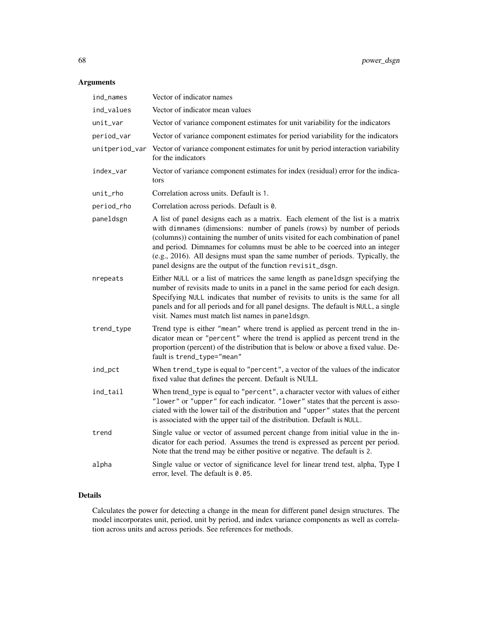# Arguments

| ind_names      | Vector of indicator names                                                                                                                                                                                                                                                                                                                                                                                                                                                   |
|----------------|-----------------------------------------------------------------------------------------------------------------------------------------------------------------------------------------------------------------------------------------------------------------------------------------------------------------------------------------------------------------------------------------------------------------------------------------------------------------------------|
| ind_values     | Vector of indicator mean values                                                                                                                                                                                                                                                                                                                                                                                                                                             |
| unit_var       | Vector of variance component estimates for unit variability for the indicators                                                                                                                                                                                                                                                                                                                                                                                              |
| period_var     | Vector of variance component estimates for period variability for the indicators                                                                                                                                                                                                                                                                                                                                                                                            |
| unitperiod_var | Vector of variance component estimates for unit by period interaction variability<br>for the indicators                                                                                                                                                                                                                                                                                                                                                                     |
| index_var      | Vector of variance component estimates for index (residual) error for the indica-<br>tors                                                                                                                                                                                                                                                                                                                                                                                   |
| unit_rho       | Correlation across units. Default is 1.                                                                                                                                                                                                                                                                                                                                                                                                                                     |
| period_rho     | Correlation across periods. Default is 0.                                                                                                                                                                                                                                                                                                                                                                                                                                   |
| paneldsgn      | A list of panel designs each as a matrix. Each element of the list is a matrix<br>with dimnames (dimensions: number of panels (rows) by number of periods<br>(columns)) containing the number of units visited for each combination of panel<br>and period. Dimnames for columns must be able to be coerced into an integer<br>(e.g., 2016). All designs must span the same number of periods. Typically, the<br>panel designs are the output of the function revisit_dsgn. |
| nrepeats       | Either NULL or a list of matrices the same length as paneldsgn specifying the<br>number of revisits made to units in a panel in the same period for each design.<br>Specifying NULL indicates that number of revisits to units is the same for all<br>panels and for all periods and for all panel designs. The default is NULL, a single<br>visit. Names must match list names in paneldsgn.                                                                               |
| trend_type     | Trend type is either "mean" where trend is applied as percent trend in the in-<br>dicator mean or "percent" where the trend is applied as percent trend in the<br>proportion (percent) of the distribution that is below or above a fixed value. De-<br>fault is trend_type="mean"                                                                                                                                                                                          |
| ind_pct        | When trend_type is equal to "percent", a vector of the values of the indicator<br>fixed value that defines the percent. Default is NULL                                                                                                                                                                                                                                                                                                                                     |
| ind_tail       | When trend_type is equal to "percent", a character vector with values of either<br>"lower" or "upper" for each indicator. "lower" states that the percent is asso-<br>ciated with the lower tail of the distribution and "upper" states that the percent<br>is associated with the upper tail of the distribution. Default is NULL.                                                                                                                                         |
| trend          | Single value or vector of assumed percent change from initial value in the in-<br>dicator for each period. Assumes the trend is expressed as percent per period.<br>Note that the trend may be either positive or negative. The default is 2.                                                                                                                                                                                                                               |
| alpha          | Single value or vector of significance level for linear trend test, alpha, Type I<br>error, level. The default is 0.05.                                                                                                                                                                                                                                                                                                                                                     |

## Details

Calculates the power for detecting a change in the mean for different panel design structures. The model incorporates unit, period, unit by period, and index variance components as well as correlation across units and across periods. See references for methods.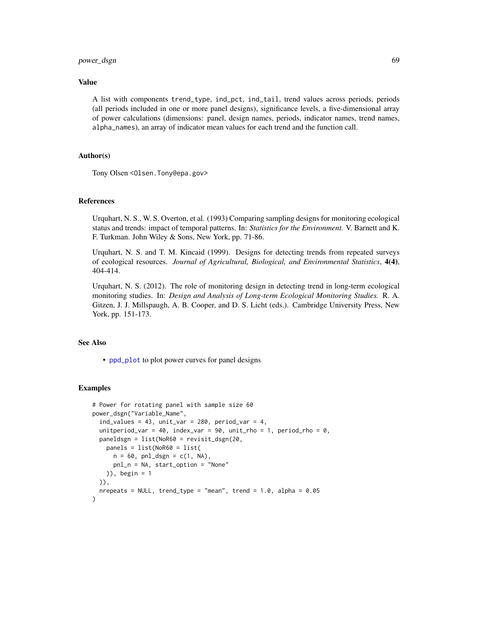## power\_dsgn 69

## Value

A list with components trend\_type, ind\_pct, ind\_tail, trend values across periods, periods (all periods included in one or more panel designs), significance levels, a five-dimensional array of power calculations (dimensions: panel, design names, periods, indicator names, trend names, alpha\_names), an array of indicator mean values for each trend and the function call.

## Author(s)

Tony Olsen <Olsen.Tony@epa.gov>

## References

Urquhart, N. S., W. S. Overton, et al. (1993) Comparing sampling designs for monitoring ecological status and trends: impact of temporal patterns. In: *Statistics for the Environment.* V. Barnett and K. F. Turkman. John Wiley & Sons, New York, pp. 71-86.

Urquhart, N. S. and T. M. Kincaid (1999). Designs for detecting trends from repeated surveys of ecological resources. *Journal of Agricultural, Biological, and Environmental Statistics*, 4(4), 404-414.

Urquhart, N. S. (2012). The role of monitoring design in detecting trend in long-term ecological monitoring studies. In: *Design and Analysis of Long-term Ecological Monitoring Studies.* R. A. Gitzen, J. J. Millspaugh, A. B. Cooper, and D. S. Licht (eds.). Cambridge University Press, New York, pp. 151-173.

## See Also

• [ppd\\_plot](#page-69-0) to plot power curves for panel designs

#### Examples

```
# Power for rotating panel with sample size 60
power_dsgn("Variable_Name",
 ind_values = 43, unit_var = 280, period_var = 4,
 unitperiod_var = 40, index_var = 90, unit_rho = 1, period_rho = 0,
 paneldsgn = list(NoR60 = revisit_dsgn(20,
   panels = list(NoR60 = list(
     n = 60, pnl_dsgn = c(1, NA),
     pnl_n = NA, start_option = "None"
   )), begin = 1
 )),
 nrepeats = NULL, trend_type = "mean", trend = 1.0, alpha = 0.05)
```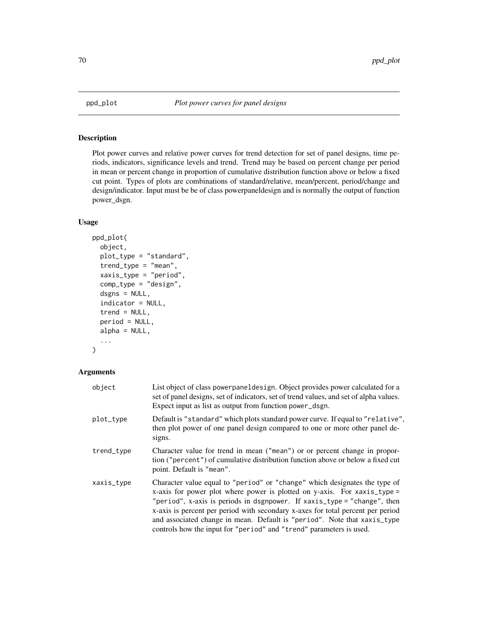<span id="page-69-0"></span>

Plot power curves and relative power curves for trend detection for set of panel designs, time periods, indicators, significance levels and trend. Trend may be based on percent change per period in mean or percent change in proportion of cumulative distribution function above or below a fixed cut point. Types of plots are combinations of standard/relative, mean/percent, period/change and design/indicator. Input must be be of class powerpaneldesign and is normally the output of function power\_dsgn.

## Usage

```
ppd_plot(
  object,
  plot_type = "standard",
  trend_type = "mean",
  xaxis_type = "period",
  comp_type = "design",
  dsgns = NULL,
  indicator = NULL,
  trend = NULL,
  period = NULL,
  alpha = NULL,...
)
```
## Arguments

| object     | List object of class power panel design. Object provides power calculated for a<br>set of panel designs, set of indicators, set of trend values, and set of alpha values.<br>Expect input as list as output from function power_dsgn.                                                                                                                                                                                                                                       |
|------------|-----------------------------------------------------------------------------------------------------------------------------------------------------------------------------------------------------------------------------------------------------------------------------------------------------------------------------------------------------------------------------------------------------------------------------------------------------------------------------|
| plot_type  | Default is "standard" which plots standard power curve. If equal to "relative",<br>then plot power of one panel design compared to one or more other panel de-<br>signs.                                                                                                                                                                                                                                                                                                    |
| trend_type | Character value for trend in mean ("mean") or or percent change in propor-<br>tion ("percent") of cumulative distribution function above or below a fixed cut<br>point. Default is "mean".                                                                                                                                                                                                                                                                                  |
| xaxis_type | Character value equal to "period" or "change" which designates the type of<br>x-axis for power plot where power is plotted on y-axis. For $x-axis_type =$<br>"period", x-axis is periods in dsgnpower. If xaxis_type = "change", then<br>x-axis is percent per period with secondary x-axes for total percent per period<br>and associated change in mean. Default is "period". Note that xaxis_type<br>controls how the input for "period" and "trend" parameters is used. |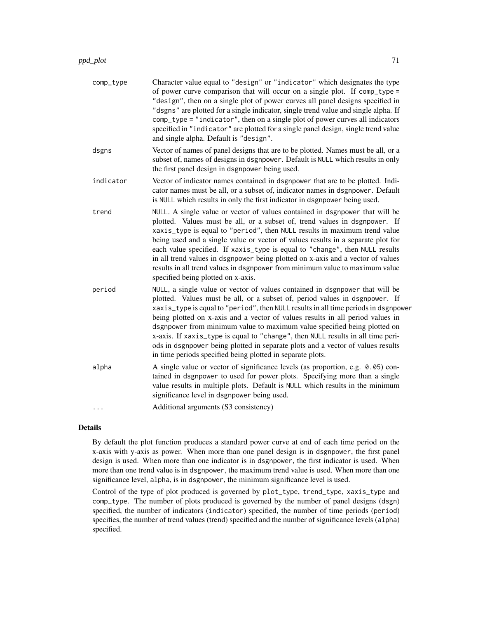| comp_type  | Character value equal to "design" or "indicator" which designates the type<br>of power curve comparison that will occur on a single plot. If comp_type =<br>"design", then on a single plot of power curves all panel designs specified in<br>"dsgns" are plotted for a single indicator, single trend value and single alpha. If<br>comp_type = "indicator", then on a single plot of power curves all indicators<br>specified in "indicator" are plotted for a single panel design, single trend value<br>and single alpha. Default is "design".                                                                                                   |
|------------|------------------------------------------------------------------------------------------------------------------------------------------------------------------------------------------------------------------------------------------------------------------------------------------------------------------------------------------------------------------------------------------------------------------------------------------------------------------------------------------------------------------------------------------------------------------------------------------------------------------------------------------------------|
| dsgns      | Vector of names of panel designs that are to be plotted. Names must be all, or a<br>subset of, names of designs in dsgnpower. Default is NULL which results in only<br>the first panel design in dsgnpower being used.                                                                                                                                                                                                                                                                                                                                                                                                                               |
| indicator  | Vector of indicator names contained in dsgnpower that are to be plotted. Indi-<br>cator names must be all, or a subset of, indicator names in dsgnpower. Default<br>is NULL which results in only the first indicator in dsgnpower being used.                                                                                                                                                                                                                                                                                                                                                                                                       |
| trend      | NULL. A single value or vector of values contained in dsgnpower that will be<br>plotted. Values must be all, or a subset of, trend values in dsgnpower. If<br>xaxis_type is equal to "period", then NULL results in maximum trend value<br>being used and a single value or vector of values results in a separate plot for<br>each value specified. If xaxis_type is equal to "change", then NULL results<br>in all trend values in dsgnpower being plotted on x-axis and a vector of values<br>results in all trend values in dsgnpower from minimum value to maximum value<br>specified being plotted on x-axis.                                  |
| period     | NULL, a single value or vector of values contained in dsgnpower that will be<br>plotted. Values must be all, or a subset of, period values in dsgnpower. If<br>xaxis_type is equal to "period", then NULL results in all time periods in dsgnpower<br>being plotted on x-axis and a vector of values results in all period values in<br>dsgnpower from minimum value to maximum value specified being plotted on<br>x-axis. If xaxis_type is equal to "change", then NULL results in all time peri-<br>ods in dsgnpower being plotted in separate plots and a vector of values results<br>in time periods specified being plotted in separate plots. |
| alpha<br>. | A single value or vector of significance levels (as proportion, e.g. 0.05) con-<br>tained in dsgnpower to used for power plots. Specifying more than a single<br>value results in multiple plots. Default is NULL which results in the minimum<br>significance level in dsgnpower being used.<br>Additional arguments (S3 consistency)                                                                                                                                                                                                                                                                                                               |
|            |                                                                                                                                                                                                                                                                                                                                                                                                                                                                                                                                                                                                                                                      |

## Details

By default the plot function produces a standard power curve at end of each time period on the x-axis with y-axis as power. When more than one panel design is in dsgnpower, the first panel design is used. When more than one indicator is in dsgnpower, the first indicator is used. When more than one trend value is in dsgnpower, the maximum trend value is used. When more than one significance level, alpha, is in dsgnpower, the minimum significance level is used.

Control of the type of plot produced is governed by plot\_type, trend\_type, xaxis\_type and comp\_type. The number of plots produced is governed by the number of panel designs (dsgn) specified, the number of indicators (indicator) specified, the number of time periods (period) specifies, the number of trend values (trend) specified and the number of significance levels (alpha) specified.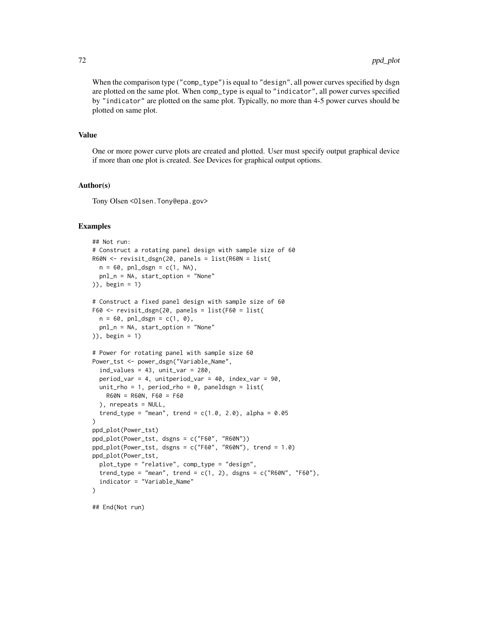When the comparison type ("comp\_type") is equal to "design", all power curves specified by dsgn are plotted on the same plot. When comp\_type is equal to "indicator", all power curves specified by "indicator" are plotted on the same plot. Typically, no more than 4-5 power curves should be plotted on same plot.

## Value

One or more power curve plots are created and plotted. User must specify output graphical device if more than one plot is created. See Devices for graphical output options.

## Author(s)

Tony Olsen <Olsen.Tony@epa.gov>

## Examples

```
## Not run:
# Construct a rotating panel design with sample size of 60
R60N <- revisit_dsgn(20, panels = list(R60N = list(
 n = 60, pnl_dsgn = c(1, NA),
  pnl_n = NA, start_option = "None"
)), begin = 1)
# Construct a fixed panel design with sample size of 60
F60 <- revisit_dsgn(20, panels = list(F60 = list(
  n = 60, pnl_dsgn = c(1, 0),
  pnl_n = NA, start_option = "None"
)), begin = 1)
# Power for rotating panel with sample size 60
Power_tst <- power_dsgn("Variable_Name",
  ind\_values = 43, unit\_var = 280,
  period_var = 4, unitperiod_var = 40, index_var = 90,
  unit_rho = 1, period_rho = 0, paneldsgn = list(
   R60N = R60N, F60 = F60
  ), nrepeats = NULL,
  trend_type = "mean", trend = c(1.0, 2.0), alpha = 0.05\mathcal{L}ppd_plot(Power_tst)
ppd_plot(Power_tst, dsgns = c("F60", "R60N"))
ppd_plot(Power_tst, dsgns = c("F60", "R60N"), trend = 1.0)
ppd_plot(Power_tst,
  plot_type = "relative", comp_type = "design",
  trend_type = "mean", trend = c(1, 2), dsgns = c("R60N", "F60"),indicator = "Variable_Name"
)
```
## End(Not run)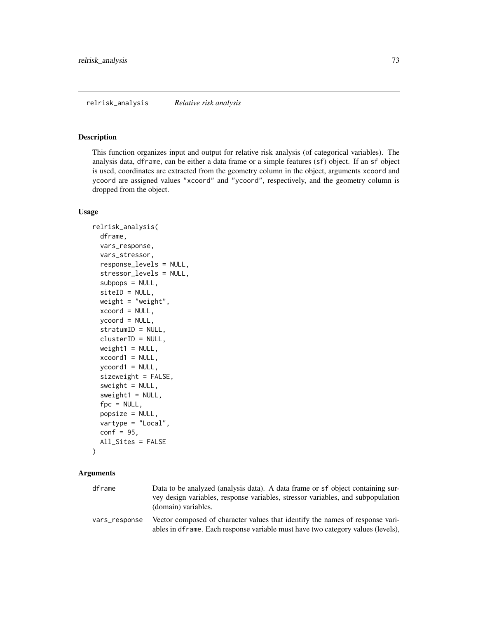#### <span id="page-72-0"></span>Description

This function organizes input and output for relative risk analysis (of categorical variables). The analysis data, dframe, can be either a data frame or a simple features (sf) object. If an sf object is used, coordinates are extracted from the geometry column in the object, arguments xcoord and ycoord are assigned values "xcoord" and "ycoord", respectively, and the geometry column is dropped from the object.

#### Usage

```
relrisk_analysis(
  dframe,
 vars_response,
  vars_stressor,
  response_levels = NULL,
  stressor_levels = NULL,
  subpops = NULL,
  siteID = NULL,
 weight = "weight",
  xcoord = NULL,ycoord = NULL,
  stratumID = NULL,
  clusterID = NULL,
 weight1 = NULL,xcoord1 = NULL,ycoord1 = NULL,
  sizeweight = FALSE,
  sweight = NULL,sweight1 = NULL,fpc = NULL,popsize = NULL,
  vartype = "Local",
  conf = 95,All_Sites = FALSE
)
```

| dframe        | Data to be analyzed (analysis data). A data frame or sf object containing sur-                                                                                   |
|---------------|------------------------------------------------------------------------------------------------------------------------------------------------------------------|
|               | vey design variables, response variables, stressor variables, and subpopulation<br>(domain) variables.                                                           |
| vars_response | Vector composed of character values that identify the names of response vari-<br>ables in dframe. Each response variable must have two category values (levels), |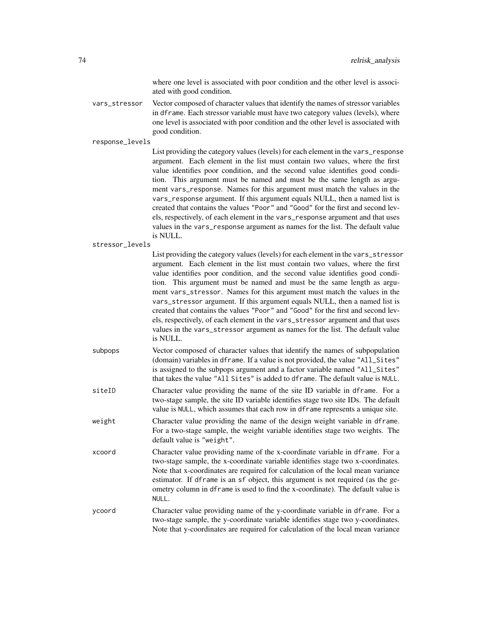where one level is associated with poor condition and the other level is associated with good condition.

vars\_stressor Vector composed of character values that identify the names of stressor variables in dframe. Each stressor variable must have two category values (levels), where one level is associated with poor condition and the other level is associated with good condition.

response\_levels

List providing the category values (levels) for each element in the vars\_response argument. Each element in the list must contain two values, where the first value identifies poor condition, and the second value identifies good condition. This argument must be named and must be the same length as argument vars\_response. Names for this argument must match the values in the vars\_response argument. If this argument equals NULL, then a named list is created that contains the values "Poor" and "Good" for the first and second levels, respectively, of each element in the vars\_response argument and that uses values in the vars\_response argument as names for the list. The default value is NULL.

stressor\_levels

List providing the category values (levels) for each element in the vars\_stressor argument. Each element in the list must contain two values, where the first value identifies poor condition, and the second value identifies good condition. This argument must be named and must be the same length as argument vars\_stressor. Names for this argument must match the values in the vars\_stressor argument. If this argument equals NULL, then a named list is created that contains the values "Poor" and "Good" for the first and second levels, respectively, of each element in the vars\_stressor argument and that uses values in the vars\_stressor argument as names for the list. The default value is NULL.

- subpops Vector composed of character values that identify the names of subpopulation (domain) variables in dframe. If a value is not provided, the value "All\_Sites" is assigned to the subpops argument and a factor variable named "All\_Sites" that takes the value "All Sites" is added to dframe. The default value is NULL.
- siteID Character value providing the name of the site ID variable in dframe. For a two-stage sample, the site ID variable identifies stage two site IDs. The default value is NULL, which assumes that each row in dframe represents a unique site.
- weight Character value providing the name of the design weight variable in dframe. For a two-stage sample, the weight variable identifies stage two weights. The default value is "weight".
- xcoord Character value providing name of the x-coordinate variable in dframe. For a two-stage sample, the x-coordinate variable identifies stage two x-coordinates. Note that x-coordinates are required for calculation of the local mean variance estimator. If dframe is an sf object, this argument is not required (as the geometry column in dframe is used to find the x-coordinate). The default value is NULL.
- ycoord Character value providing name of the y-coordinate variable in dframe. For a two-stage sample, the y-coordinate variable identifies stage two y-coordinates. Note that y-coordinates are required for calculation of the local mean variance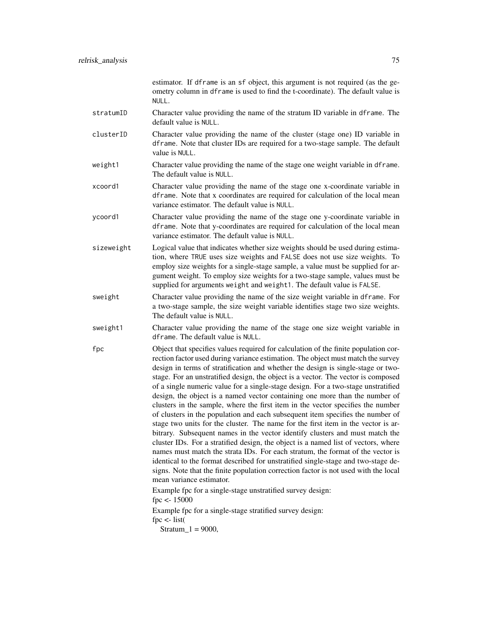| estimator. If dframe is an sf object, this argument is not required (as the ge- |  |
|---------------------------------------------------------------------------------|--|
| ometry column in dframe is used to find the t-coordinate). The default value is |  |
| NULL.                                                                           |  |

- stratumID Character value providing the name of the stratum ID variable in dframe. The default value is NULL.
- clusterID Character value providing the name of the cluster (stage one) ID variable in dframe. Note that cluster IDs are required for a two-stage sample. The default value is NULL.
- weight1 Character value providing the name of the stage one weight variable in dframe. The default value is NULL.
- xcoord1 Character value providing the name of the stage one x-coordinate variable in dframe. Note that x coordinates are required for calculation of the local mean variance estimator. The default value is NULL.
- ycoord1 Character value providing the name of the stage one y-coordinate variable in dframe. Note that y-coordinates are required for calculation of the local mean variance estimator. The default value is NULL.
- sizeweight Logical value that indicates whether size weights should be used during estimation, where TRUE uses size weights and FALSE does not use size weights. To employ size weights for a single-stage sample, a value must be supplied for argument weight. To employ size weights for a two-stage sample, values must be supplied for arguments weight and weight1. The default value is FALSE.
- sweight Character value providing the name of the size weight variable in dframe. For a two-stage sample, the size weight variable identifies stage two size weights. The default value is NULL.
- sweight1 Character value providing the name of the stage one size weight variable in dframe. The default value is NULL.
- fpc Object that specifies values required for calculation of the finite population correction factor used during variance estimation. The object must match the survey design in terms of stratification and whether the design is single-stage or twostage. For an unstratified design, the object is a vector. The vector is composed of a single numeric value for a single-stage design. For a two-stage unstratified design, the object is a named vector containing one more than the number of clusters in the sample, where the first item in the vector specifies the number of clusters in the population and each subsequent item specifies the number of stage two units for the cluster. The name for the first item in the vector is arbitrary. Subsequent names in the vector identify clusters and must match the cluster IDs. For a stratified design, the object is a named list of vectors, where names must match the strata IDs. For each stratum, the format of the vector is identical to the format described for unstratified single-stage and two-stage designs. Note that the finite population correction factor is not used with the local mean variance estimator.

Example fpc for a single-stage unstratified survey design: fpc <- 15000 Example fpc for a single-stage stratified survey design: fpc  $\lt$ - list(

 $Stratum_1 = 9000,$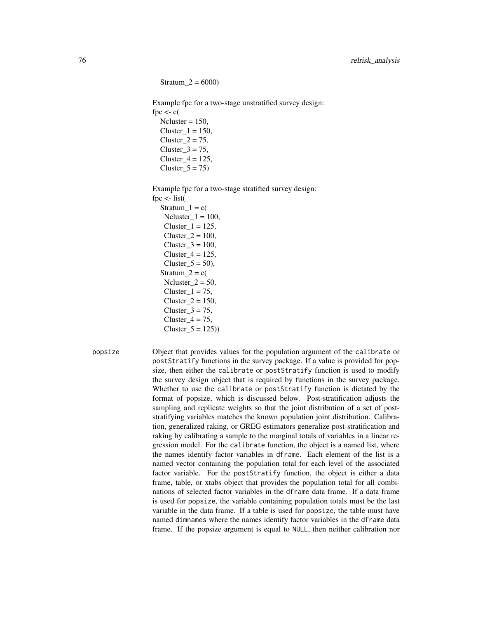$Stratum_2 = 6000$ 

Example fpc for a two-stage unstratified survey design: fpc  $\lt$ - c(  $Ncluster = 150$ ,  $Cluster_1 = 150$ , Cluster $2 = 75$ , Cluster $3 = 75$ ,

Cluster  $4 = 125$ ,  $Cluster_5 = 75$ 

Example fpc for a two-stage stratified survey design:

fpc  $\lt$ - list( Stratum  $1 = c($ Ncluster  $1 = 100$ ,  $Cluster_1 = 125$ ,  $Cluster_2 = 100$ ,  $Cluster_3 = 100$ ,  $Cluster_4 = 125$ , Cluster  $5 = 50$ ), Stratum $2 = c($ Ncluster  $2 = 50$ ,  $Cluster_1 = 75$ , Cluster  $2 = 150$ , Cluster $3 = 75$ , Cluster $4 = 75$ ,  $Cluster_5 = 125)$ 

popsize Object that provides values for the population argument of the calibrate or postStratify functions in the survey package. If a value is provided for popsize, then either the calibrate or postStratify function is used to modify the survey design object that is required by functions in the survey package. Whether to use the calibrate or postStratify function is dictated by the format of popsize, which is discussed below. Post-stratification adjusts the sampling and replicate weights so that the joint distribution of a set of poststratifying variables matches the known population joint distribution. Calibration, generalized raking, or GREG estimators generalize post-stratification and raking by calibrating a sample to the marginal totals of variables in a linear regression model. For the calibrate function, the object is a named list, where the names identify factor variables in dframe. Each element of the list is a named vector containing the population total for each level of the associated factor variable. For the postStratify function, the object is either a data frame, table, or xtabs object that provides the population total for all combinations of selected factor variables in the dframe data frame. If a data frame is used for popsize, the variable containing population totals must be the last variable in the data frame. If a table is used for popsize, the table must have named dimnames where the names identify factor variables in the dframe data frame. If the popsize argument is equal to NULL, then neither calibration nor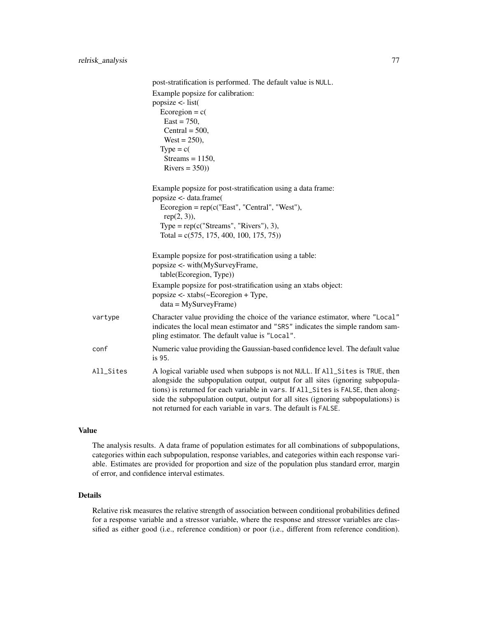|           | post-stratification is performed. The default value is NULL.                     |
|-----------|----------------------------------------------------------------------------------|
|           | Example popsize for calibration:                                                 |
|           | popsize $\le$ - list(                                                            |
|           | Ecoregion = $c$ (                                                                |
|           | $East = 750,$                                                                    |
|           | Central = $500$ ,                                                                |
|           | West = $250$ ),                                                                  |
|           | $Type = c($                                                                      |
|           | Streams = $1150$ ,                                                               |
|           | $Rivers = 350)$                                                                  |
|           | Example popsize for post-stratification using a data frame:                      |
|           | popsize <- data.frame(                                                           |
|           | $Ecoregion = rep(c("East", "Central", "West"),$                                  |
|           | $rep(2, 3)$ ),                                                                   |
|           | Type = $rep(c("Streams", "Rivers"), 3),$                                         |
|           | Total = $c(575, 175, 400, 100, 175, 75)$                                         |
|           | Example popsize for post-stratification using a table:                           |
|           | popsize <- with(MySurveyFrame,                                                   |
|           | table(Ecoregion, Type))                                                          |
|           | Example popsize for post-stratification using an xtabs object:                   |
|           | popsize <- xtabs(~Ecoregion + Type,                                              |
|           | $data = MySurveyFrame)$                                                          |
| vartype   | Character value providing the choice of the variance estimator, where "Local"    |
|           | indicates the local mean estimator and "SRS" indicates the simple random sam-    |
|           | pling estimator. The default value is "Local".                                   |
| conf      | Numeric value providing the Gaussian-based confidence level. The default value   |
|           | is 95.                                                                           |
| All_Sites | A logical variable used when subpops is not NULL. If All_Sites is TRUE, then     |
|           | alongside the subpopulation output, output for all sites (ignoring subpopula-    |
|           | tions) is returned for each variable in vars. If All_Sites is FALSE, then along- |
|           | side the subpopulation output, output for all sites (ignoring subpopulations) is |
|           | not returned for each variable in vars. The default is FALSE.                    |

## Value

The analysis results. A data frame of population estimates for all combinations of subpopulations, categories within each subpopulation, response variables, and categories within each response variable. Estimates are provided for proportion and size of the population plus standard error, margin of error, and confidence interval estimates.

## Details

Relative risk measures the relative strength of association between conditional probabilities defined for a response variable and a stressor variable, where the response and stressor variables are classified as either good (i.e., reference condition) or poor (i.e., different from reference condition).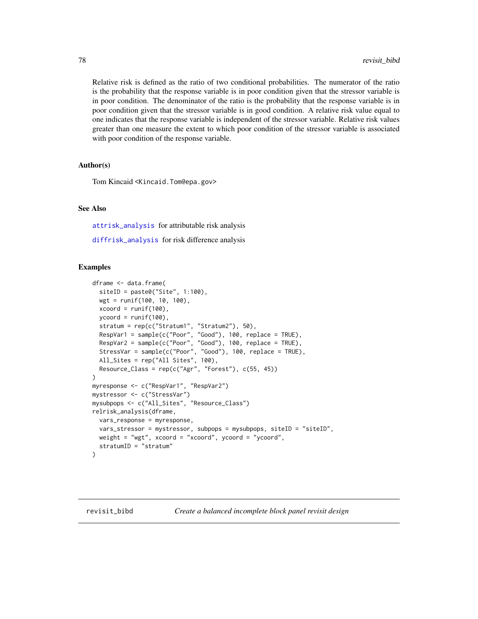<span id="page-77-1"></span>Relative risk is defined as the ratio of two conditional probabilities. The numerator of the ratio is the probability that the response variable is in poor condition given that the stressor variable is in poor condition. The denominator of the ratio is the probability that the response variable is in poor condition given that the stressor variable is in good condition. A relative risk value equal to one indicates that the response variable is independent of the stressor variable. Relative risk values greater than one measure the extent to which poor condition of the stressor variable is associated with poor condition of the response variable.

#### Author(s)

Tom Kincaid <Kincaid.Tom@epa.gov>

#### See Also

[attrisk\\_analysis](#page-5-0) for attributable risk analysis

[diffrisk\\_analysis](#page-39-0) for risk difference analysis

#### Examples

```
dframe <- data.frame(
 siteID = paste0("Site", 1:100),
 wgt = runif(100, 10, 100),
 xcoord = runif(100),
 ycoord = runif(100),
  stratum = rep(c("Stratum1", "Stratum2"), 50),
  RespVar1 = sample(c("Poor", "Good"), 100, replace = TRUE),
  RespVar2 = sample(c("Poor", "Good"), 100, replace = TRUE),
 StressVar = sample(c("Poor", "Good"), 100, replace = TRUE),
 All_Sites = rep("All Sites", 100),
 Resource_Class = rep(c("Agr", "Forest"), c(55, 45)))
myresponse <- c("RespVar1", "RespVar2")
mystressor <- c("StressVar")
mysubpops <- c("All_Sites", "Resource_Class")
relrisk_analysis(dframe,
 vars_response = myresponse,
 vars_stressor = mystressor, subpops = mysubpops, siteID = "siteID",
 weight = "wgt", xcoord = "xcoord", ycoord = "ycoord",
 stratumID = "stratum"
)
```
<span id="page-77-0"></span>

revisit\_bibd *Create a balanced incomplete block panel revisit design*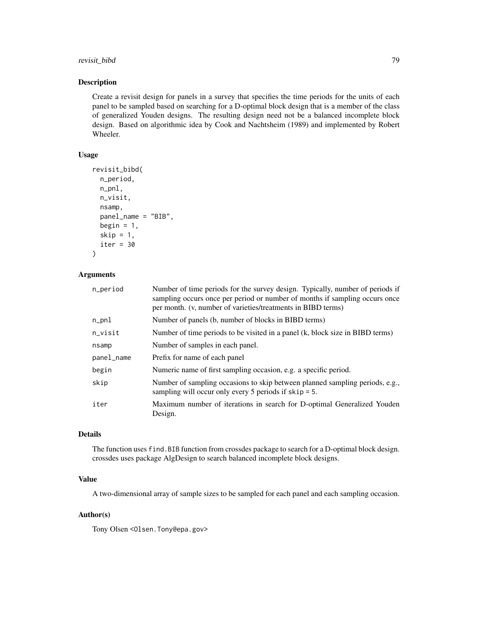## revisit\_bibd 79

#### Description

Create a revisit design for panels in a survey that specifies the time periods for the units of each panel to be sampled based on searching for a D-optimal block design that is a member of the class of generalized Youden designs. The resulting design need not be a balanced incomplete block design. Based on algorithmic idea by Cook and Nachtsheim (1989) and implemented by Robert Wheeler.

## Usage

```
revisit_bibd(
 n_period,
 n_pnl,
 n_visit,
 nsamp,
 panel_name = "BIB",
 begin = 1,
 skip = 1,
  iter = 30
)
```
## Arguments

| n_period   | Number of time periods for the survey design. Typically, number of periods if<br>sampling occurs once per period or number of months if sampling occurs once<br>per month. (v, number of varieties/treatments in BIBD terms) |
|------------|------------------------------------------------------------------------------------------------------------------------------------------------------------------------------------------------------------------------------|
| n_pnl      | Number of panels (b, number of blocks in BIBD terms)                                                                                                                                                                         |
| n_visit    | Number of time periods to be visited in a panel (k, block size in BIBD terms)                                                                                                                                                |
| nsamp      | Number of samples in each panel.                                                                                                                                                                                             |
| panel_name | Prefix for name of each panel                                                                                                                                                                                                |
| begin      | Numeric name of first sampling occasion, e.g. a specific period.                                                                                                                                                             |
| skip       | Number of sampling occasions to skip between planned sampling periods, e.g.,<br>sampling will occur only every 5 periods if $skip = 5$ .                                                                                     |
| iter       | Maximum number of iterations in search for D-optimal Generalized Youden<br>Design.                                                                                                                                           |

## Details

The function uses find.BIB function from crossdes package to search for a D-optimal block design. crossdes uses package AlgDesign to search balanced incomplete block designs.

## Value

A two-dimensional array of sample sizes to be sampled for each panel and each sampling occasion.

## Author(s)

Tony Olsen < Olsen. Tony @epa.gov>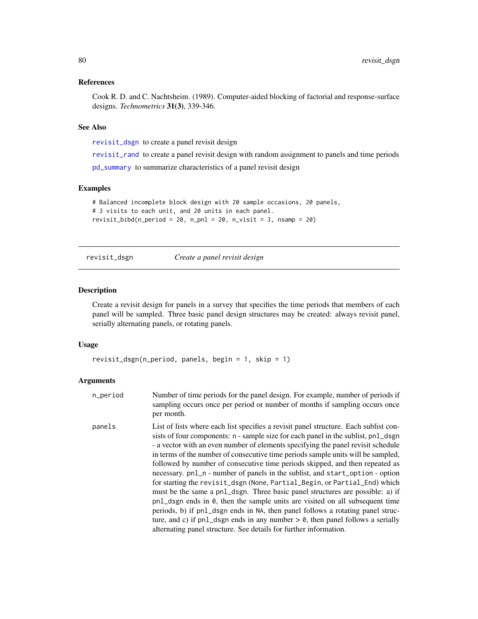## <span id="page-79-1"></span>References

Cook R. D. and C. Nachtsheim. (1989). Computer-aided blocking of factorial and response-surface designs. *Technometrics* 31(3), 339-346.

## See Also

[revisit\\_dsgn](#page-79-0) to create a panel revisit design

[revisit\\_rand](#page-82-0) to create a panel revisit design with random assignment to panels and time periods

[pd\\_summary](#page-65-0) to summarize characteristics of a panel revisit design

#### Examples

```
# Balanced incomplete block design with 20 sample occasions, 20 panels,
# 3 visits to each unit, and 20 units in each panel.
revisit_bibd(n_period = 20, n_pnl = 20, n_visit = 3, nsamp = 20)
```
<span id="page-79-0"></span>revisit\_dsgn *Create a panel revisit design*

## Description

Create a revisit design for panels in a survey that specifies the time periods that members of each panel will be sampled. Three basic panel design structures may be created: always revisit panel, serially alternating panels, or rotating panels.

#### Usage

```
revisit_dsgn(n_period, panels, begin = 1, skip = 1)
```

| n_period | Number of time periods for the panel design. For example, number of periods if<br>sampling occurs once per period or number of months if sampling occurs once<br>per month.                                                                                                                                                                                                                                                                                                                                                                                                                                                                                                                                                                                                                                                                                                                                                                                                                                    |
|----------|----------------------------------------------------------------------------------------------------------------------------------------------------------------------------------------------------------------------------------------------------------------------------------------------------------------------------------------------------------------------------------------------------------------------------------------------------------------------------------------------------------------------------------------------------------------------------------------------------------------------------------------------------------------------------------------------------------------------------------------------------------------------------------------------------------------------------------------------------------------------------------------------------------------------------------------------------------------------------------------------------------------|
| panels   | List of lists where each list specifies a revisit panel structure. Each sublist con-<br>sists of four components: n - sample size for each panel in the sublist, pn1_dsgn<br>- a vector with an even number of elements specifying the panel revisit schedule<br>in terms of the number of consecutive time periods sample units will be sampled,<br>followed by number of consecutive time periods skipped, and then repeated as<br>necessary. pn1_n - number of panels in the sublist, and start_option - option<br>for starting the revisit_dsgn (None, Partial_Begin, or Partial_End) which<br>must be the same a pn1_dsgn. Three basic panel structures are possible: a) if<br>pnl_dsgn ends in 0, then the sample units are visited on all subsequent time<br>periods, b) if pn1_dsgn ends in NA, then panel follows a rotating panel struc-<br>ture, and c) if $pnl_dsgn$ ends in any number $> 0$ , then panel follows a serially<br>alternating panel structure. See details for further information. |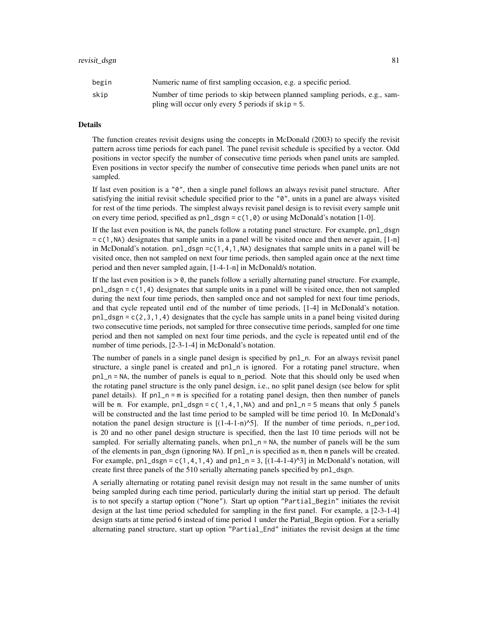| begin | Numeric name of first sampling occasion, e.g. a specific period.            |
|-------|-----------------------------------------------------------------------------|
| skip  | Number of time periods to skip between planned sampling periods, e.g., sam- |
|       | pling will occur only every 5 periods if $skip = 5$ .                       |

## Details

The function creates revisit designs using the concepts in McDonald (2003) to specify the revisit pattern across time periods for each panel. The panel revisit schedule is specified by a vector. Odd positions in vector specify the number of consecutive time periods when panel units are sampled. Even positions in vector specify the number of consecutive time periods when panel units are not sampled.

If last even position is a "0", then a single panel follows an always revisit panel structure. After satisfying the initial revisit schedule specified prior to the "0", units in a panel are always visited for rest of the time periods. The simplest always revisit panel design is to revisit every sample unit on every time period, specified as  $pnl_dsgn = c(1,0)$  or using McDonald's notation [1-0].

If the last even position is NA, the panels follow a rotating panel structure. For example, pnl\_dsgn  $= c(1,NA)$  designates that sample units in a panel will be visited once and then never again, [1-n] in McDonald's notation.  $pnl_dsgn = c(1,4,1,NA)$  designates that sample units in a panel will be visited once, then not sampled on next four time periods, then sampled again once at the next time period and then never sampled again, [1-4-1-n] in McDonald/s notation.

If the last even position is  $> 0$ , the panels follow a serially alternating panel structure. For example,  $pnl_dsgn = c(1,4)$  designates that sample units in a panel will be visited once, then not sampled during the next four time periods, then sampled once and not sampled for next four time periods, and that cycle repeated until end of the number of time periods, [1-4] in McDonald's notation.  $pnl_dsgn = c(2,3,1,4)$  designates that the cycle has sample units in a panel being visited during two consecutive time periods, not sampled for three consecutive time periods, sampled for one time period and then not sampled on next four time periods, and the cycle is repeated until end of the number of time periods, [2-3-1-4] in McDonald's notation.

The number of panels in a single panel design is specified by pnl\_n. For an always revisit panel structure, a single panel is created and pnl\_n is ignored. For a rotating panel structure, when pnl\_n = NA, the number of panels is equal to n\_period. Note that this should only be used when the rotating panel structure is the only panel design, i.e., no split panel design (see below for split panel details). If pnl\_n = m is specified for a rotating panel design, then then number of panels will be m. For example,  $pnl\_dsgn = c(1,4,1,NA)$  and and  $pnl\_n = 5$  means that only 5 panels will be constructed and the last time period to be sampled will be time period 10. In McDonald's notation the panel design structure is  $[(1-4-1-n)^{5}]$ . If the number of time periods, n\_period, is 20 and no other panel design structure is specified, then the last 10 time periods will not be sampled. For serially alternating panels, when pnl\_n = NA, the number of panels will be the sum of the elements in pan\_dsgn (ignoring NA). If pnl\_n is specified as m, then m panels will be created. For example,  $pnl_dsgn = c(1,4,1,4)$  and  $pnl_n = 3$ ,  $[(1-4-1-4)^{3}]$  in McDonald's notation, will create first three panels of the 510 serially alternating panels specified by pnl\_dsgn.

A serially alternating or rotating panel revisit design may not result in the same number of units being sampled during each time period, particularly during the initial start up period. The default is to not specify a startup option ("None"). Start up option "Partial\_Begin" initiates the revisit design at the last time period scheduled for sampling in the first panel. For example, a [2-3-1-4] design starts at time period 6 instead of time period 1 under the Partial Begin option. For a serially alternating panel structure, start up option "Partial\_End" initiates the revisit design at the time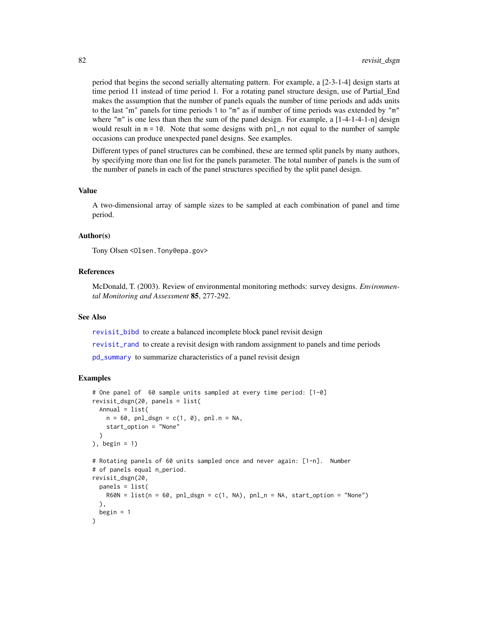period that begins the second serially alternating pattern. For example, a [2-3-1-4] design starts at time period 11 instead of time period 1. For a rotating panel structure design, use of Partial\_End makes the assumption that the number of panels equals the number of time periods and adds units to the last "m" panels for time periods 1 to "m" as if number of time periods was extended by "m" where "m" is one less than then the sum of the panel design. For example, a  $[1-4-1-4-1-n]$  design would result in  $m = 10$ . Note that some designs with  $pnl$  not equal to the number of sample occasions can produce unexpected panel designs. See examples.

Different types of panel structures can be combined, these are termed split panels by many authors, by specifying more than one list for the panels parameter. The total number of panels is the sum of the number of panels in each of the panel structures specified by the split panel design.

#### Value

A two-dimensional array of sample sizes to be sampled at each combination of panel and time period.

#### Author(s)

Tony Olsen <Olsen.Tony@epa.gov>

## References

McDonald, T. (2003). Review of environmental monitoring methods: survey designs. *Environmental Monitoring and Assessment* 85, 277-292.

#### See Also

[revisit\\_bibd](#page-77-0) to create a balanced incomplete block panel revisit design

[revisit\\_rand](#page-82-0) to create a revisit design with random assignment to panels and time periods

[pd\\_summary](#page-65-0) to summarize characteristics of a panel revisit design

#### Examples

```
# One panel of 60 sample units sampled at every time period: [1-0]
revisit_dsgn(20, panels = list(
 Annual = list(
   n = 60, pnl\_dsgn = c(1, 0), pnl.n = NA,
    start_option = "None"
 )
), begin = 1)
# Rotating panels of 60 units sampled once and never again: [1-n]. Number
# of panels equal n_period.
revisit_dsgn(20,
 panels = list(
   R60N = list(n = 60, pn1_dsgn = c(1, NA), pn1_n = NA, start-option = "None")\lambda.
 begin = 1)
```
<span id="page-81-0"></span>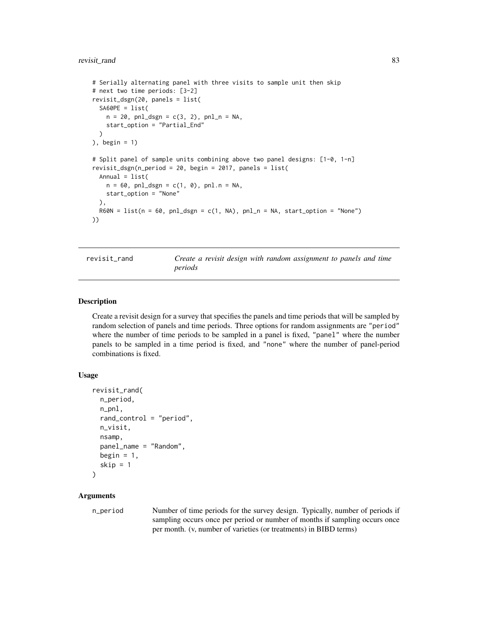## <span id="page-82-1"></span>revisit\_rand 83

```
# Serially alternating panel with three visits to sample unit then skip
# next two time periods: [3-2]
revisit_dsgn(20, panels = list(
 SAGOPE = list(n = 20, pnl_dsgn = c(3, 2), pnl_n = NA,
   start_option = "Partial_End"
  )
), begin = 1)
# Split panel of sample units combining above two panel designs: [1-0, 1-n]
revisit_dsgn(n_period = 20, begin = 2017, panels = list(
  Annual = list(n = 60, pnl_dsgn = c(1, 0), pnl.n = NA,
    start_option = "None"
  ),
  R60N = list(n = 60, pn1_dsgn = c(1, NA), pn1_n = NA, start-option = "None")))
```
<span id="page-82-0"></span>revisit\_rand *Create a revisit design with random assignment to panels and time periods*

## Description

Create a revisit design for a survey that specifies the panels and time periods that will be sampled by random selection of panels and time periods. Three options for random assignments are "period" where the number of time periods to be sampled in a panel is fixed, "panel" where the number panels to be sampled in a time period is fixed, and "none" where the number of panel-period combinations is fixed.

#### Usage

```
revisit_rand(
  n_period,
 n_pnl,
  rand_control = "period",
 n_visit,
 nsamp,
 panel_name = "Random",
 begin = 1,
  skip = 1)
```
#### Arguments

n\_period Number of time periods for the survey design. Typically, number of periods if sampling occurs once per period or number of months if sampling occurs once per month. (v, number of varieties (or treatments) in BIBD terms)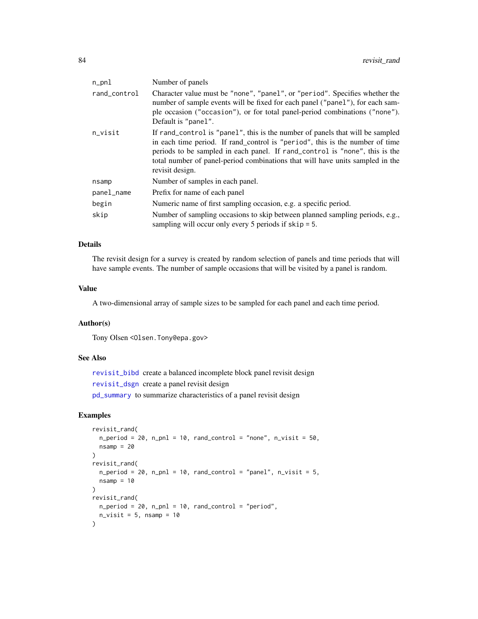<span id="page-83-0"></span>

| $n\_pnl$     | Number of panels                                                                                                                                                                                                                                                                                                                                 |
|--------------|--------------------------------------------------------------------------------------------------------------------------------------------------------------------------------------------------------------------------------------------------------------------------------------------------------------------------------------------------|
| rand_control | Character value must be "none", "panel", or "period". Specifies whether the<br>number of sample events will be fixed for each panel ("panel"), for each sam-<br>ple occasion ("occasion"), or for total panel-period combinations ("none").<br>Default is "panel".                                                                               |
| n_visit      | If rand_control is "panel", this is the number of panels that will be sampled<br>in each time period. If rand_control is "period", this is the number of time<br>periods to be sampled in each panel. If rand_control is "none", this is the<br>total number of panel-period combinations that will have units sampled in the<br>revisit design. |
| nsamp        | Number of samples in each panel.                                                                                                                                                                                                                                                                                                                 |
| panel_name   | Prefix for name of each panel                                                                                                                                                                                                                                                                                                                    |
| begin        | Numeric name of first sampling occasion, e.g. a specific period.                                                                                                                                                                                                                                                                                 |
| skip         | Number of sampling occasions to skip between planned sampling periods, e.g.,<br>sampling will occur only every 5 periods if $skip = 5$ .                                                                                                                                                                                                         |

## Details

The revisit design for a survey is created by random selection of panels and time periods that will have sample events. The number of sample occasions that will be visited by a panel is random.

## Value

A two-dimensional array of sample sizes to be sampled for each panel and each time period.

#### Author(s)

Tony Olsen <Olsen.Tony@epa.gov>

## See Also

[revisit\\_bibd](#page-77-0) create a balanced incomplete block panel revisit design [revisit\\_dsgn](#page-79-0) create a panel revisit design [pd\\_summary](#page-65-0) to summarize characteristics of a panel revisit design

## Examples

```
revisit_rand(
 n\_period = 20, n\_pnl = 10, rand\_control = "none", n\_visit = 50,
  nsamp = 20)
revisit_rand(
  n\_period = 20, n\_pnl = 10, rand\_control = "panel", n\_visit = 5,
  n\text{ samp} = 10\lambdarevisit_rand(
  n_period = 20, n_pnl = 10, rand_control = "period",
  n_visit = 5, n samp = 10\mathcal{L}
```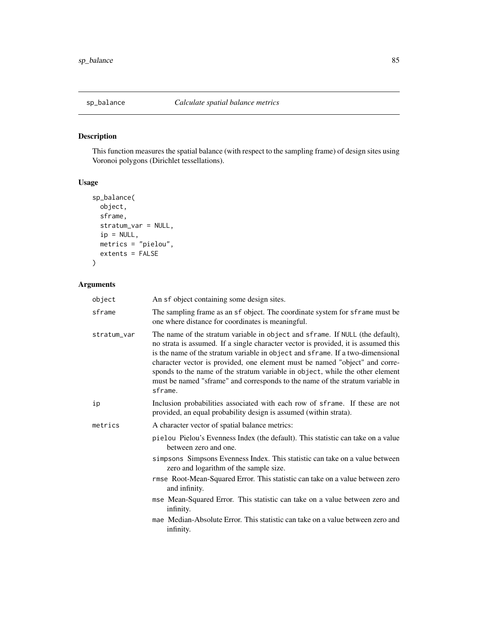<span id="page-84-0"></span>

## Description

This function measures the spatial balance (with respect to the sampling frame) of design sites using Voronoi polygons (Dirichlet tessellations).

## Usage

```
sp_balance(
 object,
  sframe,
 stratum_var = NULL,
  ip = NULL,
 metrics = "pielou",
 extents = FALSE
)
```

| object      | An sf object containing some design sites.                                                                                                                                                                                                                                                                                                                                                                                                                                                                        |
|-------------|-------------------------------------------------------------------------------------------------------------------------------------------------------------------------------------------------------------------------------------------------------------------------------------------------------------------------------------------------------------------------------------------------------------------------------------------------------------------------------------------------------------------|
| sframe      | The sampling frame as an sf object. The coordinate system for sframe must be<br>one where distance for coordinates is meaningful.                                                                                                                                                                                                                                                                                                                                                                                 |
| stratum_var | The name of the stratum variable in object and sframe. If NULL (the default),<br>no strata is assumed. If a single character vector is provided, it is assumed this<br>is the name of the stratum variable in object and sframe. If a two-dimensional<br>character vector is provided, one element must be named "object" and corre-<br>sponds to the name of the stratum variable in object, while the other element<br>must be named "sframe" and corresponds to the name of the stratum variable in<br>sframe. |
| ip          | Inclusion probabilities associated with each row of sframe. If these are not<br>provided, an equal probability design is assumed (within strata).                                                                                                                                                                                                                                                                                                                                                                 |
| metrics     | A character vector of spatial balance metrics:                                                                                                                                                                                                                                                                                                                                                                                                                                                                    |
|             | pielou Pielou's Evenness Index (the default). This statistic can take on a value<br>between zero and one.                                                                                                                                                                                                                                                                                                                                                                                                         |
|             | simpsons Simpsons Evenness Index. This statistic can take on a value between<br>zero and logarithm of the sample size.                                                                                                                                                                                                                                                                                                                                                                                            |
|             | rmse Root-Mean-Squared Error. This statistic can take on a value between zero<br>and infinity.                                                                                                                                                                                                                                                                                                                                                                                                                    |
|             | mse Mean-Squared Error. This statistic can take on a value between zero and<br>infinity.                                                                                                                                                                                                                                                                                                                                                                                                                          |
|             | mae Median-Absolute Error. This statistic can take on a value between zero and<br>infinity.                                                                                                                                                                                                                                                                                                                                                                                                                       |
|             |                                                                                                                                                                                                                                                                                                                                                                                                                                                                                                                   |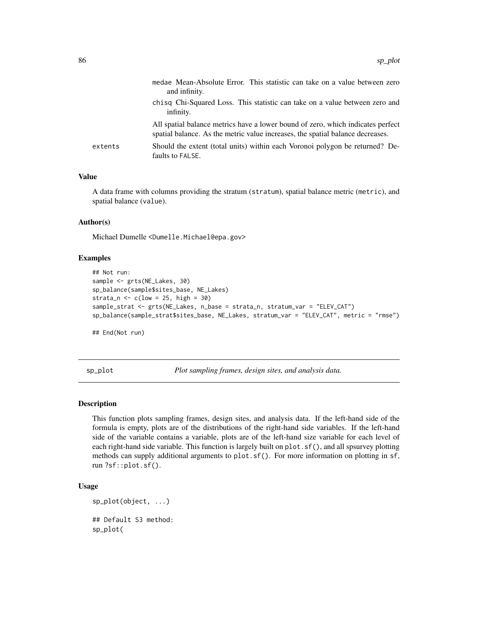<span id="page-85-0"></span>

|         | medae Mean-Absolute Error. This statistic can take on a value between zero<br>and infinity.                                                                       |
|---------|-------------------------------------------------------------------------------------------------------------------------------------------------------------------|
|         | chisq Chi-Squared Loss. This statistic can take on a value between zero and<br>infinity.                                                                          |
|         | All spatial balance metrics have a lower bound of zero, which indicates perfect<br>spatial balance. As the metric value increases, the spatial balance decreases. |
| extents | Should the extent (total units) within each Voronoi polygon be returned? De-<br>faults to FALSE.                                                                  |
|         |                                                                                                                                                                   |

## Value

A data frame with columns providing the stratum (stratum), spatial balance metric (metric), and spatial balance (value).

#### Author(s)

Michael Dumelle <Dumelle.Michael@epa.gov>

## Examples

```
## Not run:
sample <- grts(NE_Lakes, 30)
sp_balance(sample$sites_base, NE_Lakes)
strata_n \leq c(low = 25, high = 30)
sample_strat <- grts(NE_Lakes, n_base = strata_n, stratum_var = "ELEV_CAT")
sp_balance(sample_strat$sites_base, NE_Lakes, stratum_var = "ELEV_CAT", metric = "rmse")
```
## End(Not run)

sp\_plot *Plot sampling frames, design sites, and analysis data.*

## **Description**

This function plots sampling frames, design sites, and analysis data. If the left-hand side of the formula is empty, plots are of the distributions of the right-hand side variables. If the left-hand side of the variable contains a variable, plots are of the left-hand size variable for each level of each right-hand side variable. This function is largely built on plot.sf(), and all spsurvey plotting methods can supply additional arguments to plot.sf(). For more information on plotting in sf, run ?sf::plot.sf().

#### Usage

```
sp_plot(object, ...)
## Default S3 method:
sp_plot(
```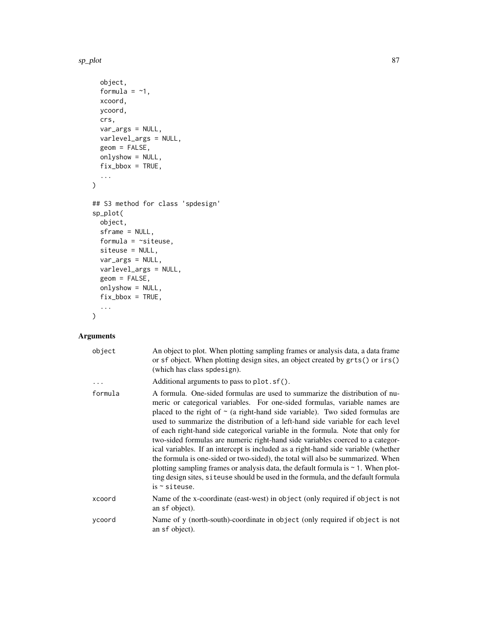sp\_plot 87

```
object,
  formula = -1,
 xcoord,
 ycoord,
 crs,
 var_args = NULL,
 varlevel_args = NULL,
  geom = FALSE,
 onlyshow = NULL,
 fix\_bbox = TRUE,...
\mathcal{L}## S3 method for class 'spdesign'
sp_plot(
 object,
  sframe = NULL,
 formula = \simsiteuse,
 siteuse = NULL,
 var_args = NULL,
 varlevel_args = NULL,
 geom = FALSE,
 onlyshow = NULL,
 fix\_bbox = TRUE,...
\mathcal{L}
```

| object  | An object to plot. When plotting sampling frames or analysis data, a data frame<br>or sf object. When plotting design sites, an object created by grts() or irs()<br>(which has class spdesign).                                                                                                                                                                                                                                                                                                                                                                                                                                                                                                                                                                                                                                                                                     |
|---------|--------------------------------------------------------------------------------------------------------------------------------------------------------------------------------------------------------------------------------------------------------------------------------------------------------------------------------------------------------------------------------------------------------------------------------------------------------------------------------------------------------------------------------------------------------------------------------------------------------------------------------------------------------------------------------------------------------------------------------------------------------------------------------------------------------------------------------------------------------------------------------------|
|         | Additional arguments to pass to plot. sf().                                                                                                                                                                                                                                                                                                                                                                                                                                                                                                                                                                                                                                                                                                                                                                                                                                          |
| formula | A formula. One-sided formulas are used to summarize the distribution of nu-<br>meric or categorical variables. For one-sided formulas, variable names are<br>placed to the right of $\sim$ (a right-hand side variable). Two sided formulas are<br>used to summarize the distribution of a left-hand side variable for each level<br>of each right-hand side categorical variable in the formula. Note that only for<br>two-sided formulas are numeric right-hand side variables coerced to a categor-<br>ical variables. If an intercept is included as a right-hand side variable (whether<br>the formula is one-sided or two-sided), the total will also be summarized. When<br>plotting sampling frames or analysis data, the default formula is $\sim$ 1. When plot-<br>ting design sites, siteuse should be used in the formula, and the default formula<br>is $\sim$ siteuse. |
| xcoord  | Name of the x-coordinate (east-west) in object (only required if object is not<br>an sf object).                                                                                                                                                                                                                                                                                                                                                                                                                                                                                                                                                                                                                                                                                                                                                                                     |
| ycoord  | Name of y (north-south)-coordinate in object (only required if object is not<br>an sf object).                                                                                                                                                                                                                                                                                                                                                                                                                                                                                                                                                                                                                                                                                                                                                                                       |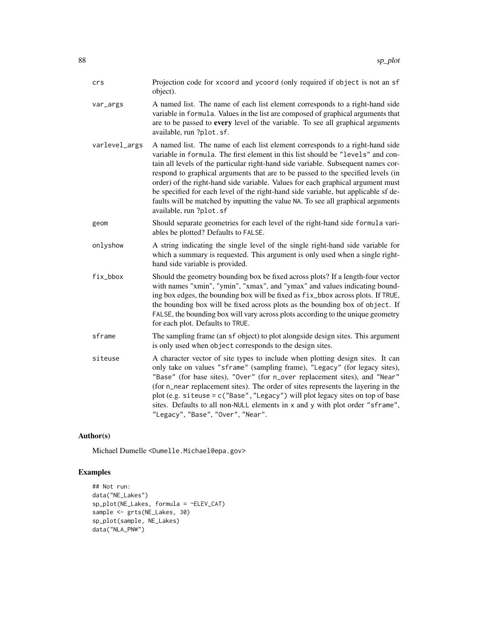| crs           | Projection code for xcoord and ycoord (only required if object is not an sf<br>object).                                                                                                                                                                                                                                                                                                                                                                                                                                                                                                                                          |
|---------------|----------------------------------------------------------------------------------------------------------------------------------------------------------------------------------------------------------------------------------------------------------------------------------------------------------------------------------------------------------------------------------------------------------------------------------------------------------------------------------------------------------------------------------------------------------------------------------------------------------------------------------|
| var_args      | A named list. The name of each list element corresponds to a right-hand side<br>variable in formula. Values in the list are composed of graphical arguments that<br>are to be passed to every level of the variable. To see all graphical arguments<br>available, run ?plot.sf.                                                                                                                                                                                                                                                                                                                                                  |
| varlevel_args | A named list. The name of each list element corresponds to a right-hand side<br>variable in formula. The first element in this list should be "levels" and con-<br>tain all levels of the particular right-hand side variable. Subsequent names cor-<br>respond to graphical arguments that are to be passed to the specified levels (in<br>order) of the right-hand side variable. Values for each graphical argument must<br>be specified for each level of the right-hand side variable, but applicable sf de-<br>faults will be matched by inputting the value NA. To see all graphical arguments<br>available, run ?plot.sf |
| geom          | Should separate geometries for each level of the right-hand side formula vari-<br>ables be plotted? Defaults to FALSE.                                                                                                                                                                                                                                                                                                                                                                                                                                                                                                           |
| onlyshow      | A string indicating the single level of the single right-hand side variable for<br>which a summary is requested. This argument is only used when a single right-<br>hand side variable is provided.                                                                                                                                                                                                                                                                                                                                                                                                                              |
| fix_bbox      | Should the geometry bounding box be fixed across plots? If a length-four vector<br>with names "xmin", "ymin", "xmax", and "ymax" and values indicating bound-<br>ing box edges, the bounding box will be fixed as $fix_b$ box across plots. If TRUE,<br>the bounding box will be fixed across plots as the bounding box of object. If<br>FALSE, the bounding box will vary across plots according to the unique geometry<br>for each plot. Defaults to TRUE.                                                                                                                                                                     |
| sframe        | The sampling frame (an sf object) to plot alongside design sites. This argument<br>is only used when object corresponds to the design sites.                                                                                                                                                                                                                                                                                                                                                                                                                                                                                     |
| siteuse       | A character vector of site types to include when plotting design sites. It can<br>only take on values "sframe" (sampling frame), "Legacy" (for legacy sites),<br>"Base" (for base sites), "Over" (for n_over replacement sites), and "Near"<br>(for n_near replacement sites). The order of sites represents the layering in the<br>plot (e.g. siteuse = c("Base", "Legacy") will plot legacy sites on top of base<br>sites. Defaults to all non-NULL elements in x and y with plot order "sframe",<br>"Legacy", "Base", "Over", "Near".                                                                                         |

## Author(s)

Michael Dumelle <Dumelle.Michael@epa.gov>

## Examples

```
## Not run:
data("NE_Lakes")
sp_plot(NE_Lakes, formula = ~ELEV_CAT)
sample <- grts(NE_Lakes, 30)
sp_plot(sample, NE_Lakes)
data("NLA_PNW")
```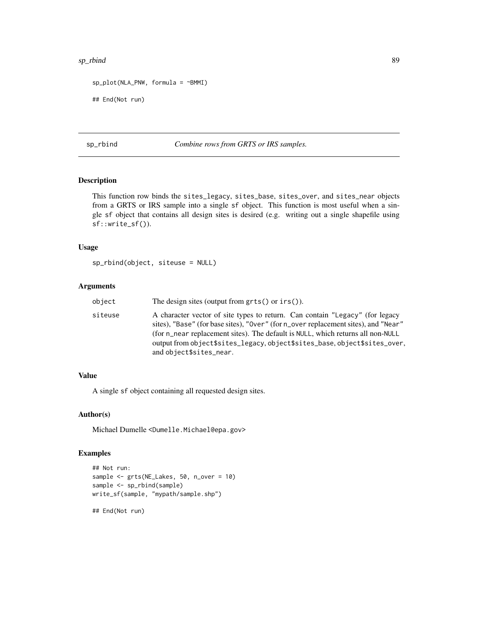#### <span id="page-88-0"></span>sp\_rbind 89

```
sp_plot(NLA_PNW, formula = ~BMMI)
## End(Not run)
```
sp\_rbind *Combine rows from GRTS or IRS samples.*

## Description

This function row binds the sites\_legacy, sites\_base, sites\_over, and sites\_near objects from a GRTS or IRS sample into a single sf object. This function is most useful when a single sf object that contains all design sites is desired (e.g. writing out a single shapefile using sf::write\_sf()).

#### Usage

```
sp_rbind(object, siteuse = NULL)
```
#### Arguments

| object  | The design sites (output from $grts()$ or $irs()$ ).                                                                                                                                                                                                                                                                                                          |
|---------|---------------------------------------------------------------------------------------------------------------------------------------------------------------------------------------------------------------------------------------------------------------------------------------------------------------------------------------------------------------|
| siteuse | A character vector of site types to return. Can contain "Legacy" (for legacy<br>sites), "Base" (for base sites), "Over" (for n_over replacement sites), and "Near"<br>(for n_near replacement sites). The default is NULL, which returns all non-NULL<br>output from object\$sites_legacy, object\$sites_base, object\$sites_over,<br>and object\$sites_near. |

#### Value

A single sf object containing all requested design sites.

#### Author(s)

Michael Dumelle <Dumelle.Michael@epa.gov>

## Examples

```
## Not run:
sample <- grts(NE_Lakes, 50, n_over = 10)
sample <- sp_rbind(sample)
write_sf(sample, "mypath/sample.shp")
```
## End(Not run)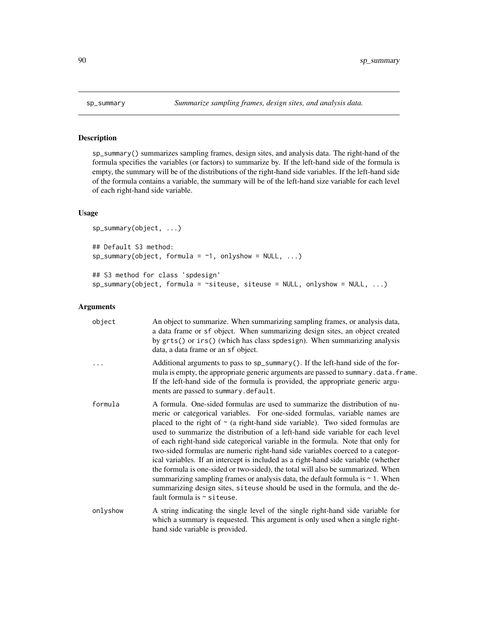## Description

sp\_summary() summarizes sampling frames, design sites, and analysis data. The right-hand of the formula specifies the variables (or factors) to summarize by. If the left-hand side of the formula is empty, the summary will be of the distributions of the right-hand side variables. If the left-hand side of the formula contains a variable, the summary will be of the left-hand size variable for each level of each right-hand side variable.

#### Usage

```
sp_summary(object, ...)
## Default S3 method:
sp\_summary(object, formula = ~1, only show = NULL, ...)## S3 method for class 'spdesign'
sp_summary(object, formula = ~siteuse, siteuse = NULL, onlyshow = NULL, ...)
```

| object    | An object to summarize. When summarizing sampling frames, or analysis data,<br>a data frame or sf object. When summarizing design sites, an object created<br>by grts() or irs() (which has class spdesign). When summarizing analysis<br>data, a data frame or an sf object.                                                                                                                                                                                                                                                                                                                                                                                                                                                                                                                                                                                                              |
|-----------|--------------------------------------------------------------------------------------------------------------------------------------------------------------------------------------------------------------------------------------------------------------------------------------------------------------------------------------------------------------------------------------------------------------------------------------------------------------------------------------------------------------------------------------------------------------------------------------------------------------------------------------------------------------------------------------------------------------------------------------------------------------------------------------------------------------------------------------------------------------------------------------------|
| $\ddotsc$ | Additional arguments to pass to sp_summary(). If the left-hand side of the for-<br>mula is empty, the appropriate generic arguments are passed to summary.data.frame.<br>If the left-hand side of the formula is provided, the appropriate generic argu-<br>ments are passed to summary.default.                                                                                                                                                                                                                                                                                                                                                                                                                                                                                                                                                                                           |
| formula   | A formula. One-sided formulas are used to summarize the distribution of nu-<br>meric or categorical variables. For one-sided formulas, variable names are<br>placed to the right of $\sim$ (a right-hand side variable). Two sided formulas are<br>used to summarize the distribution of a left-hand side variable for each level<br>of each right-hand side categorical variable in the formula. Note that only for<br>two-sided formulas are numeric right-hand side variables coerced to a categor-<br>ical variables. If an intercept is included as a right-hand side variable (whether<br>the formula is one-sided or two-sided), the total will also be summarized. When<br>summarizing sampling frames or analysis data, the default formula is $\sim$ 1. When<br>summarizing design sites, siteuse should be used in the formula, and the de-<br>fault formula is $\sim$ siteuse. |
| onlyshow  | A string indicating the single level of the single right-hand side variable for<br>which a summary is requested. This argument is only used when a single right-<br>hand side variable is provided.                                                                                                                                                                                                                                                                                                                                                                                                                                                                                                                                                                                                                                                                                        |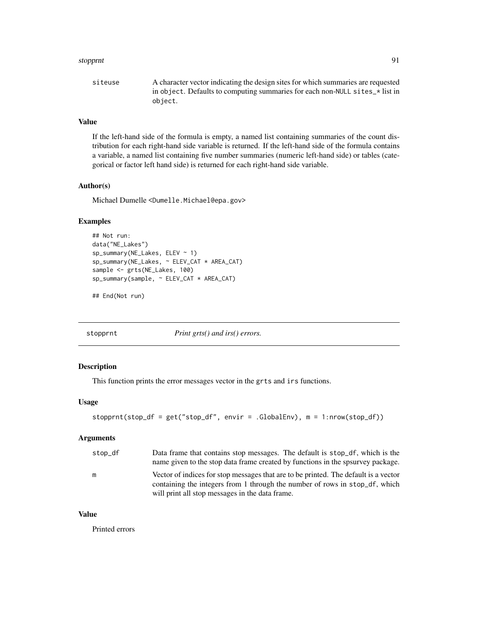#### <span id="page-90-0"></span>stopprnt 91 and 91 and 91 and 91 and 91 and 91 and 91 and 91 and 91 and 91 and 91 and 91 and 91 and 91 and 91

## Value

If the left-hand side of the formula is empty, a named list containing summaries of the count distribution for each right-hand side variable is returned. If the left-hand side of the formula contains a variable, a named list containing five number summaries (numeric left-hand side) or tables (categorical or factor left hand side) is returned for each right-hand side variable.

## Author(s)

Michael Dumelle <Dumelle.Michael@epa.gov>

## Examples

```
## Not run:
data("NE_Lakes")
sp_summary(NE_Lakes, ELEV ~ 1)
sp_summary(NE_Lakes, ~ ELEV_CAT * AREA_CAT)
sample <- grts(NE_Lakes, 100)
sp_summary(sample, ~ ELEV_CAT * AREA_CAT)
```

```
## End(Not run)
```
stopprnt *Print grts() and irs() errors.*

## Description

This function prints the error messages vector in the grts and irs functions.

#### Usage

```
stopprnt(stop_df = get("stop_df", envir = .GlobalEnv), m = 1:nrow(stop_df))
```
## Arguments

| stop_df | Data frame that contains stop messages. The default is stop df, which is the        |
|---------|-------------------------------------------------------------------------------------|
|         | name given to the stop data frame created by functions in the spsurvey package.     |
| m       | Vector of indices for stop messages that are to be printed. The default is a vector |
|         | containing the integers from 1 through the number of rows in stop df, which         |
|         | will print all stop messages in the data frame.                                     |

## Value

Printed errors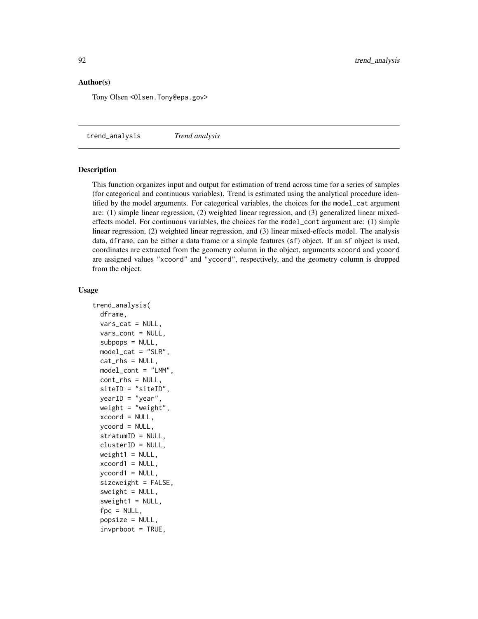### <span id="page-91-0"></span>Author(s)

Tony Olsen <Olsen.Tony@epa.gov>

trend\_analysis *Trend analysis*

#### Description

This function organizes input and output for estimation of trend across time for a series of samples (for categorical and continuous variables). Trend is estimated using the analytical procedure identified by the model arguments. For categorical variables, the choices for the model\_cat argument are: (1) simple linear regression, (2) weighted linear regression, and (3) generalized linear mixedeffects model. For continuous variables, the choices for the model\_cont argument are: (1) simple linear regression, (2) weighted linear regression, and (3) linear mixed-effects model. The analysis data, dframe, can be either a data frame or a simple features (sf) object. If an sf object is used, coordinates are extracted from the geometry column in the object, arguments xcoord and ycoord are assigned values "xcoord" and "ycoord", respectively, and the geometry column is dropped from the object.

#### Usage

```
trend_analysis(
  dframe,
  vars_cat = NULL,vars_cont = NULL,
  subpos = NULL,model_cat = "SLR",
  cat_rhs = NULL,model_cont = "LMM",
  cont_rhs = NULL,
  siteID = "siteID",
 yearID = "year",
 weight = "weight",
  xcoord = NULL,ycoord = NULL,stratumID = NULL,
  clusterID = NULL,
 weight1 = NULL,xcoord1 = NULL,ycoord1 = NULL,
  sizeweight = FALSE,
  sweight = NULL,sweight1 = NULL,
  fpc = NULL,popsize = NULL,
  invprboot = TRUE,
```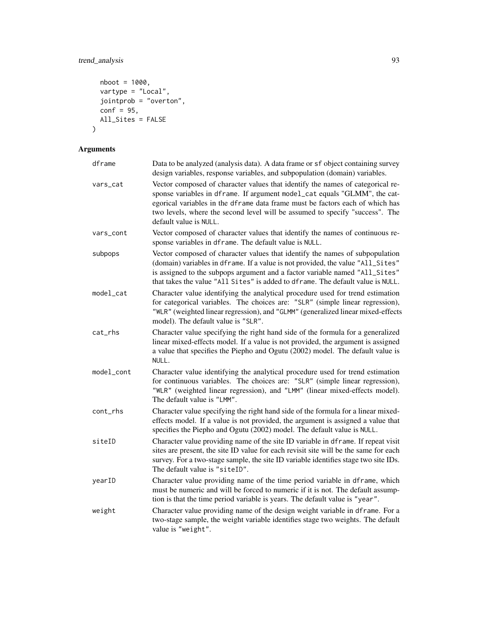## trend\_analysis 93

```
nboot = 1000,vartype = "Local",
 jointprob = "overion",
 \text{conf} = 95,All_Sites = FALSE
\mathcal{L}
```

| dframe     | Data to be analyzed (analysis data). A data frame or sf object containing survey<br>design variables, response variables, and subpopulation (domain) variables.                                                                                                                                                                                        |
|------------|--------------------------------------------------------------------------------------------------------------------------------------------------------------------------------------------------------------------------------------------------------------------------------------------------------------------------------------------------------|
| vars_cat   | Vector composed of character values that identify the names of categorical re-<br>sponse variables in dframe. If argument model_cat equals "GLMM", the cat-<br>egorical variables in the dframe data frame must be factors each of which has<br>two levels, where the second level will be assumed to specify "success". The<br>default value is NULL. |
| vars_cont  | Vector composed of character values that identify the names of continuous re-<br>sponse variables in dframe. The default value is NULL.                                                                                                                                                                                                                |
| subpops    | Vector composed of character values that identify the names of subpopulation<br>(domain) variables in dframe. If a value is not provided, the value "All_Sites"<br>is assigned to the subpops argument and a factor variable named "All_Sites"<br>that takes the value "All Sites" is added to dframe. The default value is NULL.                      |
| model_cat  | Character value identifying the analytical procedure used for trend estimation<br>for categorical variables. The choices are: "SLR" (simple linear regression),<br>"WLR" (weighted linear regression), and "GLMM" (generalized linear mixed-effects<br>model). The default value is "SLR".                                                             |
| cat_rhs    | Character value specifying the right hand side of the formula for a generalized<br>linear mixed-effects model. If a value is not provided, the argument is assigned<br>a value that specifies the Piepho and Ogutu (2002) model. The default value is<br>NULL.                                                                                         |
| model_cont | Character value identifying the analytical procedure used for trend estimation<br>for continuous variables. The choices are: "SLR" (simple linear regression),<br>"WLR" (weighted linear regression), and "LMM" (linear mixed-effects model).<br>The default value is "LMM".                                                                           |
| cont_rhs   | Character value specifying the right hand side of the formula for a linear mixed-<br>effects model. If a value is not provided, the argument is assigned a value that<br>specifies the Piepho and Ogutu (2002) model. The default value is NULL.                                                                                                       |
| siteID     | Character value providing name of the site ID variable in dframe. If repeat visit<br>sites are present, the site ID value for each revisit site will be the same for each<br>survey. For a two-stage sample, the site ID variable identifies stage two site IDs.<br>The default value is "siteID".                                                     |
| yearID     | Character value providing name of the time period variable in dframe, which<br>must be numeric and will be forced to numeric if it is not. The default assump-<br>tion is that the time period variable is years. The default value is "year".                                                                                                         |
| weight     | Character value providing name of the design weight variable in dframe. For a<br>two-stage sample, the weight variable identifies stage two weights. The default<br>value is "weight".                                                                                                                                                                 |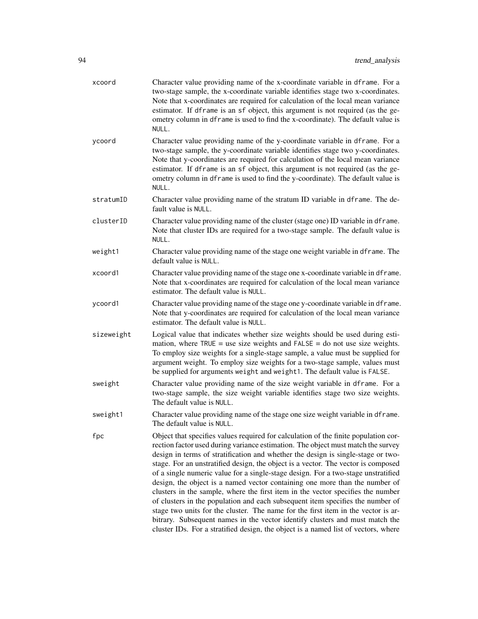| xcoord     | Character value providing name of the x-coordinate variable in dframe. For a<br>two-stage sample, the x-coordinate variable identifies stage two x-coordinates.<br>Note that x-coordinates are required for calculation of the local mean variance<br>estimator. If dframe is an sf object, this argument is not required (as the ge-<br>ometry column in dframe is used to find the x-coordinate). The default value is<br>NULL.                                                                                                                                                                                                                                                                                                                                                                                                                                                                                                                    |
|------------|------------------------------------------------------------------------------------------------------------------------------------------------------------------------------------------------------------------------------------------------------------------------------------------------------------------------------------------------------------------------------------------------------------------------------------------------------------------------------------------------------------------------------------------------------------------------------------------------------------------------------------------------------------------------------------------------------------------------------------------------------------------------------------------------------------------------------------------------------------------------------------------------------------------------------------------------------|
| ycoord     | Character value providing name of the y-coordinate variable in dframe. For a<br>two-stage sample, the y-coordinate variable identifies stage two y-coordinates.<br>Note that y-coordinates are required for calculation of the local mean variance<br>estimator. If dframe is an sf object, this argument is not required (as the ge-<br>ometry column in dframe is used to find the y-coordinate). The default value is<br>NULL.                                                                                                                                                                                                                                                                                                                                                                                                                                                                                                                    |
| stratumID  | Character value providing name of the stratum ID variable in dframe. The de-<br>fault value is NULL.                                                                                                                                                                                                                                                                                                                                                                                                                                                                                                                                                                                                                                                                                                                                                                                                                                                 |
| clusterID  | Character value providing name of the cluster (stage one) ID variable in dframe.<br>Note that cluster IDs are required for a two-stage sample. The default value is<br>NULL.                                                                                                                                                                                                                                                                                                                                                                                                                                                                                                                                                                                                                                                                                                                                                                         |
| weight1    | Character value providing name of the stage one weight variable in dframe. The<br>default value is NULL.                                                                                                                                                                                                                                                                                                                                                                                                                                                                                                                                                                                                                                                                                                                                                                                                                                             |
| xcoord1    | Character value providing name of the stage one x-coordinate variable in dframe.<br>Note that x-coordinates are required for calculation of the local mean variance<br>estimator. The default value is NULL.                                                                                                                                                                                                                                                                                                                                                                                                                                                                                                                                                                                                                                                                                                                                         |
| ycoord1    | Character value providing name of the stage one y-coordinate variable in dframe.<br>Note that y-coordinates are required for calculation of the local mean variance<br>estimator. The default value is NULL.                                                                                                                                                                                                                                                                                                                                                                                                                                                                                                                                                                                                                                                                                                                                         |
| sizeweight | Logical value that indicates whether size weights should be used during esti-<br>mation, where $TRUE =$ use size weights and $FALSE =$ do not use size weights.<br>To employ size weights for a single-stage sample, a value must be supplied for<br>argument weight. To employ size weights for a two-stage sample, values must<br>be supplied for arguments weight and weight1. The default value is FALSE.                                                                                                                                                                                                                                                                                                                                                                                                                                                                                                                                        |
| sweight    | Character value providing name of the size weight variable in dframe. For a<br>two-stage sample, the size weight variable identifies stage two size weights.<br>The default value is NULL.                                                                                                                                                                                                                                                                                                                                                                                                                                                                                                                                                                                                                                                                                                                                                           |
| sweight1   | Character value providing name of the stage one size weight variable in dframe.<br>The default value is NULL.                                                                                                                                                                                                                                                                                                                                                                                                                                                                                                                                                                                                                                                                                                                                                                                                                                        |
| fpc        | Object that specifies values required for calculation of the finite population cor-<br>rection factor used during variance estimation. The object must match the survey<br>design in terms of stratification and whether the design is single-stage or two-<br>stage. For an unstratified design, the object is a vector. The vector is composed<br>of a single numeric value for a single-stage design. For a two-stage unstratified<br>design, the object is a named vector containing one more than the number of<br>clusters in the sample, where the first item in the vector specifies the number<br>of clusters in the population and each subsequent item specifies the number of<br>stage two units for the cluster. The name for the first item in the vector is ar-<br>bitrary. Subsequent names in the vector identify clusters and must match the<br>cluster IDs. For a stratified design, the object is a named list of vectors, where |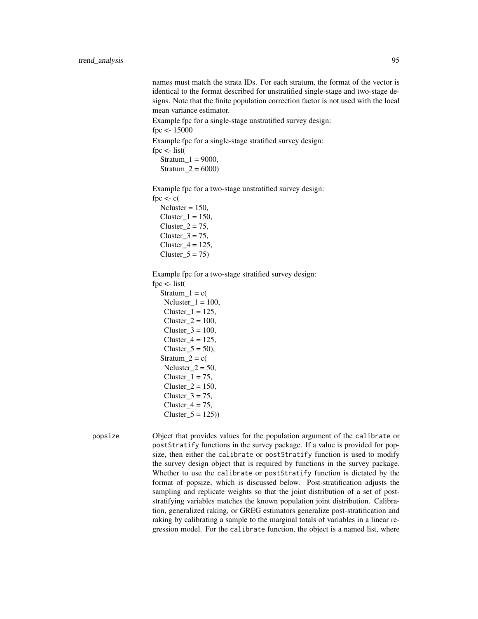names must match the strata IDs. For each stratum, the format of the vector is identical to the format described for unstratified single-stage and two-stage designs. Note that the finite population correction factor is not used with the local mean variance estimator.

Example fpc for a single-stage unstratified survey design: fpc <- 15000

Example fpc for a single-stage stratified survey design:

fpc  $\lt$ - list(

 $Stratum_1 = 9000,$ Stratum  $2 = 6000$ 

Example fpc for a two-stage unstratified survey design: fpc  $\lt$ - c(  $Ncluster = 150$ ,

Cluster  $1 = 150$ , Cluster $2 = 75$ , Cluster $3 = 75$ ,  $Cluster_4 = 125$ ,  $Cluster_5 = 75$ 

Example fpc for a two-stage stratified survey design:

fpc <- list(

 $Stratum_1 = c$  $Ncluster_1 = 100$ , Cluster  $1 = 125$ ,  $Cluster_2 = 100$ ,  $Cluster_3 = 100$ ,  $Cluster_4 = 125$ , Cluster $_5 = 50$ , Stratum $2 = c($  $Ncluster_2 = 50$ , Cluster $1 = 75$ ,  $Cluster_2 = 150$ , Cluster $3 = 75$ , Cluster $4 = 75$ , Cluster  $5 = 125$ )

popsize Object that provides values for the population argument of the calibrate or postStratify functions in the survey package. If a value is provided for popsize, then either the calibrate or postStratify function is used to modify the survey design object that is required by functions in the survey package. Whether to use the calibrate or postStratify function is dictated by the format of popsize, which is discussed below. Post-stratification adjusts the sampling and replicate weights so that the joint distribution of a set of poststratifying variables matches the known population joint distribution. Calibration, generalized raking, or GREG estimators generalize post-stratification and raking by calibrating a sample to the marginal totals of variables in a linear regression model. For the calibrate function, the object is a named list, where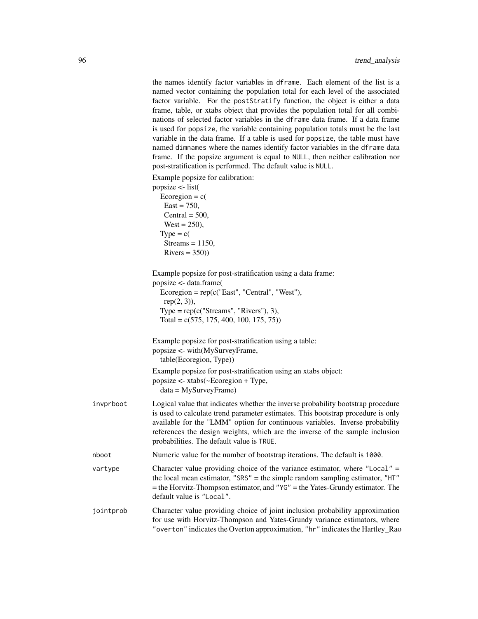the names identify factor variables in dframe. Each element of the list is a named vector containing the population total for each level of the associated factor variable. For the postStratify function, the object is either a data frame, table, or xtabs object that provides the population total for all combinations of selected factor variables in the dframe data frame. If a data frame is used for popsize, the variable containing population totals must be the last variable in the data frame. If a table is used for popsize, the table must have named dimnames where the names identify factor variables in the dframe data frame. If the popsize argument is equal to NULL, then neither calibration nor post-stratification is performed. The default value is NULL.

|           | Example popsize for calibration:                                                                                                                                                                                                                                                                                                                                                  |
|-----------|-----------------------------------------------------------------------------------------------------------------------------------------------------------------------------------------------------------------------------------------------------------------------------------------------------------------------------------------------------------------------------------|
|           | popsize <- list(                                                                                                                                                                                                                                                                                                                                                                  |
|           | Ecoregion = $c($                                                                                                                                                                                                                                                                                                                                                                  |
|           | $East = 750,$                                                                                                                                                                                                                                                                                                                                                                     |
|           | Central = $500$ ,                                                                                                                                                                                                                                                                                                                                                                 |
|           | $West = 250$ ,                                                                                                                                                                                                                                                                                                                                                                    |
|           | $Type = c($                                                                                                                                                                                                                                                                                                                                                                       |
|           | Streams = $1150$ ,                                                                                                                                                                                                                                                                                                                                                                |
|           | $Rivers = 350)$                                                                                                                                                                                                                                                                                                                                                                   |
|           | Example popsize for post-stratification using a data frame:                                                                                                                                                                                                                                                                                                                       |
|           | popsize <- data.frame(                                                                                                                                                                                                                                                                                                                                                            |
|           | $Ecoregion = rep(c("East", "Central", "West"),$                                                                                                                                                                                                                                                                                                                                   |
|           | $rep(2, 3)$ ),                                                                                                                                                                                                                                                                                                                                                                    |
|           | Type = $rep(c("Streams", "Rivers"), 3),$                                                                                                                                                                                                                                                                                                                                          |
|           | Total = $c(575, 175, 400, 100, 175, 75)$ )                                                                                                                                                                                                                                                                                                                                        |
|           | Example popsize for post-stratification using a table:                                                                                                                                                                                                                                                                                                                            |
|           | popsize <- with(MySurveyFrame,                                                                                                                                                                                                                                                                                                                                                    |
|           | table(Ecoregion, Type))                                                                                                                                                                                                                                                                                                                                                           |
|           | Example popsize for post-stratification using an xtabs object:                                                                                                                                                                                                                                                                                                                    |
|           | popsize <- xtabs(~Ecoregion + Type,                                                                                                                                                                                                                                                                                                                                               |
|           | $data = MySurveyFrame)$                                                                                                                                                                                                                                                                                                                                                           |
| invprboot | Logical value that indicates whether the inverse probability bootstrap procedure<br>is used to calculate trend parameter estimates. This bootstrap procedure is only<br>available for the "LMM" option for continuous variables. Inverse probability<br>references the design weights, which are the inverse of the sample inclusion<br>probabilities. The default value is TRUE. |
| nboot     | Numeric value for the number of bootstrap iterations. The default is 1000.                                                                                                                                                                                                                                                                                                        |
| vartype   | Character value providing choice of the variance estimator, where "Local" $=$<br>the local mean estimator, "SRS" = the simple random sampling estimator, " $HT$ "<br>= the Horvitz-Thompson estimator, and "YG" = the Yates-Grundy estimator. The<br>default value is "Local".                                                                                                    |
| jointprob | Character value providing choice of joint inclusion probability approximation<br>for use with Horvitz-Thompson and Yates-Grundy variance estimators, where                                                                                                                                                                                                                        |

"overton" indicates the Overton approximation, "hr" indicates the Hartley\_Rao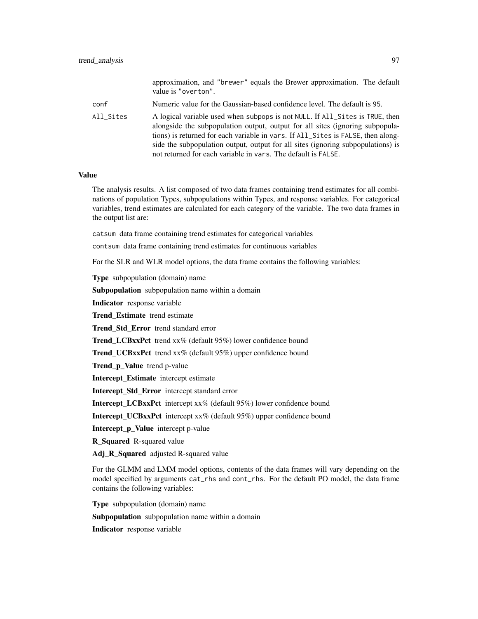|           | approximation, and "brewer" equals the Brewer approximation. The default<br>value is "overton".                                                                                                                                                                                                                                                                                                        |
|-----------|--------------------------------------------------------------------------------------------------------------------------------------------------------------------------------------------------------------------------------------------------------------------------------------------------------------------------------------------------------------------------------------------------------|
| conf      | Numeric value for the Gaussian-based confidence level. The default is 95.                                                                                                                                                                                                                                                                                                                              |
| All Sites | A logical variable used when subpops is not NULL. If All_Sites is TRUE, then<br>alongside the subpopulation output, output for all sites (ignoring subpopula-<br>tions) is returned for each variable in vars. If All_Sites is FALSE, then along-<br>side the subpopulation output, output for all sites (ignoring subpopulations) is<br>not returned for each variable in vars. The default is FALSE. |

#### Value

The analysis results. A list composed of two data frames containing trend estimates for all combinations of population Types, subpopulations within Types, and response variables. For categorical variables, trend estimates are calculated for each category of the variable. The two data frames in the output list are:

catsum data frame containing trend estimates for categorical variables

contsum data frame containing trend estimates for continuous variables

For the SLR and WLR model options, the data frame contains the following variables:

Type subpopulation (domain) name

Subpopulation subpopulation name within a domain

Indicator response variable

Trend Estimate trend estimate

Trend Std Error trend standard error

Trend LCBxxPct trend xx% (default 95%) lower confidence bound

**Trend UCBxxPct** trend  $xx\%$  (default 95%) upper confidence bound

Trend\_p\_Value trend p-value

Intercept\_Estimate intercept estimate

Intercept\_Std\_Error intercept standard error

Intercept\_LCBxxPct intercept xx% (default 95%) lower confidence bound

Intercept\_UCBxxPct intercept xx% (default 95%) upper confidence bound

Intercept\_p\_Value intercept p-value

**R** Squared R-squared value

Adj\_R\_Squared adjusted R-squared value

For the GLMM and LMM model options, contents of the data frames will vary depending on the model specified by arguments cat\_rhs and cont\_rhs. For the default PO model, the data frame contains the following variables:

Type subpopulation (domain) name

Subpopulation subpopulation name within a domain

Indicator response variable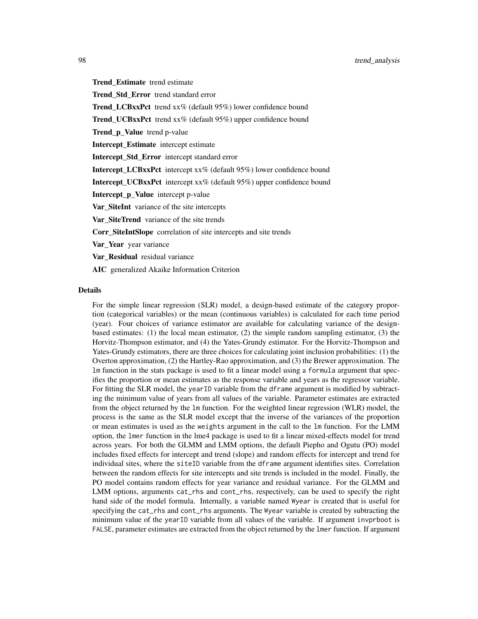Trend\_Estimate trend estimate Trend\_Std\_Error trend standard error Trend LCBxxPct trend xx% (default 95%) lower confidence bound Trend\_UCBxxPct trend xx% (default 95%) upper confidence bound Trend\_p\_Value trend p-value Intercept Estimate intercept estimate Intercept Std Error intercept standard error Intercept\_LCBxxPct intercept xx% (default 95%) lower confidence bound **Intercept UCBxxPct** intercept  $x \mathcal{K}$  (default 95%) upper confidence bound Intercept p Value intercept p-value Var\_SiteInt variance of the site intercepts Var\_SiteTrend variance of the site trends Corr\_SiteIntSlope correlation of site intercepts and site trends Var\_Year year variance Var\_Residual residual variance AIC generalized Akaike Information Criterion

#### Details

For the simple linear regression (SLR) model, a design-based estimate of the category proportion (categorical variables) or the mean (continuous variables) is calculated for each time period (year). Four choices of variance estimator are available for calculating variance of the designbased estimates: (1) the local mean estimator, (2) the simple random sampling estimator, (3) the Horvitz-Thompson estimator, and (4) the Yates-Grundy estimator. For the Horvitz-Thompson and Yates-Grundy estimators, there are three choices for calculating joint inclusion probabilities: (1) the Overton approximation, (2) the Hartley-Rao approximation, and (3) the Brewer approximation. The lm function in the stats package is used to fit a linear model using a formula argument that specifies the proportion or mean estimates as the response variable and years as the regressor variable. For fitting the SLR model, the yearID variable from the dframe argument is modified by subtracting the minimum value of years from all values of the variable. Parameter estimates are extracted from the object returned by the lm function. For the weighted linear regression (WLR) model, the process is the same as the SLR model except that the inverse of the variances of the proportion or mean estimates is used as the weights argument in the call to the lm function. For the LMM option, the lmer function in the lme4 package is used to fit a linear mixed-effects model for trend across years. For both the GLMM and LMM options, the default Piepho and Ogutu (PO) model includes fixed effects for intercept and trend (slope) and random effects for intercept and trend for individual sites, where the siteID variable from the dframe argument identifies sites. Correlation between the random effects for site intercepts and site trends is included in the model. Finally, the PO model contains random effects for year variance and residual variance. For the GLMM and LMM options, arguments cat\_rhs and cont\_rhs, respectively, can be used to specify the right hand side of the model formula. Internally, a variable named Wyear is created that is useful for specifying the cat\_rhs and cont\_rhs arguments. The Wyear variable is created by subtracting the minimum value of the yearID variable from all values of the variable. If argument invprboot is FALSE, parameter estimates are extracted from the object returned by the lmer function. If argument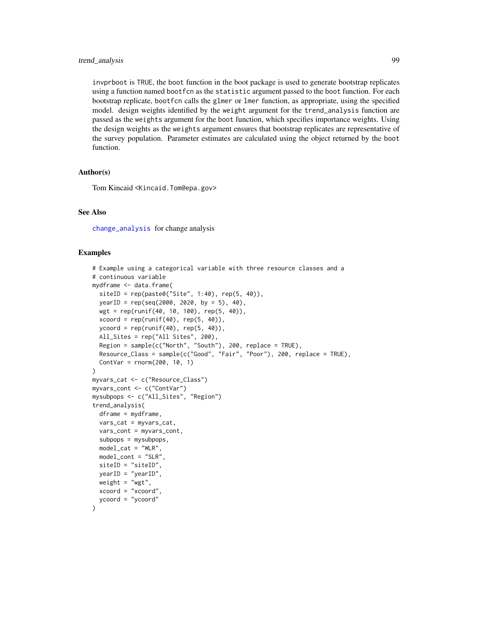<span id="page-98-0"></span>invprboot is TRUE, the boot function in the boot package is used to generate bootstrap replicates using a function named bootfcn as the statistic argument passed to the boot function. For each bootstrap replicate, bootfcn calls the glmer or lmer function, as appropriate, using the specified model. design weights identified by the weight argument for the trend\_analysis function are passed as the weights argument for the boot function, which specifies importance weights. Using the design weights as the weights argument ensures that bootstrap replicates are representative of the survey population. Parameter estimates are calculated using the object returned by the boot function.

#### Author(s)

Tom Kincaid <Kincaid.Tom@epa.gov>

#### See Also

[change\\_analysis](#page-19-0) for change analysis

#### Examples

```
# Example using a categorical variable with three resource classes and a
# continuous variable
mydframe <- data.frame(
  siteID = rep(paste0("Site", 1:40), rep(5, 40)),yearID = rep(seq(2000, 2020, by = 5), 40),wgt = rep(runif(40, 10, 100), rep(5, 40)),
  xcoord = rep(runif(40), rep(5, 40)),ycoord = rep(runif(40), rep(5, 40)),All_Sites = rep("All Sites", 200),
  Region = sample(c("North", "South"), 200, replace = TRUE),
  Resource_Class = sample(c("Good", "Fair", "Poor"), 200, replace = TRUE),
  ContVar = rnorm(200, 10, 1)
)
myvars_cat <- c("Resource_Class")
myvars_cont <- c("ContVar")
mysubpops <- c("All_Sites", "Region")
trend_analysis(
 dframe = mydframe,
  vars_cat = myvars_cat,
  vars_cont = myvars_cont,
  subpops = mysubpops,
  model_cat = "WLR",model_cont = "SLR",
  siteID = "siteID",
  yearID = "yearID",
  weight = "wgt",
  xcoord = "xcoord",
  ycoord = "ycoord"
)
```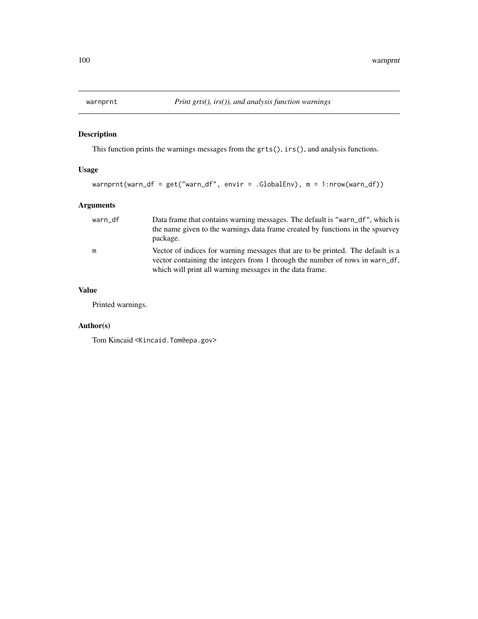<span id="page-99-0"></span>

## Description

This function prints the warnings messages from the grts(), irs(), and analysis functions.

## Usage

```
warnprnt(warn_df = get("warn_df", envir = .GlobalEnv), m = 1:nrow(warn_df))
```
## Arguments

| warn df | Data frame that contains warning messages. The default is "warn_df", which is<br>the name given to the warnings data frame created by functions in the spsurvey<br>package.                                                 |
|---------|-----------------------------------------------------------------------------------------------------------------------------------------------------------------------------------------------------------------------------|
| m       | Vector of indices for warning messages that are to be printed. The default is a<br>vector containing the integers from 1 through the number of rows in warn_df,<br>which will print all warning messages in the data frame. |

## Value

Printed warnings.

## Author(s)

Tom Kincaid <Kincaid.Tom@epa.gov>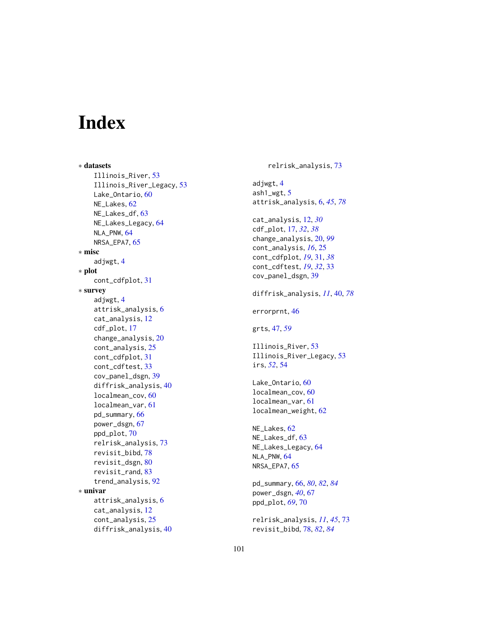# Index

∗ datasets Illinois\_River , [53](#page-52-0) Illinois\_River\_Legacy , [53](#page-52-0) Lake\_Ontario, [60](#page-59-0) NE\_Lakes, [62](#page-61-0) NE\_Lakes\_df, [63](#page-62-0) NE\_Lakes\_Legacy , [64](#page-63-0) NLA\_PNW, [64](#page-63-0) NRSA\_EPA7 , [65](#page-64-0) ∗ misc adjwgt, [4](#page-3-0) ∗ plot cont\_cdfplot , [31](#page-30-0) ∗ survey adjwgt , [4](#page-3-0) attrisk\_analysis , [6](#page-5-1) cat\_analysis , [12](#page-11-0) cdf\_plot , [17](#page-16-0) change\_analysis , [20](#page-19-1) cont\_analysis , [25](#page-24-0) cont\_cdfplot , [31](#page-30-0) cont\_cdftest , [33](#page-32-0) cov\_panel\_dsgn , [39](#page-38-0) diffrisk\_analysis , [40](#page-39-1) localmean\_cov , [60](#page-59-0) localmean\_var , [61](#page-60-0) pd\_summary , [66](#page-65-1) power\_dsgn , [67](#page-66-0) ppd\_plot , [70](#page-69-0) relrisk\_analysis , [73](#page-72-0) revisit\_bibd , [78](#page-77-1) revisit\_dsgn , [80](#page-79-1) revisit\_rand , [83](#page-82-1) trend\_analysis , [92](#page-91-0) ∗ univar attrisk\_analysis , [6](#page-5-1) cat\_analysis , [12](#page-11-0) cont\_analysis , [25](#page-24-0) diffrisk\_analysis , [40](#page-39-1)

relrisk\_analysis , [73](#page-72-0) adjwgt , [4](#page-3-0) ash1\_wgt , [5](#page-4-0) attrisk\_analysis , [6](#page-5-1) , *[45](#page-44-0)* , *[78](#page-77-1)* cat\_analysis , [12](#page-11-0) , *[30](#page-29-0)* cdf\_plot , [17](#page-16-0) , *[32](#page-31-0)* , *[38](#page-37-0)* change\_analysis , [20](#page-19-1) , *[99](#page-98-0)* cont\_analysis , *[16](#page-15-0)* , [25](#page-24-0) cont\_cdfplot , *[19](#page-18-0)* , [31](#page-30-0) , *[38](#page-37-0)* cont\_cdftest , *[19](#page-18-0)* , *[32](#page-31-0)* , [33](#page-32-0) cov\_panel\_dsgn , [39](#page-38-0) diffrisk\_analysis , *[11](#page-10-0)* , [40](#page-39-1) , *[78](#page-77-1)* errorprnt , [46](#page-45-0) grts , [47](#page-46-0) , *[59](#page-58-0)* Illinois\_River , [53](#page-52-0) Illinois\_River\_Legacy , [53](#page-52-0) irs , *[52](#page-51-0)* , [54](#page-53-0) Lake\_Ontario, <mark>6</mark>0 localmean\_cov , [60](#page-59-0) localmean\_var , [61](#page-60-0) localmean\_weight , [62](#page-61-0) NE\_Lakes , [62](#page-61-0) NE\_Lakes\_df , [63](#page-62-0) NE\_Lakes\_Legacy , [64](#page-63-0) NLA\_PNW, [64](#page-63-0) NRSA\_EPA7, [65](#page-64-0) pd\_summary , [66](#page-65-1) , *[80](#page-79-1)* , *[82](#page-81-0)* , *[84](#page-83-0)* power\_dsgn , *[40](#page-39-1)* , [67](#page-66-0) ppd\_plot , *[69](#page-68-0)* , [70](#page-69-0) relrisk\_analysis , *[11](#page-10-0)* , *[45](#page-44-0)* , [73](#page-72-0) revisit\_bibd , [78](#page-77-1) , *[82](#page-81-0)* , *[84](#page-83-0)*